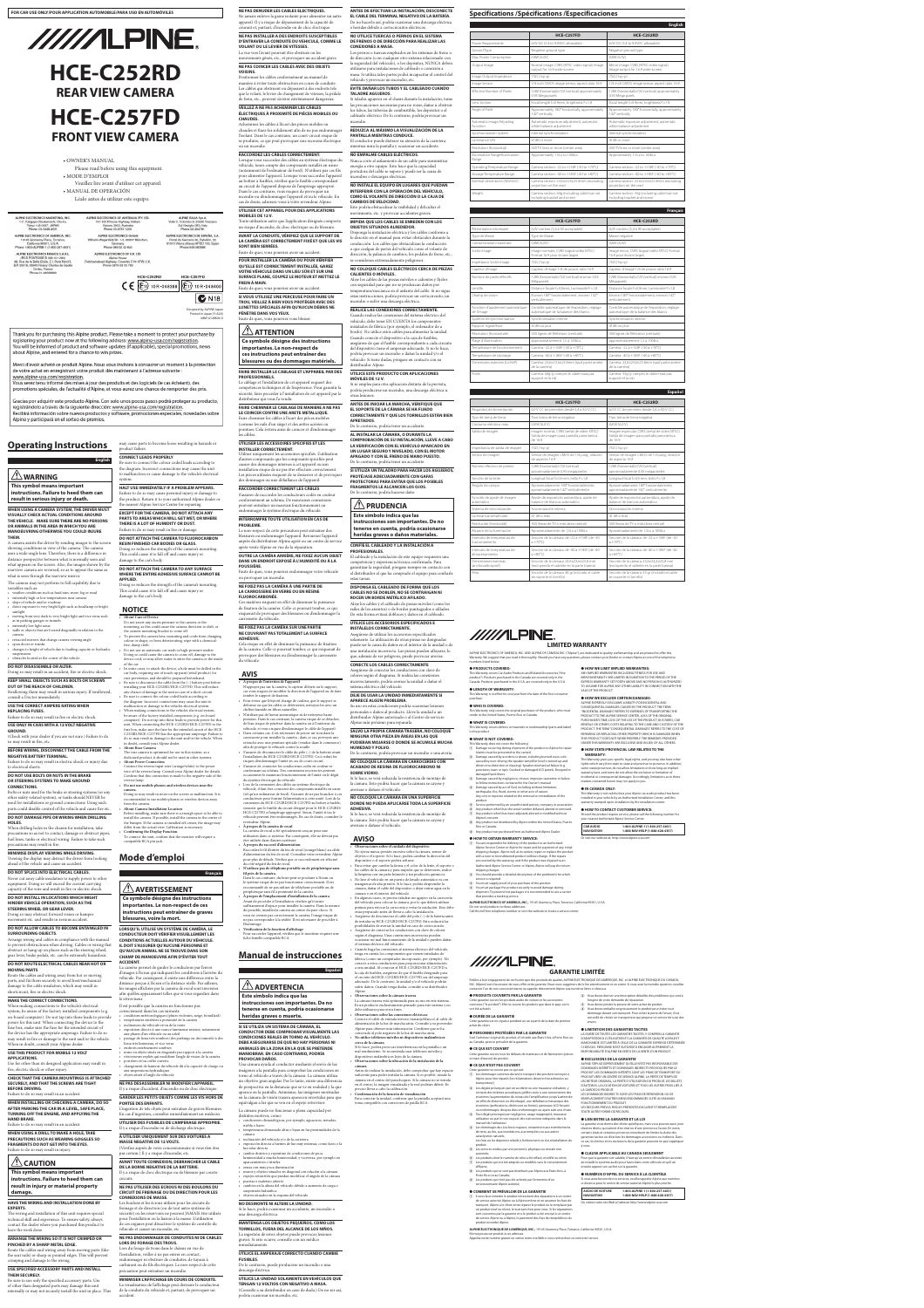# **Operating Instructions**

 **WARNING This symbol means important instructions. Failure to heed the** 

# **result in serious injury or death.**

# **WHEN USING A CAMERA SYSTEM, THE DRIVER MUST VISUALLY CHECK ACTUAL CONDITIONS AROUND THE VEHICLE. MAKE SURE THERE ARE NO PERSONS OR ANIMALS IN THE AREA IN WHICH YOU ARE MANOEUVRING OTHERWISE YOU COULD INJURE THEM.**

• extremely high or low temperatures near camera • slope of vehicle and/or roadway

A camera assists the driver by sending images to the screen showing conditions in view of the camera. The camera uses a wide-angle lens. Therefore, there is a difference in distance perspective between what is normally seen and what appears on the screen. Also, the images shown by the rearview camera are reversed, so as to appear the same as what is seen through the rearview mirror.

The camera may not perform to full capability due to variables such as: • weather conditions such as hard rain, snow, fog or mud

• direct exposure to very bright light such as headlamp or bright sunlight • moving from very dark to very bright light and vice versa such

as in parking garages or tunnels • extremely low light areas • walls or objects that are located diagonally in relation to the

camera • retracted mirrors that change camera viewing angle

• open doors or trunks • changes to height of vehicle due to loading capacity or hydraulic

suspensions • obstacles located at the corner of the vehicle

# **DO NOT DISASSEMBLE OR ALTER.**

# **KEEP SMALL OBJECTS SUCH AS BOLTS OR SCREWS OUT OF THE REACH OF CHILDREN.**

Swallowing them may result in serious injury. If swallowed, consult a Doctor immediately.

# **USE THE CORRECT AMPERE RATING WHEN REPLACING FUSES.**

Failure to do so may result in fire or electric shock.

## **USE ONLY IN CARS WITH A 12 VOLT NEGATIVE GROUND.**

(Check with your dealer if you are not sure.) Failure to do so may result in fire, etc.

# **BEFORE WIRING, DISCONNECT THE CABLE FROM THE NEGATIVE BATTERY TERMINAL.**

Failure to do so may result in electric shock or injury due to electrical shorts.

# **DO NOT USE BOLTS OR NUTS IN THE BRAKE OR STEERING SYSTEMS TO MAKE GROUND**

# **CONNECTIONS.** Bolts or nuts used for the brake or steering systems (or any

# **DO NOT DAMAGE PIPE OR WIRING WHEN DRILLING HOLES.**

The wiring and installation of this unit requires special technical skill and experience. To ensure safety, always contact the dealer where you purchased this product to have the work done

# **MINIMISE DISPLAY VIEWING WHILE DRIVING.** Viewing the display may distract the driver from looking

ahead of the vehicle and cause an accident. **DO NOT SPLICE INTO ELECTRICAL CABLES.** Never cut away cable insulation to supply power to other equipment. Doing so will exceed the current carrying capacity of the wire and result in fire or electric shock.

**English CONNECT LEADS PROPERLY** Be sure to connect the colour coded leads according to the diagram. Incorrect connections may cause the unit

# **DO NOT INSTALL IN LOCATIONS WHICH MIGHT HINDER VEHICLE OPERATION, SUCH AS THE STEERING WHEEL OR GEAR LEVER.**

Doing so may obstruct forward vision or hamper movement etc. and results in serious accident.

# **DO NOT ALLOW CABLES TO BECOME ENTANGLED IN SURROUNDING OBJECTS.**

# **DO NOT ROUTE ELECTRICAL CABLES NEAR HOT OR MOVING PARTS**

# **MAKE THE CORRECT CONNECTIONS.**

When making connections to the vehicle's electrical system, be aware of the factory installed components (e.g. on-board computer). Do not tap into these leads to provide power for this unit. When connecting the device to the fuse box, make sure the fuse for the intended circuit of the device has the appropriate amperage. Failure to do so may result in fire or damage to the unit and/or the vehicle. When in doubt, consult your Alpine dealer.

Be sure to disconnect the cable from the  $(-)$  battery post before installing your HCE-C252RD/HCE-C257FD. This will reduce any chance of damage to the unit in case of a short-circuit. • Be sure to connect the colour coded leads according to the diagram. Incorrect connections may cause the unit to malfunction or damage to the vehicles electrical system. When making connections to the vehicles electrical system be aware of the factory installed components (e.g. on-board nputer). Do not tap into these leads to provide power for this unit. When connecting the HCE-C252RD/HCE-C257FD to the fuse box, make sure the fuse for the intended circuit of the HCE-C252RD/HCE-C257FD has the appropriate amperage. Failure to do so may result in damage to the unit and/or the vehicle. When

# **USE THIS PRODUCT FOR MOBILE 12 VOLT**

### **APPLICATIONS.**

Use for other than its designed application may result in fire, electric shock or other injury.

# **CHECK THAT THE CAMERA MOUNTINGS IS ATTACHED SECURELY, AND THAT THE SCREWS ARE TIGHT**

Doing so may result in an accident, fire or electric shock. car body, requiring use of touch-up paint (retail product) for rust-prevention, and should be prepared beforehand.

**BEFORE DRIVING.** Failure to do so may result in an accident.

# **WHEN INSTALLING OR CHECKING A CAMERA, DO SO AFTER PARKING THE CAR IN A LEVEL, SAFE PLACE, TURNING OFF THE ENGINE, AND APPLYING THE HAND BRAKE.**

Failure to do so may result in an accident.

# **WHEN USING A DRILL TO MAKE A HOLE, TAKE PRECAUTIONS SUCH AS WEARING GOGGLES SO FRAGMENTS DO NOT GET INTO THE EYES.** Failure to do so may result in injury.

**ZIN** CAUTION

# **This symbol means important instructions. Failure to heed them can result in injury or material property damage.**

# **HAVE THE WIRING AND INSTALLATION DONE BY EXPERTS.**

# affichées par la caméra de recul so afin qu'elles apparaissent telles que si vous regardiez dans le rétroviseur.

# **ARRANGE THE WIRING SO IT IS NOT CRIMPED OR PINCHED BY A SHARP METAL EDGE.**

Route the cables and wiring away from moving parts (like the seat rails) or sharp or pointed edges. This will prevent crimping and damage to the wiring.

# aux suspensions hydraulique • objets situés à l'angle du véhicule **NE PAS DESASSEMBLER NI MODIFIER L'APPAREIL.**

# **USE SPECIFIED ACCESSORY PARTS AND INSTALL THEM SECURELY.**

other safety-related system), or tanks should NEVER be used for installations or ground connections. Using such parts could disable control of the vehicle and cause fire etc. Doing so may result in noise on the screen or malfunction. It is rended to use mobile phones or wireless devices away from the camera. • **About Camera Installation Location**

Be sure to use only the specified accessory parts. Use of other than designated parts may damage this unit internally or may not securely install the unit in place. This may cause parts to become loose resulting in hazards or

product failure.

When drilling holes in the chassis for installation, take precautions so as not to contact, damage or obstruct pipes, fuel lines, tanks or electrical wiring. Failure to take such precautions may result in fire. differ from the actual view. Calibration is necessary. • **Confirming the Display Function** To connect the unit, confirm that the monitor will require a compatible RCA pin jack.

to malfunction or cause damage to the vehicle's electrical system. **HALT USE IMMEDIATELY IF A PROBLEM APPEARS.** ailure to do so may cause personal injury or damage the product. Return it to your authorized Alpine dealer or the nearest Alpine Service Center for repairing.

# **EXCEPT FOR THE CAMERA, DO NOT ATTACH ANY PARTS TO AREAS WHICH WILL GET WET, OR WHERE THERE IS A LOT OF HUMIDITY OR DUST.** Failure to do so may result in fire or damage.

Arrange wiring and cables in compliance with the manual to prevent obstructions when driving. Cables or wiring that obstruct or hang up on places such as the steering wheel, gear lever, brake pedals, etc. can be extremely hazardous. **CONDUCTEUR DOIT VÉRIFIER VISUELLEMENT LES CONDITIONS ACTUELLES AUTOUR DU VÉHICULE. IL DOIT S'ASSURER QU'AUCUNE PERSONNE ET QU'AUCUN ANIMAL NE SE TROUVE DANS SON CHAMP DE MANOEUVRE AFIN D'ÉVITER TOUT ACCIDENT.**

**APPLIED.**

Route the cables and wiring away from hot or moving parts, and fix them securely to avoid heat/mechanical rge to the cable insulation, which may result in shortcircuit, fire or electric shock. d'images à l'écran qui indiquent les conditions à l'arrière du véhicule. Par conséquent, il existe une différence entre la distance perçue à l'écran et la distance réelle. Par ailleurs,

damage to the car's body.

**NOTICE** • **About Care of Device**

Do not assert any excess pressure to the camera or the mounting, as this could cause the camera direction to shift, or

the camera mounting bracket to come off.

• To prevent the camera lens, mounting and cords from changing colour or shape, or from deteriorating, wipe with a chemical-

free, damp cloth.

Toute utilisation autre que l'application désignée comporte un risque d'incendie, de choc électrique ou de blessure. **AVANT LA CONDUITE, VÉRIFIEZ QUE LE SUPPORT DE LA CAMÉRA EST CORRECTEMENT FIXÉ ET QUE LES VIS** 

• Do not use an automatic car wash or high-pressure washer. Doing so could cause the camera to come off, damage to the device cord, or may allow water to enter the camera or the inside

of the car.

in doubt, consult your Alpine dealer.

• **About Rear Camera**

The rear camera is optimized for use in this system. as a dedicated product, it should not be used in other systems.

• **About Power Connection**

Connect the reverse input wire (orange/white) to the power wire of the reverse lamp. Consult your Alpine dealer for details. Confirm that this connection is made to the negative side of the

reverse lamp.

• **Do not use mobile phones and wireless devices near the** 

**camera.**

Before installing, make sure there is a enough space to be able to

**Mode d'emploi**

**Français**

 **AVERTISSEMENT**

**Ce symbole désigne des instructions importantes. Le non-respect de ces instructions peut entraîner de graves** 

**blessures, voire la mort.**

**LORSQU'IL UTILISE UN SYSTÈME DE CAMÉRA, LE** 

La caméra permet de guider le conducteur par l'envoi

Il est possible que la caméra ne fonctionne pas correctement dans les cas suivants: • conditions météorologiques (pluies violentes, neige, brouillard) • températures extrêmes à proximité de la caméra • inclinaison du véhicule et/ou de la route exposition directe à une source lumineuse intense, notamment aux phares d'un véhicule ou au soleil • passage de lieux très sombres (des parkings ou des tunnels) à des eux très lumineux, et vice versa • endroits extrêmement sombres • murs ou objets situés en diagonale par rapport à la caméra • rétroviseurs repliés qui modifient l'angle de vision de la caméra • portières et/ou coffre ouverts • changement de hauteur du véhicule dû à la capacité de charge ou

Il y a risque d'accident, d'incendie ou de choc électrique. **GARDER LES PETITS OBJETS COMME LES VIS HORS DE** 

# **PORTEE DES ENFANTS.** L'ingestion de tels objets peut entraîner de graves blessures. En cas d'ingestion, consulter immédiatement un médecin.

**UTILISER DES FUSIBLES DE L'AMPERAGE APPROPRIE.** Il y a risque d'incendie ou de décharge électrique.

# **A UTILISER UNIQUEMENT SUR DES VOITURES A MASSE NEGATIVE DE 12 VOLTS.** (Vérifiez auprès de votre concessionnaire si vous n'en êtes

pas certain.) Il y a risque d'incendie, etc.

# **AVANT TOUTE CONNEXION, DEBRANCHER LE CABLE DE LA BORNE NEGATIVE DE LA BATTERIE.** Il y a risque de choc électrique ou de blessure par courts-

**DO NOT ATTACH THE CAMERA TO FLUOROCARBON RESIN FINISHED CAR BODIES OR GLASS.** Doing so reduces the strength of the camera's mounting. This could cause it to fall off and cause injury or blessures ou endommager l'appareil. Retourner l'appareil auprès du distributeur Alpine agréé ou un centre de service après-vente Alpine en vue de la réparation. **OUTRE LA CAMÉRA ARRIÈRE, NE FIXEZ AUCUN OBJET** 

# circuits. **NE PAS UTILISER DES ECROUS NI DES BOULONS DU CIRCUIT DE FREINAGE OU DE DIRECTION POUR LES CONNEXIONS DE MASSE.**

### damage to the car's body. **DO NOT ATTACH THE CAMERA TO ANY SURFACE DANS UN ENDROIT EXPOSÉ À L'HUMIDITÉ OU À LA POUSSIÈRE.** Faute de quoi, vous pourriez endommager votre véhicule

# **WHERE THE ENTIRE ADHESIVE SURFACE CANNOT BE**  Doing so reduces the strength of the camera's mounting. This could cause it to fall off and cause injury or ou provoquer un incendie.

Les boulons et les écrous utilisés pour les circuits de freinage et de direction (ou de tout autre système de sécurité) ou les réservoirs ne peuvent JAMAIS être utilisés pour l'installation ou la liaison à la masse. L'utilisation de ces organes peut désactiver le système de contrôle du véhicule et causer un incendie, etc.

# **NE PAS ENDOMMAGER DE CONDUITES NI DE CABLES LORS DU FORAGE DES TROUS.**

Lors du forage de trous dans le châssis en vue de l'installation, veiller à ne pas entrer en contact, endommager ni obstruer de conduites, de tuyaux à carburant ou de fils électriques. Le non-respect de cette précaution peut entraîner un incendie.

# • In some cases, to attach the device, a hole must be drilled in the **AVIS**

# **MINIMISER L'AFFICHAGE EN COURS DE CONDUITE.**

La visualisation de l'affichage peut distraire le conducteur de la conduite du véhicule et, partant, de provoquer un

accident.



ALPINE ITALIA S.p.A.

Viale C. Colombo 8, 20090 Trezzano

Sul Naviglio (MI), Italy<br>Phone 02-484781

ALPINE ELECTRONICS DE ESPAÑA, S.A.

Portal de Gamarra 36, Pabellón, 32 3 Vitoria (Alava)-APDO 133, Spair<br>Phone 945-283588

Thank you for purchasing this Alpine product. Please take a moment to protect your purchase by registering your product now at the following address: www.alpine-usa.com/registration. You will be informed of product and software updates (if applicable), special promotions, news about Alpine, and entered for a chance to win prizes.

Merci d'avoir acheté ce produit Alpine. Nous vous invitons à consacrer un moment à la protection de votre achat en enregistrant votre produit dès maintenant à l'adresse suivante :

www.alpine-usa.com/registration.

Vous serez tenu informé des mises à jour des produits et des logiciels (le cas échéant), des promotions spéciales, de l'actualité d'Alpine, et vous aurez une chance de remporter des prix.

Gracias por adquirir este producto Alpine. Con solo unos pocos pasos podrá proteger su producto, registrándolo a través de la siguiente dirección: www.alpine-usa.com/registration. Recibirá información sobre nuevos productos y software, promociones especiales, novedades sobre Alpine y participará en el sorteo de premios.



**VOLANT OU LE LEVIER DE VITESSES.**  La vue vers l'avant pourrait être obstruée ou les

**VOISINS.** 

manière à éviter toute obstruction en cours de conduite. Les câbles qui obstruent ou dépassent à des endroits tels que le volant, le levier de changement de vitesses, la pédale de frein, etc., peuvent s'avérer extrêmement dangereux. **VEILLEZ À NE PAS ACHEMINER LES CÂBLES ÉLECTRIQUES À PROXIMITÉ DE PIÈCES MOBILES OU** 

> El cableado y la instalación de este equipo requieren una competencia y experiencia técnica confirmada. Para garantizar la seguridad, póngase siempre en contacto con el distribuidor al que ha comprado el equipo para confiarle estas tareas

**CHAUDES.**

Acheminez les câbles à l'écart des pièces mobiles ou

l'isolant. Dans le cas contraire, un court-circuit risque de se produire, ce qui peut provoquer une secousse électrique

ou un incendie.

**RACCORDEZ LES CÂBLES CORRECTEMENT.**

Lorsque vous raccordez des câbles au système électrique du véhicule, tenez compte des composants installés en usine (notamment de l'ordinateur de bord). N'utilisez pas ces fils pour alimenter l'appareil. Lorsque vous raccordez l'appareil au boîtier à fusibles, vérifiez que le fusible correspondant au circuit de l'appareil dispose de l'ampérage approprié. Dans le cas contraire, vous risquez de provoquer un incendie ou d'endommager l'appareil et/ou le véhicule. En cas de doute, adressez-vous à votre revendeur Alpine. **UTILISER CET APPAREIL POUR DES APPLICATIONS** 

install the camera. If possible, install the camera in the center of the bumper. If the camera is installed off-center, the image may revendeur Alpine. • **À propos de la caméra de recul**

**MOBILES DE 12 V.**

**SONT BIEN SERRÉES.**

Faute de quoi, vous pourriez avoir un accident. **POUR INSTALLER LA CAMÉRA OU POUR VÉRIFIER QU'ELLE EST CORRECTEMENT INSTALLÉE, GAREZ** 

**FREIN À MAIN.**

**ces instructions peut entraîner des blessures ou des dommages matériels.**

**PROFESSIONNELS.**

Le câblage et l'installation de cet appareil requiert des

distributeur qui vous l'a vendu.

**LE COINCER CONTRE UNE ARETE METALLIQUE.** Faire cheminer les câbles à l'écart des pièces mobiles (comme les rails d'un siège) et des arêtes acérées ou

les câbles.

**UTILISER LES ACCESSOIRES SPECIFIES ET LES** 

**INSTALLER CORRECTEMENT.**

Utiliser uniquement les accessoires spécifiés. L'utilisation d'autres composants que les composants spécifiés peut causer des dommages internes à cet appareil ou son installation risque de ne pas être effectuée correctement. Les pièces utilisées risquent de se desserrer et de provoquer

's codés en

des dommages ou une défaillance de l'appareil. **RACCORDER CORRECTEMENT LES CÂBLES**

conformément au schéma. De mauvaises connexions peuvent entraîner un mauvais fonctionnement ou endommager le système électrique du véhicule. **INTERROMPRE TOUTE UTILISATION EN CAS DE** 

**PROBLEME.**

Le non-respect de cette précaution peut entraîner des

**NE FIXEZ PAS LA CAMÉRA À UNE PARTIE DE LA CARROSSERIE EN VERRE OU EN RÉSINE FLUOROCARBONÉE.** Ces matières risquent en effet de diminuer la puissance

de fixation de la caméra. Celle-ci pourrait tomber, ce qui risquerait de provoquer des blessures ou d'endommager la

# carrosserie du véhicule. **NE FIXEZ PAS LA CAMÉRA SUR UNE PARTIE NE COUVRANT PAS TOTALEMENT LA SURFACE ADHÉSIVE.**

Cela risque en effet de diminuer la puissance de fixation de la caméra. Celle-ci pourrait tomber, ce qui risquerait de provoquer des blessures ou d'endommager la carrosserie du véhicule.

• **À propos de l'entretien de l'appareil** N'appuyez pas sur la caméra, le capteur d'objets ou le support, car vous risquez de modifier la direction de l'appareil ou de faire

tomber le support de fixation. • Pour éviter que l'objectif change de couleur, que le support se déforme ou que les câbles se détériorent, nettoyez-les avec un chiffon humide en fibres naturelles. • N'utilisez pas de laveur automatique ni de nettoyeur haute pression. Dans le cas contraire, la caméra risque de se détacher,

**NE PAS DENUDER LES CABLES ELECTRIQUES.**  Ne jamais enlever la gaine isolante pour alimenter un autre appareil. Il y a risque de dépassement de la capacité de courant et, partant, d'incendie ou de choc électrique. **ANTES DE EFECTUAR LA INSTALACIÓN, DESCONECTE EL CABLE DEL TERMINAL NEGATIVO DE LA BATERÍA.** De no hacerlo así, podría ocasionar una descarga eléctrica o heridas debido a cortocircuitos eléctricos.

### **NE PAS INSTALLER A DES ENDROITS SUSCEPTIBLES D'ENTRAVER LA CONDUITE DU VEHICULE, COMME LE NO UTILICE TUERCAS O PERNOS EN EL SISTEMA DE FRENOS O DE DIRECCIÓN PARA REALIZAR LAS CONEXIONES A MASA.**

de l'eau risque de pénétrer dans la caméra ou à l'intérieur du véhicule, et vous risquez d'endommager le câble de l'appareil. • Dans certains cas, il est nécessaire de percer un trou dans la carrosserie pour installer la caméra ; dans ce cas, prévoyez une retouche avec une peinture spéciale (vendue dans le commerce) afin de protéger le véhicule contre la rouille. • S'assurer de déconnecter le câble du pôle (–) de la batterie avant

mouvements gênés, etc., et provoquer un accident grave. **NE PAS COINCER LES CABLES AVEC DES OBJETS**  Positionner les câbles conformément au manuel de Los pernos o tuercas empleados en los sistemas de freno o de dirección (o en cualquier otro sistema relacionado con la seguridad del vehículo), o los depósitos, NUNCA deben utilizarse para instalaciones de cableado o conexión a masa. Si utiliza tales partes podrá incapacitar el control del vehículo y provocar un incendio, etc.

l'installation du HCE-C252RD/HCE-C257FD. Ceci reduit les risques d'endommager l'unité en cas de court-circuit. • S'assurer de connecter les conducteurs codés en couleur se conformant au schéma. Des connexions incorrectes peuvent

occasionner le manuvais fonctionnement de l'unité ou le dégât du système électrique du véhicule. • Lors de la connexion des câbles au système électrique du

chaudes et fixez-les solidement afin de ne pas endommager **REDUZCA AL MÁXIMO LA VISUALIZACIÓN DE LA PANTALLA MIENTRAS CONDUCE.**

véhicule, il faut être conscient des composants installés en usine (tel qu'un ordinateur de bord). S'assurer de ne pas brancher à ces conducteurs pour fournir l'alimentation à cette unité. Lors de la connexion du HCE-C252RD/HCE-C257FD au boîtier à fusible, s'assurer que le fusible du circuit désigné pour le HCE-C252RD/ HCE-C257FD a l'ampérage approprié. Sinon, I'unité et/ou le véhicule peuvent être endommagés. En cas de doute, consulter le

This Warranty only covers the original purchaser of the product, who must reside in the United States, Puerto Rico or Canada.

● **WHAT IS COVERED:** This Warranty covers defects in materials or workmanship (parts and labo

La caméra de recul a été spécialement conçue pour une utilisation dans ce système. Par conséquent, elle ne devrait pas être utilisée dans d'autres systèmes.

(claims must be presented to the carrier). 2 Damage caused by accident or abuse, including burned voice coils caused by over-driving the speaker (amplifier level is turned up and driven into distortion or clipping). Speaker mechanical failure (e.g. punctures, tears or rips). Cracked or damaged LCD panels. Dropped o

• **À propos du raccord d'alimentation** Raccordez le fil d'entrée du feu de recul (orange/blanc) au câble d'alimentation du feu de recul. Consultez votre revendeur Alpine

damaged hard drives. (3) Damage caused by negligence, misuse, improper operation or failure to follow instructions contained in the Owner's manual. (4) Damage caused by act of God, including without limitation,

pour plus de détails. Vérifiez que ce raccordement est effectué du côté négatif du feu de recul. • **N'utilisez pas de téléphone portable ou de périphérique sans fil près de la caméra.**

Dans le cas contraire, du bruit peut se produire à l'écran ou le système risque de ne pas fonctionner correctement. Il est recommandé de ne pas utiliser de téléphone portable ou de périphérique sans fil à proximité de la caméra. • **À propos de l'emplacement d'installation de la camera**

# **9** Any product not purchased from an Authorized Alpine Dealer. ● **HOW TO OBTAIN WARRANTY SERVICE:**

**VOTRE VÉHICULE DANS UN LIEU SÛR ET SUR UNE SURFACE PLANE, COUPEZ LE MOTEUR ET METTEZ LE**  Faute de quoi, vous pourriez avoir un accident. **SI VOUS UTILISEZ UNE PERCEUSE POUR FAIRE UN TROU, VEILLEZ À BIEN VOUS PROTÉGER AVEC DES LUNETTES SPÉCIALES AFIN QU'AUCUN DÉBRIS NE PÉNÈTRE DANS VOS YEUX.** Faute de quoi, vous pourriez vous blesser.  $\frac{1}{2}$  **ATTENTION Ce symbole désigne des instructions importantes. Le non-respect de**  bordo). No utilice estos cables para alimentar la unidad.

Avant de procéder à l'installation, vérifiez qu'il existe suffisamment d'espace pour installer la caméra. Dans la mesure du possible, installez la caméra au centre du pare-chocs. Si vous ne centrez pas correctement la caméra, l'image risque de ne pas correspondre à la réalité. Il est nécessaire de procéder à

(3) You must supply proof of your purchase of the product. (4) You must package the product securely to avoid damage during shipment. To prevent lost packages it is recommended to use a carrier

ALPINE ELECTRONICS OF AMERICA, INC. AND ALPINE OF CANADA INC. ("Alpine"), are dedicated to quality craftsmanship and are pleased to offer this Warranty. We suggest that you read it thoroughly. Should you have any questions, please contact your Dealer or contact Alpine at one of the telephone numbers listed beloy

l'étalonnage. • **Vérification de la fonction d'affichage** Pour raccorder l'appareil, vérifiez que le moniteur requiert une fiche femelle compatible RCA.

# **Manual de instrucciones**

### **FAIRE INSTALLER LE CABLAGE ET L'APPAREIL PAR DES UTILICE ESTE PRODUCTO CON APLICACIONES MÓVILES DE 12 V.**

**Español ADVERTENCIA**

**Este símbolo indica que las instrucciones son importantes. De no** 

compétences techniques et de l'expérience. Pour garantir la sécurité, faire procéder à l'installation de cet appareil par le Si se emplea para otra aplicación distinta de la prevista, podría producirse un incendio, una descarga eléctrica u otras lesiones.

# **tenerse en cuenta, podría ocasionarse heridas graves o muerte.**

**SI SE UTILIZA UN SISTEMA DE CÁMARA, EL CONDUCTOR DEBE COMPROBAR VISUALMENTE LAS CONDICIONES REALES EN TORNO AL VEHÍCULO. DEBE ASEGURARSE DE QUE NO HAY PERSONAS NI ANIMALES EN LA ZONA EN LA QUE SE PRETENDE MANIOBRAR. EN CASO CONTRARIO, PODRÍA** 

**FAIRE CHEMINER LE CABLAGE DE MANIERE A NE PAS**  pointues. Cela évitera ainsi de coincer et d'endommager **ANTES DE INICIAR LA MARCHA, VERIFIQUE QUE EL SOPORTE DE LA CÁMARA SE HA FIJADO CORRECTAMENTE Y QUE LOS TORNILLOS ESTÁN BIEN APRETADOS.** De lo contrario, podría tener un accidente.

# **PROVOCAR DAÑOS.**

Una cámara ayuda al conductor mediante el envío de las imágenes a la pantalla para comprobar las condiciones en torno al vehículo a través de la cámara. La cámara utiliza un objetivo gran angular. Por lo tanto, existe una diferencia de perspectiva en la distancia que se ve en realidad y la que aparece en la pantalla. Asimismo, las imágenes mostradas en la cámara de visión trasera aparecen invertidas para que

equivalgan a las que se ven en el espejo retrovisor. La cámara puede no funcionar a plena capacidad por distintos motivos, como:

• condiciones climatológicas, por ejemplo, aguaceros, nevadas,

niebla o barro • temperaturas demasiado altas o bajas en las proximidades de la cámara

Cette garantie couvre les produits audio de voiture et les acce connexes ("le produit"). Elle ne couvre les produits que dans le pays où ils ont été achetés.

• inclinación del vehículo y/o de la carretera • exposición directa a fuentes de luz muy intensas, como faros o la

luz solar directa • cambio drástico y repentino de condiciones de poca

Cette garantie couvre tous les défauts de matériaux et de fabrication (pièces et main d'œuvre) du produit.

- A Les dommages survenus durant le transport des produits renvoyés à Alpine pour être réparés (les réclamations doivent être adressées au transporteur); B Les dégâts provoqués par un accident ou une mauvaise utilisation, y compris des bobines acoustiques grillées suite à une surexcitation des enceintes (augmentation du niveau de l'amplificateur jusqu'à atteindre un effet de distorsion ou d'écrêtage), une défaillance mécanique des enceintes (perforations, déchirures ou fentes), panneaux LCD fissurés ou endommagés, disques durs endommagés ou ayant subi une chute. C Tout dégât provoqué par négligence, usage inapproprié, mauvaise utilisation ou par le non-respect des instructions indiquées dans le
- manuel de l'utilisateur. 4 Les dommages dus à la force majeure, notamment aux tremblements de terre, au feu, aux inondations, aux tempêtes ou aux autres cataclysmes naturels; Les frais ou les dépenses relatifs à l'enlèvement ou à la réinstallation du produit;
- $\overline{6}$  Les services rendus par une personne, physique ou morale non
- autorisée;
- $6$  Les produits dont le numéro de série a été effacé, modifié ou retiré;  $\bar{z}$  Les produits qui ont été adaptés ou modifiés sans le consentement
- d'Alpine;  $\overline{B}$  Les produits qui ne sont pas distribués par Alpine aux Etats-Unis, à
- Porto Rico ou au Canada;
- naire Alpine autoris
- luminosidad a mucha luminosidad, y viceversa, por ejemplo en aparcamientos o túneles
- zonas con muy poca iluminación
- muros y objetos situados en diagonal con relación a la cámara
- espejos retráctiles que puedan modificar el ángulo de la cámara
- puertas o maletero abierto • cambios en la altura del vehículo debido a aumento de carga o
- suspensión hidráulica
- objetos situados en la esquina del vehículo

# **NO DESMONTE NI ALTERE LA UNIDAD.** Si lo hace, podrá ocasionar un accidente, un incendio o una descarga eléctrica.

# **MANTENGA LOS OBJETOS PEQUEÑOS, COMO LOS**

# **TORNILLOS, FUERA DEL ALCANCE DE LOS NIÑOS.** La ingestión de estos objetos puede provocar lesiones

graves. Si esto ocurre, consulte con un médico inmediatamente.

## **UTILICE EL AMPERAJE CORRECTO CUANDO CAMBIE FUSIBLES.**

De lo contrario, puede producirse un incendio o una descarga eléctrica.

# **UTILICE LA UNIDAD SOLAMENTE EN VEHÍCULOS QUE TENGAN 12 VOLTIOS CON NEGATIVO A MASA.**

**GARANTIE LIMITÉE** Fidèles à leur engagement de ne fournir que des produits de qualité, ALPINE ÉLECTRONIQUE DE L'AMÉRIQUE, INC. et ALPINE ÉLECTRONIQUE DU CANADA, INC. (Alpine) sont heureuses de vous offrir cette garantie. Nous vous suggérons de le lire attentivement et en entier. Si vous avez la moindre question, veuillez

(Consulte a su distribuidor en caso de duda.) De no ser así, podría ocasionar un incendio, etc.

l'origine de votre demande de réparation. C Vous devez joindre la preuve de votre achat du produit. Vous devez emballer soigneusement le produit pour éviter tout dommage durant son transport. Pour éviter la perte de l'envoi, il est conseillé de choisir un transporteur qui propose un service de suivi des

Cette garantie est en vigueur pendant un an à partir de la date du premie achat du client. envois. ● **LIMITATION DES GARANTIES TACITES**

> D'ADAPTATION À L'UTILISATION ET LA GARANTIE DE QUALITÉ LOYALE ET MARCHANDE, EST LIMITÉE À CELLE DE LA GARANTIE EXPRESSE DÉTERMINÉE CI-DESSUS. PERSONNE N'EST AUTORISÉ À ENGAGER AUTREMENT LA RESPONSABILITÉ D'ALPINE EN VERTU DE LA VENTE D'UN PRODUIT. ● **EXCLUSIONS DE LA GARANTIE** ALPINE STIPULE EXPRESSÉMENT QU'ELLE N'EST PAS RESPONSABLE DES DOMMAGES-INTÉRÊTS ET DOMMAGES INDIRECTS PROVOQUÉS PAR LE PRODUIT. LES DOMMAGES-INTÉRÊTS SONT LES FRAIS DE TRANSPORT DU PRODUIT VERS UN CENTRE DE SERVICE ALPINE, LA PERTE DE TEMPS DE L'ACHETEUR ORIGINAL, LA PERTE D'UTILISATION DU PRODUIT, LES BILLETS

# **EVITE DAÑAR LOS TUBOS Y EL CABLEADO CUANDO TALADRE AGUJEROS.**

Si taladra agujeros en el chasis durante la instalación, tome las precauciones necesarias para no rozar, dañar u obstruir los tubos, las tuberías de combustible, los depósitos o el cableado eléctrico. De lo contrario, podría provocar un incendio.

El conductor puede distraer su atención de la carretera mientras mira la pantalla y ocasionar un accidente.

# **NO EMPALME CABLES ELÉCTRICOS.**

Pour que la garantie soit valable, il faut qu'un centre d'installation autorisé ait installé le système audio pour l'auto dans votre véhicule et qu'il ait ensuite apposé son cachet sur la garantie.

Nunca corte el aislamiento de un cable para suministrar energía a otro equipo. Esto hace que la capacidad portadora del cable se supere y puede ser la causa de incendios o descargas eléctricas.

> Si vous avez besoin de nos services, veuillez appeler Alpine aux numéro ci-dessous pour le centre de service autorisé Alpine le plus proche.

# **NO INSTALE EL EQUIPO EN LUGARES QUE PUEDAN INTERFERIR CON LA OPERACIÓN DEL VEHÍCULO, COMO EL VOLANTE DE DIRECCIÓN O LA CAJA DE CAMBIOS DE VELOCIDAD.**

N'envoyez aucun produit à ces adresse Appelez notre numéro gratuit ou visitez notre site Web si vous recherchez un centre de service.

Esto podría obstaculizar la visibilidad y dificultar el movimiento, etc. y provocar accidentes graves.

**IMPIDA QUE LOS CABLES SE ENREDEN CON LOS OBJETOS SITUADOS ALREDEDOR.**  Disponga la instalación eléctrica y los cables conforme a

lo descrito en el manual para evitar obstáculos durante la conducción. Los cables que obstaculizan la conducción o que cuelgan de partes del vehículo como el volante de dirección, la palanca de cambios, los pedales de freno, etc., se consideran extremadamente peligrosos.

# **NO COLOQUE CABLES ELÉCTRICOS CERCA DE PIEZAS CALIENTES O MÓVILES.**

Aleje los cables de las piezas móviles o calientes y fíjelos con seguridad para que no se produzcan daños por temperatura/mecánica en el aislante del cable. Si no sigue estas instrucciones, podría provocar un cortocircuito, un incendio o sufrir una descarga eléctrica.

# **REALICE LAS CONEXIONES CORRECTAMENTE.** Cuando realice las conexiones del sistema eléctrico del vehículo, debe tener EN CUENTA los componentes instalados de fábrica (por ejemplo, el ordenador de a

Cuando conecte el dispositivo a la caja de fusibles, asegúrese de que el fusible correspondiente a cada circuito del dispositivo tiene el amperaje adecuado. Si no lo hace, podría provocar un incendio o dañar la unidad y/o el vehículo. Si tiene dudas, póngase en contacto con su distribuidor Alpine.

**AL INSTALAR LA CÁMARA, O DURANTE LA COMPROBACIÓN DE SU INSTALACIÓN, LLEVE A CABO LA VERIFICACIÓN CON EL VEHÍCULO APARCADO EN UN LUGAR SEGURO Y NIVELADO, CON EL MOTOR APAGADO Y CON EL FRENO DE MANO PUESTO.** De lo contrario, podría tener un accidente.

**SI UTILIZA UN TALADRO PARA HACER LOS AGUJEROS, PROTÉJASE ADECUADAMENTE CON GAFAS PROTECTORAS PARA EVITAR QUE LOS POSIBLES** 

**FRAGMENTOS LE ALCANCEN LOS OJOS.**

De lo contrario, podría hacerse daño.

| $\sqrt{2}$ PRUDENCIA                  |
|---------------------------------------|
| Este símbolo indica que las           |
| instrucciones son importantes. De no  |
| tenerse en cuenta, podría ocasionarse |
| heridas graves o daños materiales.    |

## **CONFÍE EL CABLEADO Y LA INSTALACIÓN A PROFESIONALES.**

# **DISPONGA EL CABLEADO DE FORMA QUE LOS CABLES NO SE DOBLEN, NO SE CONTRAIGAN NI ROCEN UN BORDE METÁLICO AFILADO.**

Aleje los cables y el cableado de piezas móviles (como los raíles de los asientos) o de bordes puntiagudos o afilados. De esta forma evitará dobleces y daños en el cableado.

# **UTILICE LOS ACCESORIOS ESPECIFICADOS E INSTÁLELOS CORRECTAMENTE.**

Asegúrese de utilizar los accesorios especificados solamente. La utilización de otras piezas no designadas puede ser la causa de daños en el interior de la unidad o de una instalación incorrecta. Las piezas pueden aflojarse, lo que, además de ser peligroso, puede provocar averías.

# **CONECTE LOS CABLES CORRECTAMENTE**

Asegúrese de conectar los conductores con clave de colores según el diagrama. Si realiza las conexiones incorrectamente, podría averiar la unidad o dañar el sistema eléctrico del vehículo.

# **DEJE DE USAR LA UNIDAD INMEDIATAMENTE SI APARECE ALGÚN PROBLEMA.**

Su uso en estas condiciones podría ocasionar lesiones personales o daños al producto. Lleve la unidad a un distribuidor Alpine autorizado o al Centro de servicio Alpine más próximo para repararla.

# **SALVO LA PROPIA CÁMARA TRASERA, NO COLOQUE NINGUNA OTRA PIEZA EN ÁREAS EN LAS QUE PUDIERAN MOJARSE O DONDE SE ACUMULE MUCHA HUMEDAD Y POLVO.**

De lo contrario, podría provocar un incendio o una avería.

**NO COLOQUE LA CÁMARA EN CARROCERÍAS CON ACABADO DE RESINA DE FLUOROCARBONO NI SOBRE VIDRIO.**

# Si lo hace, se verá reducida la resistencia de montaje de la cámara. Esto podría hacer que la cámara se cayese y averiase o dañase el vehículo.

**NO COLOQUE LA CÁMARA EN UNA SUPERFICIE DONDE NO PUEDA APLICARSE TODA LA SUPERFICIE ADHESIVA.**

Si lo hace, se verá reducida la resistencia de montaje de la cámara. Esto podría hacer que la cámara se cayese y averiase o dañase el vehículo.

# **AVISO**

• **Observaciones sobre el cuidado del dispositivo** No ejerza nunca presión excesiva sobre la cámara, sensor de objetos o el soporte. Si lo hace, podría cambiar la dirección del dispositivo o el soporte podría soltarse. • Para evitar que cambie la forma y el color de la lente, el soporte o

los cables de la cámara y para impedir que se deterioren, realice la limpieza con un paño húmedo y sin productos químicos. • No lave el vehículo en un puesto de lavado automático ni con mangueras de alta presión. Si lo hace, podría desprender la cámara, dañar el cable del dispositivo o dejar entrar agua en la

cámara o en el interior del vehículo. • En algunos casos, es preciso taladrar un agujero en la carrocería del vehículo para colocar la cámara, por lo que deberá utilizar pintura para retocar la carrocería y evitar la oxidación. Esto debe estar preparado antes de llevar a cabo la instalación.

• Asegúrese de desconectar el cable del polo (–) de la batería antes de instalar su HCE-C252RD/HCE-C257FD. Esto reducirá las posibilidades de averiar la unidad en caso de cortocircuito. • Asegúrese de conectar los conductores con clave de colores según el diagrama. Unas conexiones incorrectas pueden

ocasionar un mal funcionamiento de la unidad o pueden dañar el sistema eléctrico del vehículo. • Cuando haga las conexiones al sistema eléctrico del vehículo, tenga en cuenta los componentes que vienen instalados de fábrica (como un computador incorporado, por ejemplo). No conecte a estos conductores para proporcionar alimentación a esta unidad. Al conectar el HCE-C252RD/HCE-C257FD a la caja de fusibles, asegúrese de que el fusible designado para el circuito del HCE-C252RD/HCE-C257FD sea del amperaje adecuado. De lo contrario, Ia unidad y/o el vehículo podrán

Alpine.

• **Observaciones sobre la cámara trasera**

La cámara trasera está optimizada para su uso en este sistema. Es un producto exclusivamente pensado para este sistema y no

debe utilizarse para otros fines.

• **Observaciones sobre las conexiones eléctricas**

Conecte el cable de entrada inverso (naranja/blanco) al cable de alimentación de la luz de marcha atrás. Consulte a su proveedor Alpine para obtener más información. Confirme que se ha conectado al polo negativo de la luz de marcha atrás. • **No utilice teléfonos móviles ni dispositivos inalámbricos** 

**cerca de la cámara.**

Si lo hace, podría provocar interferencias en la pantalla o un mal rendimiento. Se recomienda usar teléfonos móviles y dispositivos inalámbricos lejos de la cámara. • **Observaciones sobre la ubicación de la instalación de la** 

**cámara**

Antes de realizar la instalación, debe comprobar que hay espacio suficiente para poder instalar la cámara. Si es posible, instale la cámara en el centro del parachoques. Si la cámara no se instala en el centro, la imagen visualizada y la real podrían diferir. Es

preciso llevar a cabo la calibración. • **Confirmación de la función de visualización**

Para conectar la unidad, confirme que la pantalla aceptará una

toma compatible con conectores de patilla RCA.

años. Cuando tenga dudas, co

# **Specifications /Spécifications /Especificaciones**

|                                         | <b>HCE-C257FD</b>                                                            | <b>HCE-C252RD</b>                                                            |
|-----------------------------------------|------------------------------------------------------------------------------|------------------------------------------------------------------------------|
| Power Requirements                      | 6.0V DC (5.4 to 9.0VDC allowable)                                            | 6.0V DC (5.4 to 9.0VDC allowable)                                            |
| Ground Type                             | Negative ground type                                                         | Negative ground type                                                         |
| Max. Power Consumption                  | 0.8W(6.0V)                                                                   | 0.8W(6.0V)                                                                   |
| Output Image                            | Normal image, CVBS (NTSC video signal) Image<br>output for 16:9 wide-screen  | Mirror image, CVBS (NTSC video signal)<br>Image output for 16:9 wide-screen  |
| Image Output Impedance                  | $75\Omega$ (1vp-p)                                                           | $75\Omega$ (1vp-p)                                                           |
| Image Sensor                            | 1/4 inch CMOS image sensor, aspect ratio 16:9                                | 1/4 inch CMOS image sensor, aspect ratio 16:9                                |
| <b>Effective Number of Pixels</b>       | 1280 (horizontal)×720 (vertical) approximately<br>0.93 Mega pixels           | 1280 (horizontal)×720 (vertical) approximately<br>0.93 Mega pixels           |
| Lens Section                            | Focal length f=0.9mm, brightness F=1.8                                       | Focal length f=0.9mm, brightness F=1.8                                       |
| Angle of Field                          | Approximately 180° horizontally, approximately<br>142° vertically            | Approximately 180° horizontally, approximately<br>142° vertically            |
| Automatic image Adjusting<br>Function   | Automatic exposure adjustment, automatic<br>white balance adjustment         | Automatic exposure adjustment, automatic<br>white balance adjustment         |
| Synchronization System                  | Internal synchronization                                                     | Internal synchronization                                                     |
| Luminance S/N                           | 41dB or more                                                                 | 41dB or more                                                                 |
| Resolution (horizontal)                 | 330 TV lines or more (center area)                                           | 330 TV lines or more (center area)                                           |
| Illumination Rangelllumination<br>Range | Approximately 1.5Lx to 100kLx                                                | Approximately 1.5Lx to 100kLx                                                |
| Operating Temperature Range             | Camera section: -22 to +158F (-30 to +70°C)                                  | Camera section: -22 to +158F (-30 to +70°C)                                  |
| Storage Temperature Range               | Camera section: -40 to +185F (-40 to +85°C)                                  | Camera section: -40 to +185F (-40 to +85°C)                                  |
| External dimensions (WxHxD)             | Camera section: 23.6×23.6×25.8mm (excluding<br>projection on the rear)       | Camera section: 23.6×23.6×25.8mm (excluding<br>projection on the rear)       |
| Weight                                  | Camera section: 44g (including cable but not<br>including bracket and screw) | Camera section: 33g (including cable but not<br>including bracket and screw) |

**Français**

|                                                 | <b>HCE-C257FD</b>                                                                     | <b>HCE-C252RD</b>                                                                                       |  |
|-------------------------------------------------|---------------------------------------------------------------------------------------|---------------------------------------------------------------------------------------------------------|--|
| Alimentation nécessaire                         | 6,0V continu (5,4 à 9V acceptable)                                                    | 6,0V continu (5,4 à 9V acceptable)                                                                      |  |
| Type de Masse                                   | Type de Masse                                                                         | Masse négative                                                                                          |  |
| Consommation maximale                           | 0.8W(6.0V)                                                                            | 0.8W(6.0V)                                                                                              |  |
| Sortie Image                                    | Image normale, CVBS (signal vidéo NTSC)<br>Format 16:9 pour écrans larges             | Image miroir, CVBS (signal vidéo NTSC) Format<br>16:9 pour écrans larges                                |  |
| Impédance Sortie Image                          | $75\Omega$ (1vp-p)                                                                    | $75\Omega$ (1vp-p)                                                                                      |  |
| Capteur d'image                                 | Capteur d'image 1/4 de pouce, ratio 16:9                                              | Capteur d'image 1/4 de pouce, ratio 16:9<br>1280 (horizontal)×720 (vertical) environ 0,93<br>Mégapixels |  |
| Nombre de pixels effectifs                      | 1280 (horizontal)×720 (vertical) environ 0,93<br>Mégapixels                           |                                                                                                         |  |
| I entille                                       | Distance focale f=0,9mm, Luminosité F=1,8                                             | Distance focale f=0,9mm, Luminosité F=1,8                                                               |  |
| Champ de vision                                 | Environ 180° horizontalement, environ 142°<br>verticalement                           | Environ 180° horizontalement, environ 142°<br>verticalement                                             |  |
| Fonction d'ajustement automatique<br>de l'image | Contrôle automatique de l'exposition, réglage<br>automatique de la balance des blancs | Contrôle automatique de l'exposition, réglage<br>automatique de la balance des blancs                   |  |
| Système de synchronisation                      | Synchronisation interne                                                               | Synchronisation interne                                                                                 |  |
| Rapport Signal/Bruit                            | 41dB ou plus                                                                          | 41dB ou plus                                                                                            |  |
| Résolution (horizontale)                        | 330 lignes de Télévision (centrale)                                                   | 330 lignes de Télévision (centrale)                                                                     |  |
| Plage d'illumination                            | approximativement 1,5 à 100kLx                                                        | approximativement 1,5 à 100kLx                                                                          |  |
| Température de fonctionnement                   | Caméra: -22 à +158F (-30 à +70°C)                                                     | Caméra: -22 à +158F (-30 à +70°C)                                                                       |  |
| Température de stockage                         | Caméra: -40 à +185F (-40 à +85°C)                                                     | Caméra: -40 à +185F (-40 à +85°C)                                                                       |  |
| Dimensions externes (LxHxP)                     | Caméra: 23,6×23,6×25.8mm (sauf partie arrière<br>de la caméra)                        | Caméra: 23,6×23,6×25.8mm (sauf partie arrière<br>de la caméra)                                          |  |
| Poids                                           | Caméra: 44g (y compris le câble mais pas<br>support et la vis)                        | Caméra: 33g (y compris le câble mais pas<br>support et la vis)                                          |  |

# **Español**

|                                | <b>HCE-C257FD</b>                                                                                 | <b>HCE-C252RD</b>                                                                                    |
|--------------------------------|---------------------------------------------------------------------------------------------------|------------------------------------------------------------------------------------------------------|
| Requisitos de alimentación     | 6,0 V CC (se permiten desde 5,4 a 9,0 V CC)                                                       | 6,0 V CC (se permiten desde 5,4 a 9,0 V CC)                                                          |
| Tipo de toma de tierra         | Tipo toma de tierra negativa                                                                      | Tipo toma de tierra negativa                                                                         |
| Consumo eléctrico máx.         | $0,8$ W (6,0 V)                                                                                   | $0,8$ W (6,0 V)                                                                                      |
| Salida de imagen               | Imagen normal, CVBS (señal de vídeo NTSC)<br>Salida de imagen para pantalla panorámica<br>de 16:9 | Imagen especular, CVBS (señal de vídeo NTSC)<br>Salida de imagen para pantalla panorámica<br>de 16:9 |
| Impedancia de salida de imagen | $75\Omega$ (1vp-p)                                                                                | $75\Omega$ (1vp-p)                                                                                   |
| Sensor de imagen               | Sensor de imagen CMOS de 1/4 pulg., relación<br>de aspecto 16:9                                   | Sensor de imagen CMOS de 1/4 pulg., relación<br>de aspecto 16:9                                      |
| Número efectivo de píxeles     | 1280 (horizontal)×720 (vertical)<br>aproximadamente 0,93 megapíxeles                              | 1280 (horizontal)×720 (vertical)<br>aproximadamente 0,93 megapíxeles                                 |
| Sección de la lente            | Longitud focal f=0,9 mm, brillo F=1,8                                                             | Longitud focal f=0,9 mm, brillo F=1,8                                                                |
| Ángulo de campo                | Aproximadamente 180° horizontalmente,<br>aproximadamente 142° verticalmente                       | Aproximadamente 180° horizontalmente,<br>aproximadamente 142° verticalmente                          |

| Función de ajuste de imagen<br>automático     | Ajuste de exposición automático, ajuste de<br>balance de blancos automático             | Ajuste de exposición automático, ajuste de<br>balance de blancos automático             |
|-----------------------------------------------|-----------------------------------------------------------------------------------------|-----------------------------------------------------------------------------------------|
| Sistema de sincronización                     | Sincronización interna                                                                  | Sincronización interna                                                                  |
| Luminancia señal/ruido                        | 41 dB o más                                                                             | 41 dB o más                                                                             |
| Resolución (horizontal)                       | 330 líneas de TV o más (área central)                                                   | 330 líneas de TV o más (área central)                                                   |
| Alcance de la iluminación                     | Aproximadamente de 1,5Lx a 100kLx                                                       | Aproximadamente de 1,5Lx a 100kLx                                                       |
| Intervalo de temperatura de<br>funcionamiento | Sección de la cámara: de -22 a +158F (de -30<br>$a + 70^{\circ}$ C)                     | Sección de la cámara: de -22 a +158F (de -30<br>$a + 70^{\circ}$ C)                     |
| Intervalo de temperatura de<br>almacenamiento | Sección de la cámara: de -40 a +185F (de -40<br>$a + 85^{\circ}$ C)                     | Sección de la cámara: de -40 a +185F (de -40<br>$a + 85^{\circ}$ C)                     |
| Dimensiones externas<br>(anchoxaltoxprof.)    | Sección de la cámara: 23,6×23,6×25,8 mm<br>(excluyendo el saliente en la parte trasera) | Sección de la cámara: 23,6×23,6×25,8 mm<br>(excluyendo el saliente en la parte trasera) |
| Peso                                          | Sección de la cámara: 44 gr (incluido el cable<br>sin soporte ni tornillo)              | Sección de la cámara: 33 gr (incluido el cable<br>sin soporte ni tornillo)              |

# ● **PRODUCTS COVERED:**

This Warranty covers Car Audio Products and Related Accessories ("the product"). Products purchased in the Canada are covered only in the Canada. Products purchased in the U.S.A. are covered only in the U.S.A.

● **LENGTH OF WARRANTY:** This Warranty is in effect for one year from the date of the first consume purchase.

● **WHO IS COVERED:**

in the product. ● **WHAT IS NOT COVERED:**

his Warranty does not cover the following  $\hat{A}$  Damage occurring during shipment of the product to Alpine for repa

earthquake, fire, flood, storms or other acts of nature. Any cost or expense related to the removal or reinstallation of the product.

 $\overline{E}$  Service performed by an unauthorized person, company or association. Any product which has the serial number defaced, altered or removed.  $\widehat{I}$  Any product which has been adjusted, altered or modified without

Alpine's consent. (8) Any product not distributed by Alpine within the United States, Puerto Rico or Canada.

A You are responsible for delivery of the product to an Authorized Alpine Service Center or Alpine for repair and for payment of any initial shipping charges. Alpine will, at its option, repair or replace the product with a new or reconditioned product without charge. If the repairs are covered by the warranty, and if the product was shipped to an Authorized Alpine Service Center or Alpine, Alpine will pay the return shipping charges.

(2) You should provide a detailed description of the problem(s) for which

service is required.

that provides a tracking service.

Do not send products to these addres.

# **LIMITED WARRANTY**

● **HOW WE LIMIT IMPLIED WARRANTIES:** ANY IMPLIED WARRANTIES INCLUDING FITNESS FOR USE AND MERCHANTABILITY ARE LIMITED IN DURATION TO THE PERIOD OF THE EXPRESS WARRANTY SET FORTH ABOVE AND NO PERSON IS AUTHORIZED TO ASSUME FOR ALPINE ANY OTHER LIABILITY IN CONNECTION WITH THE

SALE OF THE PRODUCT.

● **HOW WE EXCLUDE CERTAIN DAMAGES:** ALPINE EXPRESSLY DISCLAIMS LIABILITY FOR INCIDENTAL AND CONSEQUENTIAL DAMAGES CAUSED BY THE PRODUCT. THE TERM "INCIDENTAL DAMAGES" REFERS TO EXPENSES OF TRANSPORTING THE PRODUCT TO THE ALPINE SERVICE CENTER, LOSS OF THE ORIGINAL PURCHASER'S TIME, LOSS OF THE USE OF THE PRODUCT, BUS FARES, CAR RENTALS OR OTHERS COSTS RELATING TO THE CARE AND CUSTODY OF THE PRODUCT. THE TERM "CONSEQUENTIAL DAMAGES" REFERS TO THE COST OF REPAIRING OR REPLACING OTHER PROPERTY WHICH IS DAMAGED WHEN THIS PRODUCT DOES NOT WORK PROPERLY. THE REMEDIES PROVIDED UNDER THIS WARRANTY ARE EXCLUSIVE AND IN LIEU OF ALL OTHERS. ● **HOW STATE/PROVINCIAL LAW RELATES TO THE** 

**WARRANTY:**

This Warranty gives you specific legal rights, and you may also have other rights which vary from state to state and province to province. In addition, some states/provinces do not allow limitations on how long an implied warranty lasts, and some do not allow the exclusion or limitation of incidental or consequential damages. Accordingly, limitations as to these

matters contained herein may not apply to you.

● **IN CANADA ONLY:**

This Warranty is not valid unless your Alpine car audio product has been installed in your vehicle by an Authorized Installation Center, and this warranty stamped upon installation by the installation center ● **HOW TO CONTACT CUSTOMER SERVICE:**

Should the product require service, please call the following number for

your nearest Authorized Alpine Service Center.

**CAR AUDIO NAVIGATION** **1-800-ALPINE-1 (1-800-257-4631) 1-888-NAV-HELP (1-888-628-4357)**

Or visit our website at; http://www.alpine-usa.com

**ALPINE ELECTRONICS OF AMERICA, INC.,** 19145 Gramercy Place, Torrance, California 90501, U.S.A.

Call the toll free telephone number or visit the website to locate a service center.

### ● **DURÉE DE LA GARANTIE**

### ● **PERSONNES PROTÉGÉES PAR LA GARANTIE** Seul l'acheteur original du produit, s'il résisde aux États-Unis, à Porto Rico ou

# au Canada, peut se prévaloir de la garantie. ● **CE QUI EST COUVERT**

# ● **CE QUI N'EST PAS COUVERT**

# Cette garantie ne couvre pas ce qui suit:

### ● **PRODUITS COUVERTS PAR LA GARANTIE** B Vous devez donner une description détaillée des problèmes qui sont à

I Les produits qui n'ont pas été achetés par l'entremise d'un

# ● **COMMENT SE PRÉVALOIR DE LA GARANTIE**

A Il vous faut remettre le produit nécessitant des réparations à un centre

de service autorisé Alpine ou à Alpine même et en assumer les frais de transport. Alpine a le choix entre réparer le produit ou le remplacer par un produit neuf ou révisé, le tout sans frais pour vous. Si les réparations sont couvertes par la garantie et si le produit a été envoyé à un centre de service Alpine ou à Alpine, le paiement des frais de réexpédition du produit incombe Alpine.

contacter l'un de nos concessionnaires ou appeler directement Alpine aux numéros listés ci-dessous.

LA DURÉE DE TOUTES LES GARANTIES TACITES, Y COMPRIS LA GARANTIE

D'AUTOBUS, LA LOCATION DE VOITURES ET TOUS LES AUTRES FRAIS LIÉS À LA GARDE DU PRODUIT. LES DOMMAGES INDIRECTS SONT LES FRAIS DE RÉPARATION OU DE REMPLACEMENT D'AUTRES BIENS ENDOMMAGÉS SUITE AU MAUVAIS FONCTIONNEMENT DU PRODUIT. LES RECOURS PRÉVUS PAR LES PRÉSENTES EXCLUENT ET REMPLACENT TOUTE AUTRE FORME DE RECOURS.

# ● **LIEN ENTRE LA GARANTIE ET LA LOI**

La garantie vous donne des droits spécifiques, mais vous pouvez aussi jouir d'autres droits, qui varient d'un état ou d'une province à l'autre. En outre, certains états et certaines provinces interdisent de limiter la durée des garanties tacites ou d'exclure les dommages accessoires ou indirects. Dans ce cas, les limites et les exclusions de la garantie peuvent ne pas s'appliquer à vous.

# ● **CLAUSE APPLICABLE AU CANADA SEULEMENT**

# ● **NUMÉROS D'APPEL DU SERVICE À LA CLIENTÈLE**

**NAVIGATION**

# **AUDIO DE VOITURE 1-800-ALPINE-1 (1-800-257-4631) 1-888-NAV-HELP (1-888-628-4357)**

# Ou visitez notre site Web à l'adresse http://www.alpine-usa.com

# **ALPINE ÉLECTRONIQUE DE L'AMÉRIQUE, INC.,** 19145 Gramercy Place, Torrance, California 90501, U.S.A.

# **HCE-C252RD REAR VIEW CAMERA HCE-C257FD FRONT VIEW CAMERA**

• OWNER'S MANUAL Please read before using this equipment. • MODE D'EMPLOI Veuillez lire avant d'utiliser cet appareil. • MANUAL DE OPERACIÓN

ALPINE ELECTRONICS OF AUSTRALIA PTY. LTD.

161-165 Princes Highway, Hallan<br>Victoria 3803, Australia<br>Phone 03-8787-1200

**ALPINE ELECTRONICS GmbH** 

Wilhelm-Wagenfeld-Str. 1-3, 80807 München

Germany<br>Phone 089-32 42 640

ALPINE ELECTRONICS OF U.K. LTD.

Léalo antes de utilizar este equipo.

ALPINE ELECTRONICS MARKETING. INC. 1-7, Yukigaya-Otsukamachi, Ota-ku<br>Tokyo 145-0067, JAPAN

Phone: 03-5499-453 **ALPINE ELECTRONICS OF AMERICA. INC** 

19145 Gramercy Place, Torrance,<br>California 90501, U.S.A.<br>Phone 1-800-ALPINE-1 (1-800-257-4631) ALPINE ELECTRONICS FRANCE S.A.R.L. (RCS PONTOISE B 338 101 280

Alpine House<br>Fletchamstead Highway, Coventry CV4 9TW, U.K.<br>Phone 0870-33 33 763 98, Rue de la Belle Etoile, Z.I. Paris Nord II,<br>98, Rue de la Belle Etoile, Z.I. Paris Nord II,<br>3.P. 50016, 95945 Roissy Charles de Gaulle Cedex, France Phone 01-4863898

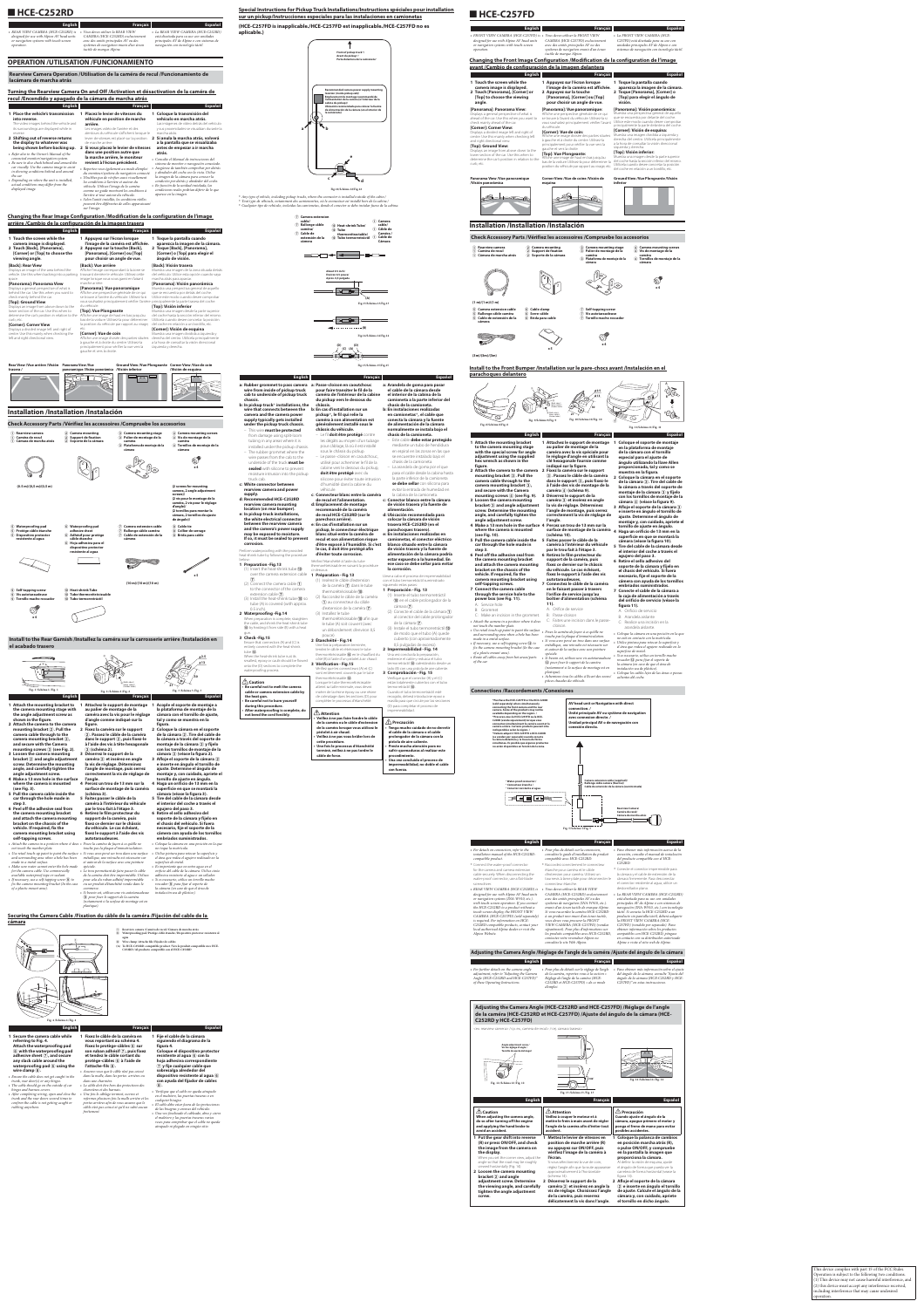# ■**HCE-C252RD**

| <b>English</b>                             | <b>Français</b>                         | <b>Español</b>                             |
|--------------------------------------------|-----------------------------------------|--------------------------------------------|
| • REAR VIEW CAMERA (HCE-C252RD) is         | Vous devez utiliser la REAR VIEW        | • La REAR VIEW CAMERA (HCE-C252RD)         |
| designed for use with Alpine AV head units | CAMERA (HCE-C252RD) exclusivement       | está diseñada para su uso con unidades     |
| or navigation systems with touch-screen    | avec des unités principales AV ou des   | principales AV de Alpine o con sistemas de |
| operation.                                 | systèmes de navigation munis d'un écran | navegación con tecnología táctil.          |

*tactile de marque Alpine.*

# **OPERATION /UTILISATION /FUNCIONAMIENTO**

# **Rearview Camera Operation /Utilisation de la caméra de recul /Funcionamiento de lacámara de marcha atrás**

# **Turning the Rearview Camera On and Off /Activation et désactivation de la caméra de recul /Encendido y apagado de la cámara de marcha atrás**

| <b>English</b>                                                                                                                                                                                                                                                                                                                                                                                                                                                                                                                                                                                                       | <b>Français</b>                                                                                                                                                                                                                                                                                                                                                                                                                                                                                                                                                                                                                                                                                                                                                                                                                          | <b>Español</b>                                                                                                                                                                                                                                                                                                                                                                                                                                                                                                                                                                                                                                                                                     |
|----------------------------------------------------------------------------------------------------------------------------------------------------------------------------------------------------------------------------------------------------------------------------------------------------------------------------------------------------------------------------------------------------------------------------------------------------------------------------------------------------------------------------------------------------------------------------------------------------------------------|------------------------------------------------------------------------------------------------------------------------------------------------------------------------------------------------------------------------------------------------------------------------------------------------------------------------------------------------------------------------------------------------------------------------------------------------------------------------------------------------------------------------------------------------------------------------------------------------------------------------------------------------------------------------------------------------------------------------------------------------------------------------------------------------------------------------------------------|----------------------------------------------------------------------------------------------------------------------------------------------------------------------------------------------------------------------------------------------------------------------------------------------------------------------------------------------------------------------------------------------------------------------------------------------------------------------------------------------------------------------------------------------------------------------------------------------------------------------------------------------------------------------------------------------------|
| 1 Place the vehicle's transmission<br>into reverse.<br>The video images behind the vehicle and<br>its surroundings are displayed while in<br>reverse.<br>2 Shifting out of reverse returns<br>the display to whatever was<br>being shown before backing up.<br>• Refer also to the Owner's Manual of the<br>connected monitor/navigation system.<br>• Be sure to also check behind and around the<br>car visually. Use the camera image to assist<br>in showing conditions behind and around<br>the car.<br>• Depending on where the unit is installed,<br>actual conditions may differ from the<br>displayed image. | Placez le levier de vitesses du<br>véhicule en position de marche<br>arrière.<br>Les images vidéo de l'arrière et des<br>alentours du véhicule s'affichent lorsque le<br>levier de vitesses est placé sur la position<br>de marche arrière.<br>2 Si vous placez le levier de vitesses<br>dans une position autre que<br>la marche arrière, le moniteur<br>revient à l'écran précédent.<br>• Reportez-vous également au mode d'emploi<br>du moniteur/système de navigation connecté.<br>· N'oubliez pas de vérifier aussi visuellement<br>les conditions à l'arrière et autour du<br>véhicule. Utilisez l'image de la caméra<br>comme un guide montrant les conditions à<br>l'arrière et tout autour du véhicule.<br>• Selon l'unité installée, les conditions réelles<br>peuvent être différentes de celles apparaissant<br>sur l'image. | 1 Coloque la transmisión del<br>vehículo en marcha atrás.<br>Las imágenes de vídeo detrás del vehículo<br>y sus proximidades se visualizan durante la<br>marcha atrás.<br>2 Si anula la marcha atrás, volverá<br>a la pantalla que se visualizaba<br>antes de empezar a ir marcha<br>atrás.<br>• Consulte el Manual de instrucciones del<br>sistema de monitor o navegación conectado.<br>· Asegúrese de también comprobar por detrás<br>y alrededor del coche con la vista. Utilice<br>la imagen de la cámara para conocer la<br>condición por detrás y alrededor del coche.<br>· En función de la unidad instalada, las<br>condiciones reales podrían diferir de lo que<br>aparece en la imagen. |

# **Changing the Rear Image Configuration /Modification de la configuration de l'image arrière /Cambio de la configuración de la imagen trasera**

| <b>English</b>                                                                                                                                                                                                                                                                                                                                                                                                                                                                                                                                                                                                           | <b>Français</b>                                                                                                                                                                                                                                                                                                                                                                                                                                                                                                                                                                                                                                                                                                                                                                                                          | <b>Español</b>                                                                                                                                                                                                                                                                                                                                                                                                                                                                                                                                                                                                                                                                                                                                        |
|--------------------------------------------------------------------------------------------------------------------------------------------------------------------------------------------------------------------------------------------------------------------------------------------------------------------------------------------------------------------------------------------------------------------------------------------------------------------------------------------------------------------------------------------------------------------------------------------------------------------------|--------------------------------------------------------------------------------------------------------------------------------------------------------------------------------------------------------------------------------------------------------------------------------------------------------------------------------------------------------------------------------------------------------------------------------------------------------------------------------------------------------------------------------------------------------------------------------------------------------------------------------------------------------------------------------------------------------------------------------------------------------------------------------------------------------------------------|-------------------------------------------------------------------------------------------------------------------------------------------------------------------------------------------------------------------------------------------------------------------------------------------------------------------------------------------------------------------------------------------------------------------------------------------------------------------------------------------------------------------------------------------------------------------------------------------------------------------------------------------------------------------------------------------------------------------------------------------------------|
| 1 Touch the screen while the<br>camera image is displayed.<br>2 Touch [Back], [Panorama],<br>[Corner] or [Top] to choose the<br>viewing angle.                                                                                                                                                                                                                                                                                                                                                                                                                                                                           | 1 Appuyez sur l'écran lorsque<br>l'image de la caméra est affichée.<br>2 Appuyez sur la touche [Back],<br>[Panorama], [Corner] ou [Top]<br>pour choisir un angle de vue.                                                                                                                                                                                                                                                                                                                                                                                                                                                                                                                                                                                                                                                 | 1 Toque la pantalla cuando<br>aparezca la imagen de la cámara.<br>2 Toque [Back], [Panorama],<br>[Corner] o [Top] para elegir el<br>ángulo de visión.                                                                                                                                                                                                                                                                                                                                                                                                                                                                                                                                                                                                 |
| [Back]: Rear View<br>Displays an image of the area behind the<br>vehicle. Use this when backing into a parking<br>space.<br>[Panorama]: Panorama View<br>Displays a general perspective of what is<br>behind the car. Use this when you want to<br>check mainly behind the car.<br>[Top]: Ground View<br>Displays an image from above down to the<br>lower section of the car. Use this when to<br>determine the car's position in relation to the<br>curb, etc.<br>[Corner]: Corner View<br>Displays a divided image left and right of<br>centre. Use this mainly when checking the<br>left and right directional view. | [Back]: Vue arrière<br>Affiche l'image correspondant à la zone se<br>trouvant derrière le véhicule. Utilisez cette<br>image lorsque vous vous garez en faisant<br>marche arrière.<br>[Panorama]: Vue panoramique<br>Affiche une perspective générale de ce qui<br>se trouve à l'arrière du véhicule. Utilisez-la si<br>vous souhaitez principalement vérifier l'arrière principalmente la parte trasera del coche.<br>du véhicule<br>[Top]: Vue Plongeante<br>Affiche une image de haut en bas jusqu'au<br>bas de la voiture. Utilisez-la pour déterminer<br>la position du véhicule par rapport au virage,<br>etc.<br>[Corner]: Vue de coin<br>Affiche une image divisée des parties situées<br>à gauche et à droite du centre. Utilisez-la<br>principalement pour vérifier la vue vers la<br>gauche et vers la droite. | [Back]: Visión trasera<br>Muestra una imagen de la zona situada detrás<br>del vehículo. Utilice esta opción cuando vaya<br>marcha atrás para aparcar.<br>[Panorama]: Visión panorámica<br>Muestra una perspectiva general de aquello<br>que se encuentra por detrás del coche.<br>Utilice este modo cuando desee comprobar<br>[Top]: Visión inferior<br>Muestra una imagen desde la parte superior<br>del coche hasta la sección inferior del mismo.<br>Utilícela cuando desee concretar la posición<br>del coche en relación a un bordillo, etc.<br>[Corner]: Visión de esquina<br>Muestra una imagen dividida a izquierda y<br>derecha del centro. Utilícela principalmente<br>a la hora de consultar la visión direccional<br>izquierda y derecha. |
| Rear View /Vue arrière /Visión Panorama View /Vue                                                                                                                                                                                                                                                                                                                                                                                                                                                                                                                                                                        |                                                                                                                                                                                                                                                                                                                                                                                                                                                                                                                                                                                                                                                                                                                                                                                                                          | Ground View /Vue Plongeante Corner View /Vue de coin                                                                                                                                                                                                                                                                                                                                                                                                                                                                                                                                                                                                                                                                                                  |

| trasera/ | panoramique /Visión panorámica /Visión inferior | /Visión de esquina |
|----------|-------------------------------------------------|--------------------|
|          | <b><i>Comment</i></b><br>$\sim$                 |                    |

# **Installation /Installation /Instalación**





**e la cámara siguiendo el diagrama de la Coloque el dispositivo protector resistente al agua** F **con la hoja adhesiva correspondiente**  G **y fije cualquier cable que sobresalga alrededor del dispositente al agua**  $\textcircled{\scriptsize{6}}$ **con ayuda del fijador de cables**  • *Verifique que el cable no queda atrapado en el maletero, las puertas traseras o en* 

| <i>(ט.ט</i> )/ <i>(ט,ס</i> m)/(ט,ס m)                                                                                                                                                                                                                                                                                                                                                                                                                                                                                                                                                                                                                                                                                                                                                                                                                                                                                                                                                                                    |                                                                                                                                                                                                                                                                                                                                                |                                                                                                                                                                                                                                                                                                                                                                                                                                                                                                                                                     |                      | (2 screws for mounting<br>camera, 2 angle adjustment<br>screws)/<br>(2 vis pour le montage de la<br>caméra, 2 vis pour le réglage<br>d'angle)/<br>(2 tornillos para montar la<br>cámara, 2 tornillos de ajuste<br>de ángulo)/                                                                                                                                                                                                                                                                                                                                                                                                                                                                                                                                                                                                                                                                                                                                                                                                      |
|--------------------------------------------------------------------------------------------------------------------------------------------------------------------------------------------------------------------------------------------------------------------------------------------------------------------------------------------------------------------------------------------------------------------------------------------------------------------------------------------------------------------------------------------------------------------------------------------------------------------------------------------------------------------------------------------------------------------------------------------------------------------------------------------------------------------------------------------------------------------------------------------------------------------------------------------------------------------------------------------------------------------------|------------------------------------------------------------------------------------------------------------------------------------------------------------------------------------------------------------------------------------------------------------------------------------------------------------------------------------------------|-----------------------------------------------------------------------------------------------------------------------------------------------------------------------------------------------------------------------------------------------------------------------------------------------------------------------------------------------------------------------------------------------------------------------------------------------------------------------------------------------------------------------------------------------------|----------------------|------------------------------------------------------------------------------------------------------------------------------------------------------------------------------------------------------------------------------------------------------------------------------------------------------------------------------------------------------------------------------------------------------------------------------------------------------------------------------------------------------------------------------------------------------------------------------------------------------------------------------------------------------------------------------------------------------------------------------------------------------------------------------------------------------------------------------------------------------------------------------------------------------------------------------------------------------------------------------------------------------------------------------------|
| 5 Waterproofing pad<br>5 Protège câble étanche<br>5 Dispositivo protector<br>resistente al agua                                                                                                                                                                                                                                                                                                                                                                                                                                                                                                                                                                                                                                                                                                                                                                                                                                                                                                                          | 6 Waterproofing pad<br>adhesive sheet<br>6 Adhésif pour protège<br>câble étanche<br>6 Hoja adhesiva para el<br>dispositivo protector<br>resistente al agua                                                                                                                                                                                     | (7) Camera extension cable<br>(7) Rallonge câble caméra<br>(7) Cable de extensión de la<br>cámera                                                                                                                                                                                                                                                                                                                                                                                                                                                   |                      | (8) Cable tie<br>8 Collier de serrage<br>8 Brida para cable                                                                                                                                                                                                                                                                                                                                                                                                                                                                                                                                                                                                                                                                                                                                                                                                                                                                                                                                                                        |
|                                                                                                                                                                                                                                                                                                                                                                                                                                                                                                                                                                                                                                                                                                                                                                                                                                                                                                                                                                                                                          |                                                                                                                                                                                                                                                                                                                                                |                                                                                                                                                                                                                                                                                                                                                                                                                                                                                                                                                     |                      | x 5                                                                                                                                                                                                                                                                                                                                                                                                                                                                                                                                                                                                                                                                                                                                                                                                                                                                                                                                                                                                                                |
| <b>9</b> Self-tapping screw<br>9 Vis autotaraudeuse<br>9 Tornillo macho roscador                                                                                                                                                                                                                                                                                                                                                                                                                                                                                                                                                                                                                                                                                                                                                                                                                                                                                                                                         | (10) Heat-shrink Tube<br>10 Tube thermorétrécissable<br>10 Tubo termorretráctil                                                                                                                                                                                                                                                                | $(10 \text{ m})/(10 \text{ m})/(10 \text{ m})$                                                                                                                                                                                                                                                                                                                                                                                                                                                                                                      |                      |                                                                                                                                                                                                                                                                                                                                                                                                                                                                                                                                                                                                                                                                                                                                                                                                                                                                                                                                                                                                                                    |
| x 4<br>Install to the Rear Garnish /Installez la caméra sur la carrosserie arrière /Instalación en<br>el acabado trasero<br>≂∋                                                                                                                                                                                                                                                                                                                                                                                                                                                                                                                                                                                                                                                                                                                                                                                                                                                                                           |                                                                                                                                                                                                                                                                                                                                                |                                                                                                                                                                                                                                                                                                                                                                                                                                                                                                                                                     |                      | φ2.5<br>$\phi$ 13                                                                                                                                                                                                                                                                                                                                                                                                                                                                                                                                                                                                                                                                                                                                                                                                                                                                                                                                                                                                                  |
| Fig. 1/Schéma 1/Fig. 1<br><b>English</b>                                                                                                                                                                                                                                                                                                                                                                                                                                                                                                                                                                                                                                                                                                                                                                                                                                                                                                                                                                                 |                                                                                                                                                                                                                                                                                                                                                | a) (Both sides)/<br>deux côtés)<br>(Ambos lados)<br>Fig. 2 / Schéma 2 / Fig. 2<br><b>Français</b>                                                                                                                                                                                                                                                                                                                                                                                                                                                   |                      | 30<br>Fig. 3 / Schéma 3 / Fig. 3<br>Español                                                                                                                                                                                                                                                                                                                                                                                                                                                                                                                                                                                                                                                                                                                                                                                                                                                                                                                                                                                        |
| 1 Attach the mounting bracket to<br>the camera mounting stage with<br>the angle adjustment screw as<br>shown in the figure.<br>2 Attach the camera to the camera<br>mounting bracket $(2)$ . Pull the<br>camera cable through to the<br>camera mounting bracket $(2)$ ,<br>and secure with the Camera<br>mounting screws $(3)$ (see Fig. 2).<br>3 Loosen the camera mounting<br>bracket $(2)$ and angle adjustment<br>screw. Determine the mounting<br>angle, and carefully tighten the<br>angle adjustment screw.<br>4 Make a 13 mm hole in the surface<br>where the camera is mounted<br>(see Fig. 3).<br>5 Pull the camera cable inside the<br>car through the hole made in<br>step 3.<br>6 Peel off the adhesive seal from<br>the camera mounting bracket<br>and attach the camera mounting<br>bracket on the chassis of the<br>vehicle. If required, fix the<br>camera mounting bracket using<br>self-tapping screws.<br>• Attach the camera in a position where it does • Fixez la caméra de façon à ce qu'elle ne | au palier de montage de la<br>figure.<br>2 Fixez la caméra sur le support<br>(3) (schéma 2).<br>3 Déserrez le support de la<br>l'angle.<br>(schéma 3).<br>5 Faites passer le câble de la<br>par le trou fait à l'étape 3.<br>6 Retirez le film protecteur du<br>support de la caméra, puis<br>du véhicule. Le cas échéant,<br>autotaraudeuses. | 1 Attachez le support de montage<br>caméra avec la vis pour le réglage<br>d'angle comme indiqué sur la<br>2. Passez le câble de la caméra<br>dans le support (2), puis fixez-le<br>à l'aide des vis à tête hexagonale<br>caméra (2) et insérez en angle<br>la vis de réglage. Déterminez<br>l'angle de montage, puis serrez<br>correctement la vis de réglage de<br>4 Percez un trou de 13 mm sur la<br>surface de montage de la caméra<br>caméra à l'intérieur du véhicule<br>fixez ce dernier sur le châssis<br>fixez le support à l'aide des vis | fiaura.              | 1 Acople el soporte de montaje a<br>la plataforma de montaje de la<br>cámara con el tornillo de ajuste,<br>tal y como se muestra en la<br>2 Coloque la cámara en el soporte<br>de la cámara (2). Tire del cable de<br>la cámara a través del soporte de<br>montaje de la cámara 2 y fíjelo<br>con los tornillos de montaje de la<br>cámara 3 (véase la figura 2).<br>3 Afloje el soporte de la cámara (2)<br>e inserte en ángulo el tornillo de<br>ajuste. Determine el ángulo de<br>montaje y, con cuidado, apriete el<br>tornillo de ajuste en ángulo.<br>4 Haga un orificio de 13 mm en la<br>superficie en que se montará la<br>cámara (véase la figura 3).<br>5 Tire del cable de la cámara desde<br>el interior del coche a través el<br>agujero del paso 3.<br>6 Retire el sello adhesivo del<br>soporte de la cámara y fíjelo en<br>el chasis del vehículo. Si fuera<br>necesario, fije el soporte de la<br>cámera con ayuda de los tornillos<br>embriados suministrados.<br>• Coloque la cámara en una posición en la que |
| not touch the number plate.<br>• Use retail touch-up paint to paint the surface •<br>and surrounding area when a hole has been<br>made in a metal surface.<br>• Make sure water cannot enter the hole made<br>for the camera cable. Use commercially<br>available waterproof tape or sealant.<br>• If necessary, use a self-tapping screw $\circledA$ to<br>fix the camera mounting bracket (In the case<br>of a plastic mount area).                                                                                                                                                                                                                                                                                                                                                                                                                                                                                                                                                                                    | spéciale.<br>commerce.<br>(9) pour fixer le support de la caméra<br>plastique).                                                                                                                                                                                                                                                                | touche pas la plaque d'immatriculation.<br>Si vous avez percé un trou dans une surface<br>métallique, une retouche est nécessaire sur<br>et autour de la surface avec une peinture<br>• Le trou permettant de faire passer le câble<br>de la caméra doit être imperméable. Utilisez<br>pour cela du ruban adhésif imperméable<br>ou un produit d'étanchéité vendu dans le<br>• Si besoin est, utilisez une vis autotaraudeuse<br>(notamment si la surface de montage est en                                                                         | superficie de metal. | no toque la matrícula.<br>• Utilice pintura para retocar la superficie y<br>el área que rodea el agujero realizado en la<br>• Es importante que no entre agua en el<br>orificio del cable de la cámara. Utilice cinta<br>adhesiva resistente al agua o un sellador.<br>• Si es necesario, utilice un tornillo macho<br>roscador ⑨ para fijar el soporte de<br>la cámara (en caso de que el área de<br>instalación sea de plástico).                                                                                                                                                                                                                                                                                                                                                                                                                                                                                                                                                                                                |

# **Securing the Camera Cable /Fixation du câble de la caméra /Fijación del cable de la**



| ⋒ | Rearview camera / Caméra de recul / Cámara de marcha atrás                                                                                                                                                                                                                                                                         |
|---|------------------------------------------------------------------------------------------------------------------------------------------------------------------------------------------------------------------------------------------------------------------------------------------------------------------------------------|
| 6 | Waterproofing pad /Protège câble étanche /Dispositivo protector resistente al                                                                                                                                                                                                                                                      |
|   | agua                                                                                                                                                                                                                                                                                                                               |
| 8 | Wire clamp /Attache fils /Fiiador de cables                                                                                                                                                                                                                                                                                        |
|   | $\overline{a}$ and $\overline{a}$ are $\overline{a}$ and $\overline{a}$ and $\overline{a}$ are $\overline{a}$ and $\overline{a}$ are $\overline{a}$ and $\overline{a}$ are $\overline{a}$ and $\overline{a}$ are $\overline{a}$ and $\overline{a}$ are $\overline{a}$ and $\overline{a}$ are $\overline{a}$ and $\overline{a}$ are |

**(A) To HCE-C252RD-compatible product /Vers le produit compatible avec HCE-C252RD /Al producto compatible con el HCE-C252RD**

| <b>English</b>                                |                                                 | <b>Français</b>          |
|-----------------------------------------------|-------------------------------------------------|--------------------------|
| 1 Secure the camera cable while               | 1 Fixez le câble de la caméra en                | 1 Fije el cable de       |
| referring to Fig. 4.                          | vous reportant au schéma 4.                     | siquiendo el dia         |
| Attach the waterproofing pad                  | Fixez le protège-câbles (6) sur                 | figura 4.                |
| (6) with the waterproofing pad                | son ruban adhésif $(7)$ , puis fixez            | Coloque el disp          |
| adhesive sheet $(7)$ , and secure             | et tendez le câble sortant du                   | resistente al ag         |
| any slack cable around the                    | protège-câbles 6 à l'aide de                    | hoja adhesiva q          |
| waterproofing pad $(6)$ using the             | l'attache-fils $\circledR$ .                    | $(7)$ y fije cualqu      |
| wire clamp $(8)$ .                            | • Assurez-vous que le câble n'est pas coincé    | sobresalga alre          |
| • Ensure the cable does not get caught in the | dans la malle, dans les portes arrières ou      | dispositivo resi         |
| trunk, rear door(s) or any hinges.            | dans une charnière.                             | con ayuda del f          |
| • The cable should go on the outside of car   | • Le câble doit être hors des protections des   | (8).                     |
| hinges and harness covers.                    | charnières et des harnais.                      | • Verifique que el cable |
| • After completing wiring, open and close the | · Une fois le câblage terminé, ouvrez et        | en el maletero, las pu   |
| trunk and the rear doors several times to     | refermez plusieurs fois la malle arrière et les | cualquier bisagra.       |
| confirm the cable is not getting caught or    | portes arrières afin de vous assurez que le     | • El cable debe estar fu |
| rubbing anywhere.                             | câble n'est pas coincé et qu'il ne subit aucun  | de las hisagras y arne   |

*frottement.*

**Español**

*cualquier bisagra.* • *El cable debe estar fuera de las protecciones de las bisagras y arneses del vehículo.* • *Una vez finalizado el cableado, abra y cierre el maletero y las puertas traseras varias veces para comprobar que el cable no queda atrapado ni plegado en ningún sitio.*

# **Special Instructions for Pickup Truck Installations/Instructions spéciales pour installation sur un pickup/Instrucciones especiales para las instalaciones en camionetas**

**(HCE-C257FD is inapplicable./HCE-C257FD est inapplicable./HCE-C257FD no es aplicable.)**

**Fig.12/Schéma 12/Fig.12**



\* *Any type of vehicle, including pickup trucks, where the connector is installed outside of the cabin./* \* *Tout type de véhicule, notamment des camionnettes, où le connecteur est installé hors de la cabine./* \* *Cualquier tipo de vehículo, incluidas las camionetas, donde el conector se debe instalar fuera de la cabina.*









**Fig.15/Schéma 15/Fig.15**

**c: White connector between rearview camera and power** 

| <b>Français</b>                                                                                                                                                                                                                                                                                                                                                                                                                                                                                                                                     | <b>Español</b>                                                                                                                                                                                                                                                                                                                                                                                                                                                                                                                                  |
|-----------------------------------------------------------------------------------------------------------------------------------------------------------------------------------------------------------------------------------------------------------------------------------------------------------------------------------------------------------------------------------------------------------------------------------------------------------------------------------------------------------------------------------------------------|-------------------------------------------------------------------------------------------------------------------------------------------------------------------------------------------------------------------------------------------------------------------------------------------------------------------------------------------------------------------------------------------------------------------------------------------------------------------------------------------------------------------------------------------------|
| a: Passe-cloison en caoutchouc<br>pour faire transiter le fil de la<br>caméra de l'intérieur de la cabine<br>du pickup vers le dessous du<br>châssis.<br>b: En cas d'installation sur un<br>pickup*, le fil qui relie la<br>caméra à son alimentation est<br>généralement installé sous le<br>châssis du véhicule.<br>- Le fil <b>doit être protégé</b> contre<br>les dégâts au moyen d'un tubage<br>pour câblage, là où il est installé<br>sous le châssis du pickup.<br>- Le passe -cloison en caoutchouc,<br>utilisé pour acheminer le fil de la | a: Arandela de goma para pasar<br>el cable de la cámara desde<br>el interior de la cabina de la<br>camioneta a la parte inferior del<br>chasis de la camioneta.<br>b: En instalaciones realizadas<br>en camionetas*, el cable que<br>conecta la cámara y la fuente<br>de alimentación de la cámara<br>normalmente se instala bajo el<br>chasis de la camioneta.<br>- Este cable <b>debe estar protegido</b><br>mediante un tubo de hendidura<br>en espiral en las zonas en las que<br>se encuentre instalado bajo el<br>chasis de la camioneta. |
| cabine vers le dessous du pickup,<br>doit être protégé avec du<br>silicone pour éviter toute intrusion                                                                                                                                                                                                                                                                                                                                                                                                                                              | - La arandela de goma por el que<br>pasa el cable desde la cabina hasta<br>la parte inferior de la camioneta<br>se debe sellar con silicona para                                                                                                                                                                                                                                                                                                                                                                                                |
| installed under the pickup chassis.                                                                                                                                                                                                                                                                                                                                                                                                                                                                                                                 | <b>English</b><br>b: In pickup truck* installations, the<br>moisture intrusion into the pickup<br>d'humidité dans la cabine du                                                                                                                                                                                                                                                                                                                                                                                                                  |

# ■**HCE-C257FD**

| rearview camera and power                   | véhicule.                                                  | evitar la entrada de humedad en                                                        |
|---------------------------------------------|------------------------------------------------------------|----------------------------------------------------------------------------------------|
| supply.                                     | c: Connecteur blanc entre la caméra                        | la cabina de la camioneta.                                                             |
| d: Recommended HCE-C252RD                   | de recul et l'alimentation.                                | c: Conector blanco entre la cámara                                                     |
| rearview camera mounting                    | d: Emplacement de montage                                  | de visión trasera y la fuente de                                                       |
| location (on rear bumper).                  | recommandé de la caméra                                    | alimentación.                                                                          |
| e: In pickup truck installations,           | de recul HCE-C252RD (sur le                                | d: Ubicación recomendada para                                                          |
| the white electrical connector              | parechocs arrière).                                        | colocar la cámara de visión                                                            |
| between the rearview camera                 | e: En cas d'installation sur un                            | trasera HCE-C252RD (en el                                                              |
| and the camera's power supply               | pickup, le connecteur électrique                           | parachoques trasero).                                                                  |
| may be exposed to moisture.                 | blanc situé entre la caméra de                             | e: En instalaciones realizadas en                                                      |
| If so, it must be sealed to prevent         | recul et son alimentation risque                           | camionetas, el conector eléctrico                                                      |
| corrosion.                                  | d'être exposé à l'humidité. Si c'est                       | blanco situado entre la cámara                                                         |
| Perform waterproofing with the provided     | le cas, il doit être protégé afin                          | de visión trasera y la fuente de                                                       |
| heat-shrink tube by following the procedure | d'éviter toute corrosion.                                  | alimentación de la cámara podría                                                       |
| below:                                      | Vérifiez l'étanchéité à l'aide du tube                     | estar expuesto a la humedad. En                                                        |
| 1 Preparation - Fig. 13                     | thermorétrécissable en suivant la procédure                | ese caso se debe sellar para evitar                                                    |
| (1) Insert the heat-shrink tube $(1)$       | ci-dessous:                                                | la corrosión.                                                                          |
| over the camera extension cable             | 1 Préparation - Fig.13                                     |                                                                                        |
| (7).                                        | (1) Insérez le câble d'extension                           | Lleve a cabo el proceso de impermeabilidad<br>con el tubo termorretráctil suministrado |
| (2) Connect the camera cable $(1)$          |                                                            | siquiendo estos pasos:                                                                 |
| to the connector of the camera              | de la caméra (7) dans le tube                              | 1 Preparación - Fig. 13                                                                |
| extension cable $(7)$ .                     | thermorétrécissable (10.                                   | (1) Inserte el tubo termorretráctil                                                    |
| (3) Install the heat-shrink tube $(10)$ so  | (2) Raccordez le câble de la caméra                        |                                                                                        |
| tube (A) is covered (with approx.           | 1) au connecteur du câble                                  | (10) en el cable prolongador de la                                                     |
| $0.5$ inch).                                | d'extension de la caméra $(7)$ .                           | cámara $(7)$ .                                                                         |
| 2 Waterproofing -Fig.14                     | (3) Installez le tube                                      | (2) Conecte el cable de la cámara $\left( \mathbf{1} \right)$                          |
| When preparation is complete, straighten    | thermorétrécissable (10) afin que                          | al conector del cable prolongador                                                      |
| the cable, and shrink the heat-shrink tube  | le tube (A) soit couvert (avec                             | de la cámara $(7)$ .                                                                   |
| 10 by heating it from side (B) with a heat  | un débordement d'environ 0,5                               | (3) Instale el tubo termorretráctil (10)                                               |
| gun.                                        |                                                            | de modo que el tubo (A) quede                                                          |
| 3 Check-Fig.15                              | pouce).                                                    | cubierto (con aproximadamente                                                          |
| Ensure that connectors (A) and (C) is       | 2 Étanchéité - Fig.14<br>Une fois la préparation terminée, | 0,5 pulgadas de exceso).                                                               |
| entirely covered with the heat-shrink       | tendez le câble et rétrécissez le tube                     | 2 Impermeabilidad - Fig. 14                                                            |
| tube $(10)$ .                               | thermorétrécissable (10) en le chauffant du                | Una vez concluida la preparación,                                                      |
| When the heat-shrink tube is at its         | côté (B) à l'aide d'un pistolet à air chaud.               | enderece el cable y reduzca el tubo                                                    |
| smallest, epoxy or caulk should be flowed   | 3 Vérification - Fig.15                                    | termorretráctil (10 calentándolo desde un                                              |
| onto the (D) sections to complete the       | Vérifiez que les connecteurs (A) et (C)                    | lado (B) con una pistola de aire caliente.                                             |
| waterproofing process.                      | sont entièrement couverts par le tube                      | 3 Comprobación - Fig. 15                                                               |
|                                             | thermorétrécissable (10.                                   | Verifique que el conector (A) y el (C)                                                 |
| $\triangle$ Caution                         | Lorsque le tube thermorétrécissable                        | están totalmente cubiertos con el tubo                                                 |
| • Be careful not to melt the camera         | atteint sa taille minimale, vous devez                     | termorretráctil (10.                                                                   |
| cable or camera extension cable by          | insérer de la résine époxy ou une résine                   | Cuando el tubo termorretráctil esté                                                    |
| the heat gun.                               | de colmatage dans les sections (D) pour                    | recogido, deberá introducirse epoxi o                                                  |
| • Be careful not to burn yourself           | compléter le processus d'étanchéité.                       | masilla para que circule por las secciones                                             |
| during this procedure.                      |                                                            | (D) para completar el proceso de                                                       |
| • After waterproofing is complete, do       | $\triangle$ Attention                                      | impermeabilidad.                                                                       |
| not bend the cord forcibly.                 | · Veillez à ne pas faire fondre le câble                   |                                                                                        |
|                                             | de la caméra ou le câble d'extension                       | $\mathcal{L}$ Precaución                                                               |
|                                             | de la caméra lorsque vous utilisez le                      | · Tenga mucho cuidado de no derretir                                                   |
|                                             | pistolet à air chaud.                                      | el cable de la cámara o el cable                                                       |
|                                             | · Veillez à ne pas vous brûler lors de                     | prolongador de la cámara con la                                                        |
|                                             | cette procédure.                                           | pistola de aire caliente.                                                              |
|                                             | · Une fois le processus d'étanchéité                       | · Preste mucha atención para no                                                        |
|                                             | terminé, veillez à ne pas tordre le                        | sufrir quemaduras al realizar este                                                     |
|                                             | câble de force.                                            | procedimiento.                                                                         |

evitar la entrada de humedad en

**• Una vez concluido el proceso de impermeabilidad, no doble el cable** 

**con fuerza.**

| <b>English</b>                                                                                                                                                                                                                                                                                                                                                                                                                                                                                  | <b>Français</b>                                                                                                                                                                                                                                                                                                                                                                                                                                                                                                                                                                       | Español                                                                                                                                                                                                                                                                                                                                                                                                                                                                                                                                                                                                                                          |
|-------------------------------------------------------------------------------------------------------------------------------------------------------------------------------------------------------------------------------------------------------------------------------------------------------------------------------------------------------------------------------------------------------------------------------------------------------------------------------------------------|---------------------------------------------------------------------------------------------------------------------------------------------------------------------------------------------------------------------------------------------------------------------------------------------------------------------------------------------------------------------------------------------------------------------------------------------------------------------------------------------------------------------------------------------------------------------------------------|--------------------------------------------------------------------------------------------------------------------------------------------------------------------------------------------------------------------------------------------------------------------------------------------------------------------------------------------------------------------------------------------------------------------------------------------------------------------------------------------------------------------------------------------------------------------------------------------------------------------------------------------------|
| • FRONT VIEW CAMERA (HCE-C257FD) is • Vous devez utiliser la FRONT VIEW<br>designed for use with Alpine AV head units<br>or navigation systems with touch-screen<br>operation.                                                                                                                                                                                                                                                                                                                  | CAMERA (HCE-C257FD) exclusivement<br>avec des unités principales AV ou des<br>systèmes de navigation munis d'un écran<br>tactile de marque Alpine.                                                                                                                                                                                                                                                                                                                                                                                                                                    | • La FRONT VIEW CAMERA (HCE-<br>C257FD) está diseñada para su uso con<br>unidades principales AV de Alpine o con<br>sistemas de navegación con tecnología táctil.                                                                                                                                                                                                                                                                                                                                                                                                                                                                                |
|                                                                                                                                                                                                                                                                                                                                                                                                                                                                                                 | <u>Changing the Front Image Configuration /Modification de la configuration de l'image</u>                                                                                                                                                                                                                                                                                                                                                                                                                                                                                            |                                                                                                                                                                                                                                                                                                                                                                                                                                                                                                                                                                                                                                                  |
| avant /Cambio de configuración de la imagen delantera                                                                                                                                                                                                                                                                                                                                                                                                                                           |                                                                                                                                                                                                                                                                                                                                                                                                                                                                                                                                                                                       |                                                                                                                                                                                                                                                                                                                                                                                                                                                                                                                                                                                                                                                  |
| <b>English</b>                                                                                                                                                                                                                                                                                                                                                                                                                                                                                  | <b>Français</b>                                                                                                                                                                                                                                                                                                                                                                                                                                                                                                                                                                       | <b>Español</b>                                                                                                                                                                                                                                                                                                                                                                                                                                                                                                                                                                                                                                   |
| 1 Touch the screen while the<br>camera image is displayed.<br>2 Touch [Panorama], [Corner] or<br>[Top] to choose the viewing<br>angle.                                                                                                                                                                                                                                                                                                                                                          | 1 Appuyez sur l'écran lorsque<br>l'image de la caméra est affichée.<br>2 Appuyez sur la touche<br>[Panorama], [Corner] ou [Top]<br>pour choisir un angle de vue.                                                                                                                                                                                                                                                                                                                                                                                                                      | 1 Toque la pantalla cuando<br>aparezca la imagen de la cámara.<br>2 Toque [Panorama], [Corner] o<br>[Top] para elegir el ángulo de<br>visión.                                                                                                                                                                                                                                                                                                                                                                                                                                                                                                    |
| [Panorama]: Panorama View:<br>Displays a general perspective of what is<br>ahead of the car. Use this when you want to<br>check mainly ahead of the car.<br>[Corner]: Corner View:<br>Displays a divided image left and right of<br>centre. Use this mainly when checking left<br>and right directional view.<br>[Top]: Ground View:<br>Displays an image from above down to the<br>lower section of the car. Use this when to<br>determine the car's position in relation to the<br>curb, etc. | [Panorama]: Vue panoramique:<br>Affiche une perspective générale de ce qui<br>se trouve à l'avant du véhicule. Utilisez-la si<br>vous souhaitez principalement vérifier l'avant<br>du véhicule.<br>[Corner]: Vue de coin:<br>Affiche une image divisée des parties situées<br>à gauche et à droite du centre. Utilisez-la<br>principalement pour vérifier la vue vers la<br>gauche et vers la droite.<br>[Top]: Vue Plongeante:<br>Affiche une image de haut en bas jusqu'au<br>bas de la voiture. Utilisez-la pour déterminer la<br>position du véhicule par rapport au virage, etc. | [Panorama]: Visión panorámica:<br>Muestra una perspectiva general de aquello<br>que se encuentra por delante del coche.<br>Utilice este modo cuando desee comprobar<br>principalmente la parte delantera del coche.<br>[Corner]: Visión de esquina:<br>Muestra una imagen dividida a izquierda y<br>derecha del centro. Utilícela principalmente<br>a la hora de consultar la visión direccional<br>izquierda y derecha.<br>[Top]: Visión inferior:<br>Muestra una imagen desde la parte superior<br>del coche hasta la sección inferior del mismo.<br>Utilícela cuando desee concretar la posición<br>del coche en relación a un bordillo, etc. |
| Panorama View / Vue panoramique<br>/Visión panorámica                                                                                                                                                                                                                                                                                                                                                                                                                                           | Corner View /Vue de coine /Visión de<br>esquina                                                                                                                                                                                                                                                                                                                                                                                                                                                                                                                                       | Ground View /Vue Plongeante /Visión<br>inferior                                                                                                                                                                                                                                                                                                                                                                                                                                                                                                                                                                                                  |
| <b>Installation /Installation /Instalación</b>                                                                                                                                                                                                                                                                                                                                                                                                                                                  |                                                                                                                                                                                                                                                                                                                                                                                                                                                                                                                                                                                       |                                                                                                                                                                                                                                                                                                                                                                                                                                                                                                                                                                                                                                                  |
|                                                                                                                                                                                                                                                                                                                                                                                                                                                                                                 | Check Accessory Parts / Vérifiez les accessoires / Compruebe los accesorios                                                                                                                                                                                                                                                                                                                                                                                                                                                                                                           |                                                                                                                                                                                                                                                                                                                                                                                                                                                                                                                                                                                                                                                  |
| (1) Rearview camera<br>(1) Caméra de recul<br>(1) Cámara de marcha atrás                                                                                                                                                                                                                                                                                                                                                                                                                        | (2) Camera mounting<br>3 Camera mounting stage<br>2 Support de fixation<br>3 Palier de montage de la<br>(2) Soporte de la cámara<br>caméra<br>3 Plataforma de montaje de la<br>cámara                                                                                                                                                                                                                                                                                                                                                                                                 | 4) Camera mounting screws<br>4) Vis de montage de la<br>caméra<br>(4) Tornillos de montaje de la<br>cámara                                                                                                                                                                                                                                                                                                                                                                                                                                                                                                                                       |
|                                                                                                                                                                                                                                                                                                                                                                                                                                                                                                 |                                                                                                                                                                                                                                                                                                                                                                                                                                                                                                                                                                                       |                                                                                                                                                                                                                                                                                                                                                                                                                                                                                                                                                                                                                                                  |
| (1 m)/(1 m)/(1 m)                                                                                                                                                                                                                                                                                                                                                                                                                                                                               |                                                                                                                                                                                                                                                                                                                                                                                                                                                                                                                                                                                       |                                                                                                                                                                                                                                                                                                                                                                                                                                                                                                                                                                                                                                                  |
| (5) Camera extension cable<br>6 Cable clamp<br>5 Rallonge câble caméra<br>6 Serre-câble<br>(5) Cable de extensión de la<br>6 Brida para cable<br>cámera                                                                                                                                                                                                                                                                                                                                         | (7) Self-tapping screw<br>(7) Vis autotaraudeuse<br>(7) Tornillo macho roscador                                                                                                                                                                                                                                                                                                                                                                                                                                                                                                       |                                                                                                                                                                                                                                                                                                                                                                                                                                                                                                                                                                                                                                                  |
|                                                                                                                                                                                                                                                                                                                                                                                                                                                                                                 | x 5                                                                                                                                                                                                                                                                                                                                                                                                                                                                                                                                                                                   |                                                                                                                                                                                                                                                                                                                                                                                                                                                                                                                                                                                                                                                  |
| (3m)/(3m)/(3m)                                                                                                                                                                                                                                                                                                                                                                                                                                                                                  |                                                                                                                                                                                                                                                                                                                                                                                                                                                                                                                                                                                       |                                                                                                                                                                                                                                                                                                                                                                                                                                                                                                                                                                                                                                                  |
|                                                                                                                                                                                                                                                                                                                                                                                                                                                                                                 |                                                                                                                                                                                                                                                                                                                                                                                                                                                                                                                                                                                       |                                                                                                                                                                                                                                                                                                                                                                                                                                                                                                                                                                                                                                                  |
| <u>parachoques delantero</u>                                                                                                                                                                                                                                                                                                                                                                                                                                                                    | <u>Install to the Front Bumper /Installation sur le pare-chocs avant /Instalación en el</u>                                                                                                                                                                                                                                                                                                                                                                                                                                                                                           |                                                                                                                                                                                                                                                                                                                                                                                                                                                                                                                                                                                                                                                  |
|                                                                                                                                                                                                                                                                                                                                                                                                                                                                                                 |                                                                                                                                                                                                                                                                                                                                                                                                                                                                                                                                                                                       |                                                                                                                                                                                                                                                                                                                                                                                                                                                                                                                                                                                                                                                  |
| Fig. 8/Schéma 8/Fig. 8                                                                                                                                                                                                                                                                                                                                                                                                                                                                          | $\phi$ 2.5<br>$\phi$ 13<br>(Both sides)/<br>(deux côtés)/<br>Ambos lados<br>30<br>a) (Both sides)/<br>.<br>(deux côtés)/<br>(Ambos lados)<br>Fig. 10/Schéma 10/Fig. 10<br>Fig. 9/Schéma 9/Fig. 9                                                                                                                                                                                                                                                                                                                                                                                      | فتأسم<br>Fig. 11/Schéma 11/Fig. 11                                                                                                                                                                                                                                                                                                                                                                                                                                                                                                                                                                                                               |
| <b>English</b>                                                                                                                                                                                                                                                                                                                                                                                                                                                                                  | <b>Français</b>                                                                                                                                                                                                                                                                                                                                                                                                                                                                                                                                                                       | <b>Español</b>                                                                                                                                                                                                                                                                                                                                                                                                                                                                                                                                                                                                                                   |
| 1 Attach the mounting bracket<br>to the camera mounting stage<br>with the special screw for angle<br>adjustment using the supplied<br>hex wrench as shown in the<br>figure.<br>2 Attach the camera to the camera<br>mounting bracket $(3)$ . Pull the                                                                                                                                                                                                                                           | 1 Attachez le support de montage<br>au palier de montage de la<br>caméra avec la vis spéciale pour<br>le réglage d'angle en utilisant la<br>clé hexagonale fournie comme<br>indiqué sur la figure.<br>2 Fixez la caméra sur le support<br>3. Passez le câble de la caméra                                                                                                                                                                                                                                                                                                             | 1 Coloque el soporte de montaje<br>en la plataforma de montaje<br>de la cámara con el tornillo<br>especial para el ajuste de<br>ángulo utilizando la llave Allen<br>proporcionada, tal y como se<br>muestra en la figura.<br>2 Cologue la cámara en el soporte                                                                                                                                                                                                                                                                                                                                                                                   |

**camera cable through to the camera mounting bracket**  $\mathbf{Q}$ , **and secure with the Camera** 

**dans le support** C**, puis fixez-le à l'aide des vis de montage de la** 

|  | and secure with the Camera<br>mounting screws $\left(4\right)$ (see Fig. 9).<br>3 Loosen the camera mounting<br>bracket $(3)$ and angle adjustment<br>screw. Determine the mounting<br>angle, and carefully tighten the<br>angle adjustment screw.<br>4 Make a 13 mm hole in the surface 4 Percez un trou de 13 mm sur la<br>where the camera is mounted<br>(see Fig. 10).<br>5 Pull the camera cable inside the<br>car through the hole made in<br>step 3.<br>6 Peel off the adhesive seal from<br>the camera mounting bracket<br>and attach the camera mounting<br>bracket on the chassis of the<br>vehicle. If required, fix the<br>camera mounting bracket using<br>self-tapping screws.<br>7 Connect the camera cable<br>through the service hole to the<br>power box (see Fig. 11).<br>A: Service hole<br>B: Grommet<br>C: Make an incision in the grommet.<br>• Attach the camera in a position where it does<br>not touch the number plate.<br>• Use retail touch-up paint to paint the surface<br>and surrounding area when a hole has been<br>made in a metal surface.<br>• If necessary, use a self-tapping screw (12) to<br>fix the camera mounting bracket (In the case<br>of a plastic mount area).<br>• Route all cables away from hot areas/parts<br>of the car. | camera (4) (schema 9).<br>3 Déserrez le support de la<br>caméra (3) et insérez en angle<br>la vis de réglage. Déterminez<br>l'angle de montage, puis serrez<br>correctement la vis de réglage de<br>l'angle.<br>surface de montage de la caméra<br>(schéma 10).<br>5 Faites passer le câble de la<br>caméra à l'intérieur du véhicule<br>par le trou fait à l'étape 3.<br>6 Retirez le film protecteur du<br>support de la caméra, puis<br>fixez ce dernier sur le châssis<br>du véhicule. Le cas échéant,<br>fixez le support à l'aide des vis<br>autotaraudeuses.<br>7 Connectez le câble de la caméra<br>en le faisant passer à travers<br>l'orifice de service jusqu'au<br>boîtier d'alimentation (schéma<br>11.<br>A: Orifice de service<br>B: Passe-cloison<br>C: Faites une incision dans le passe-<br>cloison.<br>· Fixez la caméra de façon à ce qu'elle ne<br>touche pas la plaque d'immatriculation.<br>· Si vous avez percé un trou dans une surface<br>métallique, une retouche est nécessaire sur<br>et autour de la surface avec une peinture<br>spéciale.<br>• Si besoin est, utilisez une vis autotaraudeuse<br>(12) pour fixer le support de la caméra<br>(notamment si la surface de montage est en<br>plastique).<br>• Acheminez tous les câbles à l'écart des zones/<br>pièces chaudes du véhicule. | montaje de la cámara 3 y fíjelo<br>con los tornillos de montaje de la<br>cámara 4 (véase la figura 9).<br>3 Afloje el soporte de la cámara 3<br>e inserte en ángulo el tornillo de<br>ajuste. Determine el ángulo de<br>montaje y, con cuidado, apriete el<br>tornillo de ajuste en ángulo.<br>4 Haga un orificio de 13 mm en la<br>superficie en que se montará la<br>cámara (véase la figura 10).<br>5 Tire del cable de la cámara desde<br>el interior del coche a través el<br>aquiero del paso 3.<br>6 Retire el sello adhesivo del<br>soporte de la cámara y fíjelo en<br>el chasis del vehículo. Si fuera<br>necesario, fije el soporte de la<br>cámera con ayuda de los tornillos<br>embriados suministrados.<br>7 Conecte el cable de la cámara a<br>la caja de alimentación a través<br>del orificio de servicio (véase la<br>figura 11).<br>A: Orificio de servicio<br>B: Arandela aislante<br>C: Realice una incisión en la<br>arandela aislante.<br>· Coloque la cámara en una posición en la que<br>no esté en contacto con la matrícula.<br>• Utilice pintura para retocar la superficie y<br>el área que rodea el agujero realizado en la<br>superficie de metal.<br>· Si es necesario, utilice un tornillo macho<br>roscador (12) para fijar el soporte de<br>la cámara (en caso de que el área de<br>instalación sea de plástico).<br>· Coloque los cables lejos de las áreas o piezas<br>calientes del coche. |
|--|----------------------------------------------------------------------------------------------------------------------------------------------------------------------------------------------------------------------------------------------------------------------------------------------------------------------------------------------------------------------------------------------------------------------------------------------------------------------------------------------------------------------------------------------------------------------------------------------------------------------------------------------------------------------------------------------------------------------------------------------------------------------------------------------------------------------------------------------------------------------------------------------------------------------------------------------------------------------------------------------------------------------------------------------------------------------------------------------------------------------------------------------------------------------------------------------------------------------------------------------------------------------------------|--------------------------------------------------------------------------------------------------------------------------------------------------------------------------------------------------------------------------------------------------------------------------------------------------------------------------------------------------------------------------------------------------------------------------------------------------------------------------------------------------------------------------------------------------------------------------------------------------------------------------------------------------------------------------------------------------------------------------------------------------------------------------------------------------------------------------------------------------------------------------------------------------------------------------------------------------------------------------------------------------------------------------------------------------------------------------------------------------------------------------------------------------------------------------------------------------------------------------------------------------------------------------------------------------------------------------|----------------------------------------------------------------------------------------------------------------------------------------------------------------------------------------------------------------------------------------------------------------------------------------------------------------------------------------------------------------------------------------------------------------------------------------------------------------------------------------------------------------------------------------------------------------------------------------------------------------------------------------------------------------------------------------------------------------------------------------------------------------------------------------------------------------------------------------------------------------------------------------------------------------------------------------------------------------------------------------------------------------------------------------------------------------------------------------------------------------------------------------------------------------------------------------------------------------------------------------------------------------------------------------------------------------------------------------------------------------------------------------------------------------------------------|
|--|----------------------------------------------------------------------------------------------------------------------------------------------------------------------------------------------------------------------------------------------------------------------------------------------------------------------------------------------------------------------------------------------------------------------------------------------------------------------------------------------------------------------------------------------------------------------------------------------------------------------------------------------------------------------------------------------------------------------------------------------------------------------------------------------------------------------------------------------------------------------------------------------------------------------------------------------------------------------------------------------------------------------------------------------------------------------------------------------------------------------------------------------------------------------------------------------------------------------------------------------------------------------------------|--------------------------------------------------------------------------------------------------------------------------------------------------------------------------------------------------------------------------------------------------------------------------------------------------------------------------------------------------------------------------------------------------------------------------------------------------------------------------------------------------------------------------------------------------------------------------------------------------------------------------------------------------------------------------------------------------------------------------------------------------------------------------------------------------------------------------------------------------------------------------------------------------------------------------------------------------------------------------------------------------------------------------------------------------------------------------------------------------------------------------------------------------------------------------------------------------------------------------------------------------------------------------------------------------------------------------|----------------------------------------------------------------------------------------------------------------------------------------------------------------------------------------------------------------------------------------------------------------------------------------------------------------------------------------------------------------------------------------------------------------------------------------------------------------------------------------------------------------------------------------------------------------------------------------------------------------------------------------------------------------------------------------------------------------------------------------------------------------------------------------------------------------------------------------------------------------------------------------------------------------------------------------------------------------------------------------------------------------------------------------------------------------------------------------------------------------------------------------------------------------------------------------------------------------------------------------------------------------------------------------------------------------------------------------------------------------------------------------------------------------------------------|

**de la cámara** C**. Tire del cable de la cámara a través del soporte de** 

caméra <sup>4</sup> (schéma 9).

# **Connections /Raccordements /Conexiones**



*or navigation systems (INA-W910, etc.). with touch-screen operation. If you connect the HCE-C252RD to a product without a touch-screen display, the FRONT VIEW* 

*is required. For information on HCE-C252RD-compatible products, contact your local authorized Alpine dealer or visit the* 

*Alpine Website.*

*designed for use with Alpine AV head units CAMERA (HCE-C252RD) exclusivement CAMERA (HCE-C257FD) (sold separately) à un produit non muni d'un écran tactile, avec des unités principales AV ou des systèmes de navigation (INA-W910, etc.). munis d'un écran tactile de marque Alpine. Si vous raccordez la caméra HCE-C252RD vous devez vous procurer la FRONT VIEW CAMERA (HCE-C257FD) (vendue*  **Español** • *Para obtener más información acerca de la conexión, consulte el manual de instalación del producto compatible con el HCE-*\* Conecte el conector impermeable para la cámara y el cable de extensión de la el conector resistente al agua, utilice un destornillador plano. • *La REAR VIEW CAMERA (HCE-C252RD) está diseñada para su uso con unidades principales AV de Alpine o con sistemas de navegación (INA-W910, etc.) con tecnología táctil. Si conecta la HCE-C252RD a un producto sin pantalla táctil, deberá adquirir la FRONT VIEW CAMERA (HCE-C257FD) (vendido por separado). Para* 

*séparément). Pour plus d'informations sur les produits compatibles avec HCE-C252RD, contactez votre revendeur Alpine ou consultez le site Web Alpine.*

*obtener información sobre los productos compatibles con HCE-C252RD, póngase en contacto con su distribuidor autorizado Alpine o visite el sitio web de Alpine.*

# **Adjusting the Camera Angle /Réglage de l'angle de la caméra /Ajuste del ángulo de la cámara**

| <b>English</b>                                                                                                                                                    | <b>Français</b>                                                                                                                                                                           | Español                                                                                                                                                                       |
|-------------------------------------------------------------------------------------------------------------------------------------------------------------------|-------------------------------------------------------------------------------------------------------------------------------------------------------------------------------------------|-------------------------------------------------------------------------------------------------------------------------------------------------------------------------------|
| • For further details on the camera angle<br>adjustment, refer to "Adjusting the Camera<br>Angle (HCE-C252RD and HCE-C257FD)"<br>of these Operating Instructions. | · Pour plus de détails sur le réglage de l'angle<br>de la caméra, reportez-vous à la section «<br>Réglage de l'angle de la caméra (HCE-<br>C252RD et HCE-C257FD) » de ce mode<br>d'emploi | • Para obtener más información sobre el ajuste<br>del ángulo de la cámara, consulte "Ajuste del<br>ángulo de la cámara (HCE-C252RD y HCE-<br>C257FD)" en estas instrucciones. |

### *d'emploi.*

**Adjusting the Camera Angle (HCE-C252RD and HCE-C257FD) /Réglage de l'angle de la caméra (HCE-C252RD et HCE-C257FD) /Ajuste del ángulo de la cámara (HCE-C252RD y HCE-C257FD)**

<ex. rearview camera> /<p. ex., camera de recul> /<ej. camara trasera> **Angle adjustment screw / Vis de réglage d'angle / Tornillo de ajuste del ángul Fig. 12 /Schéma 12 /Fig. 12 180˚ 142˚ Fig. 13 /Schéma 13 /Fig. 13 Fig. 14 /Schéma 14 /Fig. 14 English Caution When adjusting the camera angle, do so after turning off the engine and applying the hand brake to avoid an accident. 1 Put the gear shift into reverse (R) or press ON/OFF, and check the image from the camera on the display.** When you set the corner view, adjust the angle so that the road may be roughly viewed horizontally (Fig. 14). **2 Loosen the camera mounting**  *bracket*  $\Omega$  and angle **adjustment screw. Determine 2 Déserrez le support de la the viewing angle, and carefully tighten the angle adjustment screw. Français Attention Veillez à couper le moteur et à mettre le frein à main avant de régler l'angle de la caméra afin d'éviter tout accident. 1 Mettez le levier de vitesses en position de marche arrière (R) ou appuyez sur ON/OFF, puis vérifiez l'image de la caméra à l'écran.** Si vous sélectionnez la vue de coin, réglez l'angle afin que la route apparaisse approximativement à l'horizontale (schema 14). **caméra** B **et insérez en angle la vis de réglage. Choisissez l'angle de la caméra, puis reserrez délicatement la vis dans l'angle. el tornillo en dicho ángulo. Español Precaución Cuando ajuste el ángulo de la cámara, apague primero el motor y ponga el freno de mano para evitar posibles accidentes. 1 Coloque la palanca de cambios en posición marcha atrás (R), o pulse ON/OFF, y compruebe en la pantalla la imagen que proporciona la cámara.** Al definir la visión de esquina, ajuste el ángulo de forma que pueda ver la carretera de forma horizontal (vease la figura 14 **2 Afloje el soporte de la cámara**  B **e inserte en ángulo el tornillo de ajuste. Calcule el ángulo de la cámara y, con cuidado, apriete** 

> This device complies with part 15 of the FCC Rules. Operation is subject to the following two conditions. (1) This device may not cause harmful interference, and (2) this device must accept any interference received, including interference that may cause undesired operation.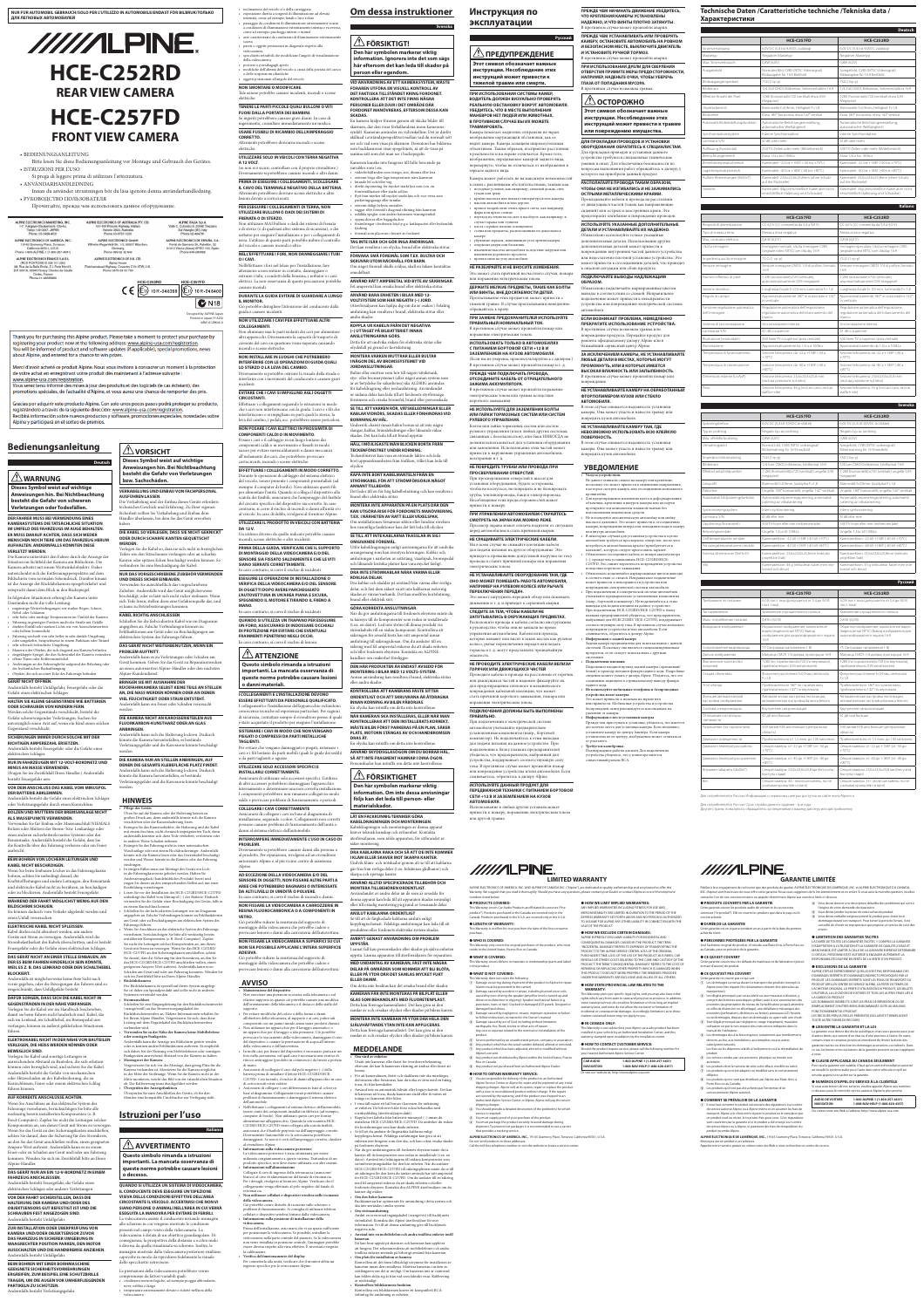# **Anweisungen hin. Bei Nichtbeachtung besteht die Gefahr von schweren Verletzungen oder Todesfällen.**

# **DER FAHRER MUSS BEI VERWENDUNG EINES KAMERASYSTEMS DIE TATSÄCHLICHE SITUATION IM UMFELD DES FAHRZEUGS IM AUGE BEHALTEN. ER MUSS DARAUF ACHTEN, DASS SICH WEDER MENSCHEN NOCH TIERE UM DAS FAHRZEUG HERUM AUFHALTEN. ANDERNFALLS KÖNNTEN DIESE VERLETZT WERDEN.**

Die Kamera unterstützt den Fahrer durch die Anzeige der Situation im Sichtfeld der Kamera am Bildschirm. Die Kamera arbeitet mit einem Weitwinkelobjektiv. Daher unterscheidet sich die Entfernungsperspektive auf dem Bildschirm vom normalen Seheindruck. Darüber hinaus ist die Anzeige der Rückfahrkamera spiegelverkehrt und entspricht damit dem Blick in den Rückspiegel.

In folgenden Situationen erbringt die Kamera unter Umständen nicht die volle Leistung: • ungünstige Wetterbedingungen wie starker Regen, Schnee,

Nebel oder Schlamm • sehr hohe oder niedrige Temperaturen im Umfeld der Kamera • Fahrzeug in geneigter Position und/oder Straße mit Gefälle • direkter Einfall sehr starken Lichts wie von Autoscheinwerfern oder hellem Sonnenlicht

• eingeklappte Spiegel, die den Sichtwinkel der Kamera verändern • offene Türen oder Kofferraumdeckel • Änderungen an der Fahrzeughöhe aufgrund der Beladung oder

der hydraulischen Radaufhängung • Objekte, die sich an einer Ecke des Fahrzeugs befinden

# **GERÄT NICHT ÖFFNEN.**

Andernfalls besteht Unfallgefahr, Feuergefahr oder die Gefahr eines elektrischen Schlages.

# **HALTEN SIE KLEINE GEGENSTÄNDE WIE BATTERIEN ODER SCHRAUBEN VON KINDERN FERN.**

Werden solche Gegenstände verschluckt, besteht die Gefahr schwerwiegender Verletzungen. Suchen Sie unverzüglich einen Arzt auf, wenn ein Kind einen solchen

# Gegenstand verschluckt.

**SICHERUNGEN IMMER DURCH SOLCHE MIT DER RICHTIGEN AMPEREZAHL ERSETZEN.**  Andernfalls besteht Feuergefahr oder die Gefahr eines elektrischen Schlages.

# **NUR IN FAHRZEUGEN MIT 12-VOLT-BORDNETZ UND MINUS AN MASSE VERWENDEN.**

(Fragen Sie im Zweifelsfall Ihren Händler.) Andernfalls besteht Feuergefahr usw.

# **VOR DEM ANSCHLUSS DAS KABEL VOM MINUSPOL DER BATTERIE ABKLEMMEN.**

Andernfalls besteht die Gefahr eines elektrischen Schlages

# oder Verletzungsgefahr durch einen Kurzschluss.

**BOLZEN UND MUTTERN DER BREMSANLAGE NICHT ALS MASSEPUNKTE VERWENDEN.**  Verwenden Sie für Einbau oder Masseanschluß NIEMALS Bolzen oder Muttern der Brems- bzw. Lenkanlage oder eines anderen sicherheitsrelevanten Systems oder des Benzintanks. Andernfalls besteht die Gefahr, dass Sie die Kontrolle über das Fahrzeug verlieren oder ein Feuer ausbricht.

# **BEIM BOHREN VON LÖCHERN LEITUNGEN UND KABEL NICHT BESCHÄDIGEN.**

bohren, achten Sie unbedingt darauf, die



# **WÄHREND DER FAHRT MÖGLICHST WENIG AUF DEN BILDSCHIRM SCHAUEN.**

einen Unfall verursachen.

# **ELEKTRISCHE KABEL NICHT SPLEISSEN.**

Kabel dürfen nicht abisoliert werden, um andere Geräte mit Strom zu versorgen. Andernfalls wird die Strombelastbarkeit des Kabels überschritten, und es besteht Feuergefahr oder die Gefahr eines elektrischen Schlages.

# **DAS GERÄT NICHT AN EINER STELLE EINBAUEN, AN DER ES BEIM FAHREN HINDERLICH SEIN KÖNNTE, WEIL ES Z. B. DAS LENKRAD ODER DEN SCHALTHEBEL BLOCKIERT.**

## **DAFÜR SORGEN, DASS SICH DIE KABEL NICHT IN GEGENSTÄNDEN IN DER NÄHE VERFANGEN.**

Verlegen Sie die Kabel wie im Handbuch beschrieben, damit sie beim Fahren nicht hinderlich sind. Kabel, die sich im Lenkrad, im Schalthebel, im Bremspedal usw. verfangen, können zu äußerst gefährlichen Situationen führen.

# **ELEKTROKABEL NICHT IN DER NÄHE VON BAUTEILEN VERLEGEN, DIE HEISS WERDEN KÖNNEN ODER BEWEGLICH SIND.**

• Fahrzeug wechselt von sehr heller in sehr dunkle Umgebung oder umgekehrt, beispielsweise in einem Parkhaus oder Tunnel • sehr schwach beleuchtete Umgebung • Mauern oder Objekte, die sich diagonal zur Kamera befinden elektrischen System des Fahrzeugs führen.

Verlegen Sie Kabel und sonstige Leitungen in ausreichendem Abstand zu Bauteilen, die sich erhitzen können oder beweglich sind, und sichern Sie die Kabel. Andernfalls besteht die Gefahr von mechanischen oder Hitzeschäden an der Kabelisolierung, die zu Kurzschlüssen, Feuer oder einem elektrischen Schlag führen können.

# **AUF KORREKTE ANSCHLÜSSE ACHTEN.**

Wenn Sie Anschlüsse an das elektrische System des Fahrzeugs vornehmen, berücksichtigen Sie bitte alle werkseitig bereits installierten Komponenten (z. B. Bord-Computer). Zapfen Sie nicht die Leitungen solcher Komponenten an, um dieses Gerät mit Strom zu versorgen. Wenn Sie das Gerät an den Sicherungskasten anschließen, achten Sie darauf, dass die Sicherung für den Stromkreis, an den Sie das Gerät anschließen wollen, einen geeigneten Ampere-Wert aufweist. Andernfalls kann es zu einem Feuer oder zu Schäden am Gerät und/oder am Fahrzeug kommen. Wenden Sie sich im Zweifelsfall bitte an Ihren Alpine-Händler.

# **DAS GERÄT NUR AN EIN 12-V-BORDNETZ IN EINEM FAHRZEUG ANSCHLIESSEN.**

Andernfalls besteht Feuergefahr, die Gefahr eines elektrischen Schlages oder anderer Verletzungen.

# **VOR DER FAHRT SICHERSTELLEN, DASS DIE HALTERUNG DER KAMERA UND/ODER DES OBJEKTSENSORS GUT BEFESTIGT IST UND DIE SCHRAUBEN FEST ANGEZOGEN SIND.** Andernfalls besteht Unfallgefahr.

# **ZUR INSTALLATION ODER ÜBERPRÜFUNG VON KAMERA UND/ODER OBJEKTSENSOR ZUVOR DAS FAHRZEUG IN SICHERER UMGEBUNG IN WAAGRECHTER POSITION PARKEN, DEN MOTOR AUSSCHALTEN UND DIE HANDBREMSE ANZIEHEN.** Andernfalls besteht Unfallgefahr.

# $\overline{\mathcal{L}}$  AVVERTIMENTO **Questo simbolo rimanda a istruzioni**

**BEIM BOHREN MIT EINER BORHMASCHINE GEEIGNETE SICHERHEITSVORKEHRUNGEN ERGREIFEN, ZUM BEISPIEL EINE SCHUTZBRILLE TRAGEN, UM DIE AUGEN VOR UMHERFLIEGENDEN PARTIKELN ZU SCHÜTZEN.** Andernfalls besteht Verletzungsgefahr.

Wenn Sie beim Einbauen Löcher in das Fahrzeugchassis Kraftstoffleitungen und andere Leitungen, den Benzintank und elektrische Kabel nicht zu berühren, zu beschädigen oder zu blockieren. Andernfalls besteht Feuergefahr. eindringen. • In einigen Fällen muss zur Montage des Geräts ein Loch Rostbildung vorzubeugen.

**Anweisungen hin. Bei Nichtbeachtung** 

**AUSFÜHREN LASSEN.** Die Verkabelung und der Einbau dieses Geräts erfordern

technisches Geschick und Erfahrung. Zu Ihrer eigenen Sicherheit sollten Sie Verkabelung und Einbau dem Händler überlassen, bei dem Sie das Gerät erworben

Sie können dadurch vom Verkehr abgelenkt werden und am Gerät oder zu Beschädigungen am elektrischen System des

haben.

# **DIE KABEL SO VERLEGEN, DASS SIE NICHT GEKNICKT ODER DURCH SCHARFE KANTEN GEQUETSCHT WERDEN.**

Verlegen Sie die Kabel so, dass sie sich nicht in beweglichen Teilen wie den Sitzschienen verfangen oder an scharfen Kanten oder spitzen Ecken beschädigt werden können. So verhindern Sie eine Beschädigung der Kabel.

# **NUR DAS VORGESCHRIEBENE ZUBEHÖR VERWENDEN UND DIESES SICHER EINBAUEN.**

Verwenden Sie ausschließlich das vorgeschriebene Zubehör. Andernfalls wird das Gerät möglicherweise beschädigt, oder es lässt sich nicht sicher einbauen. Wenn sich Teile lösen, stellen diese eine Gefahrenquelle dar, und es kann zu Betriebsstörungen kommen.

Andernfalls ist möglicherweise keine freie Sicht nach vorne gegeben, oder die Bewegungen des Fahrers sind so eingeschränkt, dass Unfallgefahr besteht. • **Rückfahrkamera**

# **KABEL RICHTIG ANSCHLIESSEN** Schließen Sie die farbcodierten Kabel wie im Diagramm

## **DAS GERÄT NICHT WEITERBENUTZEN, WENN EIN PROBLEM AUFTRITT.**

Ciò potrebbe distogliere l'attenzione del conducente dalla guida e causare incidenti

Andernfalls kann es zu Verletzungen oder Schäden am Gerät kommen. Geben Sie das Gerät zu Reparaturzwecken an einen autorisierten Alpine-Händler oder den nächsten Alpine-Kundendienst.

# **BRINGEN SIE MIT AUSNAHME DER RÜCKFAHRKAMERA SELBST KEINE TEILE AN STELLEN AN, DIE NASS WERDEN KÖNNEN ODER AN DENEN VIEL FEUCHTIGKEIT ODER STAUB ENTSTEHT.**

Andernfalls kann ein Feuer oder Schaden verursacht werden.

# **DIE KAMERA NICHT AN KAROSSERIETEILEN AUS FLUORKARBON-KUNSTHARZ ODER AN GLAS**

**ANBRINGEN.** Andernfalls kann sich die Halterung lockern. Dadurch könnte die Kamera herunterfallen, es bestünde Verletzungsgefahr und die Karosserie könnte beschädigt werden.

**DIE KAMERA NUR AN STELLEN ANBRINGEN, AUF DENEN DIE GESAMTE KLEBEFLÄCHE PLATZ FINDET.** Andernfalls kann sich die Halterung lockern. Dadurch könnte die Kamera herunterfallen, es bestünde Verletzungsgefahr und die Karosserie könnte beschädigt

werden.

# **HINWEIS**

• **Pflege des Geräts** Üben Sie auf die Kamera oder die Halterung keinen zu großen Druck aus, denn andernfalls könnte sich die Kamera verschieben oder die Kamerahalterung lösen. • Reinigen Sie das Kameraobjektiv, die Halterung und die Kabel mit einem feuchten, nicht chemisch imprägnierten Tuch, denn andernfalls könnten sich diese Teile verfärben, verformen oder in anderer Weise Schaden nehmen. • Reinigen Sie das Fahrzeug nicht in einer automatischen

# Waschanlage oder mit einem Hochdruckreiniger. Andernfalls könnte sich die Kamera lösen oder das Gerätekabel beschädigt werden und Wasser könnte in die Kamera oder das Fahrzeug

in die Fahrzeugkarosserie gebohrt werden. Halten Sie Ausbesserungslack (handelsübliches Produkt) bereit und tragen Sie diesen an den entsprechenden Stellen auf, um einer • Lösen Sie vor der Installation des HCE-C252RD/HCE-C257FD unbedingt das Kabel vom Minuspol (–) der Batterie. Dadurch

# vermeiden Sie die Gefahr einer Beschädigung des Geräts, falls es zu einem Kurzschluss kommt. • Schließen Sie die farbcodierten Leitungen wie im Diagramm angegeben an. Falsche Verbindungen können zu Fehlfunktionen

# Fahrzeugs führen. • Wenn Sie Anschlüsse an das elektrische System des Fahrzeugs vornehmen, berücksichtigen Sie bitte alle werkseitig bereits installierten Komponenten (z. B. Bord-Computer). Zapfen Sie nicht die Leitungen solcher Komponenten an, um dieses Gerät mit Strom zu versorgen. Wenn Sie das HCE-C252RD/ HCE-C257FD an den Sicherungskasten anschließen, achten

Die Rückfahrkamera ist speziell auf dieses System ausgelegt. Sie ist daher ein Spezialprodukt und sollte nicht in anderen Systemen verwendet werden.

• **Stromanschluss**

Schließen Sie eine Eingangsleitung für den Rückfahrscheinwerfer (orange/weiß) an das Stromversorgungskabel des Rückfahrscheinwerfers an. Nähere Informationen erhalten Sie bei Ihrem Alpine-Händler. Vergewissern Sie sich, dass diese

verbunden wird.

Leitung mit dem Negativkabel des Rückfahrscheinwerfers • **Verwenden Sie in der Nähe der Kamera keine Mobiltelefone** 

# **oder sonstigen Funkgeräte.** Andernfalls kann die Anzeige am Bildschirm gestört werden

Per i dettagli, rivolgersi al fornitore Alpine. Verificare che il collegamento venga effettuato al polo negativo del fanale di marcia

oder es können andere Fehlfunktionen auftreten. Es empfiehlt sich daher, bei der Nutzung von Mobiltelefonen oder sonstigen Funkgeräten ausreichend Abstand von der Kamera zu halten. • **Montageort der Kamera** Vergewissern Sie sich vor der Montage, dass genug Platz für die Kamera vorhanden ist. Montieren Sie die Kamera möglichst in der Mitte der Stoßstange. Wenn Sie die Kamera nicht in der

Mitte montieren, weicht das Bild von der tatsächlichen Situation ab. Die Kalibrierung muss durchgeführt werden. • **Überprüfen der Anzeigefunktion** Überprüfen Sie zum Anschließen des Geräts, ob für den

Monitor eine kompatible Cinchbuchse zur Verfügung steht.

# **Istruzioni per l'uso**



# $\triangle$ FÖRSIKTIGT! **Den här symbolen markerar viktig**

# **importanti. La mancata osservanza di queste norme potrebbe causare lesioni o decesso.**

# **QUANDO SI UTILIZZA UN SISTEMA DI VIDEOCAMERA, IL CONDUCENTE DEVE ESEGUIRE UN'ISPEZIONE VISIVA DELLE CONDIZIONI EFFETTIVE DELL'AREA CIRCOSTANTE IL VEICOLO. ACCERTARSI CHE NON VI SIANO PERSONE O ANIMALI NELL'AREA IN CUI VERRÀ ESEGUITA LA MANOVRA PER EVITARE DI FERIRLI.** La videocamera assiste il conducente inviando immagini

allo schermo in cui vengono mostrate le condizioni presenti nel campo visivo della videocamera. La videocamera è dotata di un obiettivo grandangolare. Di conseguenza, la prospettiva della distanza a occhio nudo è diversa da quella visualizzata su schermo. Inoltre, le immagini mostrate dalla videocamera posteriore risultano capovolte in modo da riprodurre fedelmente la visuale dello specchietto retrovisore.

föremål som placerats i hörnet av fordone **TAG INTE ISÄR OCH GÖR INGA ÄNDRINGAR.**

angegeben an. Falsche Verbindungen können zu Fehlfunktionen am Gerät oder zu Beschädigungen am **QUANDO SI UTILIZZA UN TRAPANO PER ESEGUIRE UN FORO, ASSICURARSI DI INDOSSARE OCCHIALI DI PROTEZIONE PER EVITARE CHE EVENTUALI FRAMMENTI PENETRINO NEGLI OCCHI.** In caso contrario, si corre il rischio di lesioni.

Le prestazioni della videocamera potrebbero venire compromesse da fattori variabili quali: • condizioni meteorologiche, ad esempio pioggia abbondante, neve, nebbia o fango • temperature estremamente elevate o ridotte nell'area della videocamera

• inclinazione del veicolo e/o della carreggiata • esposizione diretta a sorgenti di illuminazione ad elevata intensità, come ad esempio fanali o luce solare • passaggio da condizioni di illuminazione estremamente scarsa a condizioni di illuminazione estremamente intensa e viceversa,

come ad esempio parcheggi interni o tunnel • aree caratterizzate da condizioni di illuminazione estremamente scarsa • pareti o oggetti posizionati in diagonale rispetto alla

> **ANNANT TILLBEHÖR.** Det leder till en för hög kabelbelastning och kan resultera

videocamera • specchietti retraibili che modificano l'angolo di visualizzazione della videocamera • portiere o portabagagli aperti

• modifiche dell'altezza del veicolo a causa della portata del carico o delle sospensioni idrauliche • oggetti posizionati all'angolo del veicolo

**NON SMONTARE O MODIFICARE.** Tale azione potrebbe causare incidenti, incendi o scosse elettriche.

**TENERE LE PARTI PICCOLE QUALI BULLONI O VITI FUORI DALLA PORTATA DEI BAMBINI.**

Se ingeriti potrebbero causare gravi danni. In caso di ingerimento, consultare immediatamente un medico.

**USARE FUSIBILI DI RICAMBIO DELL'AMPERAGGIO CORRETTO.**

Altrimenti potrebbero derivarne incendi o scosse elettriche.

**UTILIZZARE SOLO IN VEICOLI CON TERRA NEGATIVA A 12 VOLT.**

(se non si è sicuri, controllare con il proprio rivenditore.) Diversamente si potrebbero causare incendi o altri danni.

**PRIMA DI ESEGUIRE I COLLEGAMENTI, SCOLLEGARE IL CAVO DEL TERMINALE NEGATIVO DELLA BATTERIA.**

Altrimenti potrebbero derivare scosse elettriche o altre lesioni dovute a cortocircuiti.

**PER ESEGUIRE I COLLEGAMENTI DI TERRA, NON UTILIZZARE BULLONI O DADI DEI SISTEMI DI** 

**FRENATA O DI STERZO.** Non utilizzare MAI bulloni o dadi dei sistemi di frenata e di sterzo (o di qualsiasi altro sistema di sicurezza), o dei serbatoi per eseguire l'installazione o per i collegamenti di terra. L'utilizzo di queste parti potrebbe inibire il controllo del veicolo e causare incendi o altro.

**NELL'EFFETTUARE I FORI, NON DANNEGGIARE I TUBI O I CAVI.**

Nell'effettuare i fori nel telaio per l'installazione, fare attenzione a non entrare in contatto, danneggiare o ostruire i tubi, i condotti della benzina, i serbatoi o i cavi

elettrici. La non osservanza di queste precauzioni potrebbe causare incendi.

- **KAMERAN FÅR INTE MONTERAS PÅ BILPLÅT ELLER**  (claims must be presented to the carrier).
	- B Damage caused by accident or abuse, including burned voice coils caused by over-driving the speaker (amplifier level is turned up and driven into distortion or clipping). Speaker mechanical failure (e.g. punctures, tears or rips). Cracked or damaged LCD panels. Dropped or damaged hard drives. G Damage caused by negligence, misuse, improper operation or failure

 $\alpha$  Damage occurring during shipment of the product to Alpine for repair

**DURANTE LA GUIDA EVITARE DI GUARDARE A LUNGO IL MONITOR.**

Sie darauf, dass die Sicherung für den Stromkreis, an den Sie das HCE-C252RD/HCE-C257FD anschließen wollen, einen geeigneten Ampere-Wert aufweist. Andernfalls kann es zu Schäden am Gerät und/oder am Fahrzeug kommen. Wenden Sie sich im Zweifelsfall bitte an Ihren Alpine-Händler. Ciò potrebbe ridurre la resistenza del supporto di montaggio della videocamera che potrebbe cadere e provocare lesioni o danni alla carrozzeria dell'autovettura.

**NON UTILIZZARE I CAVI PER EFFETTUARE ALTRI COLLEGAMENTI.**

> Utsätt inte kameran eller fästet för överdriven belastning, eftersom det kan få kamerans riktning att ändras eller fästet at

Non eliminare mai le parti isolanti dei cavi per alimentare altri apparecchi. Diversamente la capacità di trasporto di corrente del cavo in questione viene superata causando incendi o scosse elettriche.

**NON INSTALLARE IN LUOGHI CHE POTREBBERO INTERFERIRE CON LE OPERAZIONI DI GUIDA QUALI LO STERZO O LA LEVA DEL CAMBIO.**

Diversamente si potrebbe ostruire la visuale della strada o interferire con i movimenti del conducente e causare gravi incidenti.

# **EVITARE CHE I CAVI SI IMPIGLINO AGLI OGGETTI CIRCOSTANTI.**

Effettuare i collegamenti seguendo le istruzioni in modo che i cavi non interferiscano con la guida. I cavi o i fili che interferiscono o si impigliano in parti quali lo sterzo, la leva del cambio, i pedali, ecc. potrebbero essere pericolosi.

**NON POSARE I CAVI ELETTRICI IN PROSSIMITÀ DI COMPONENTI CALDI O IN MOVIMENTO.** Posare i cavi e il cablaggio in un luogo lontano dai componenti caldi o in movimento e fissarli in modo sicuro per evitare surriscaldamenti o danni meccanici

all'isolamento dei cavi, che potrebbero provocare cortocircuiti, incendi o scosse elettriche. **EFFETTUARE I COLLEGAMENTI IN MODO CORRETTO.** Durante le operazioni di cablaggio del sistema elettrico

del veicolo, tenere presente i componenti preinstallati (ad esempio il computer di bordo). Non utilizzare questi fili per alimentare l'unità. Quando si collega il dispositivo alla

**DA 12 V.**

incendi, scosse elettriche o altri incidenti.

**PRIMA DELLA GUIDA, VERIFICARE CHE IL SUPPORTO DI MONTAGGIO DELLA VIDEOCAMERA E/O DEL SENSORE SIA FISSATO SALDAMENTE E CHE LE VITI** 

• переход из темноты на свет и наоборот, как например, в случае гаража или туннеля • места с крайне плохим освещение

**SIANO SERRATE CORRETTAMENTE.** In caso contrario, si corre il rischio di incidenti. **ESEGUIRE LE OPERAZIONI DI INSTALLAZIONE O VERIFICA DELLA VIDEOCAMERA E/O DEL SENSORE DI OGGETTI DOPO AVERE PARCHEGGIATO L'AUTOVETTURA IN UN'AREA PIANA E SICURA, SPEGNENDO IL MOTORE E TIRANDO IL FRENO A** 

**MANO.**

In caso contrario, si corre il rischio di incidenti.

**ATTENZIONE** 

**Questo simbolo rimanda a istruzioni importanti. La mancata osservanza di queste norme potrebbe causare lesioni** 

**o danni materiali.**

**I COLLEGAMENTI E L'INSTALLAZIONE DEVONO ESSERE EFFETTUATI DA PERSONALE QUALIFICATO.**

опроводы, баки и элект Несоблюдение этих предосторожностей может привести к пожару.

conoscenze tecniche ed esperienza particolari. Per ragioni di sicurezza, contattare sempre il rivenditore presso il quale è stato acquistato il prodotto per eseguire l'installazione. **SISTEMARE I CAVI IN MODO CHE NON VENGANO PIEGATI O COMPRESSI DA PARTI METALLICHE** 

**TAGLIENTI.**

Per evitare che vengano danneggiati o piegati, sistemare i cavi e i fili lontano da parti mobili (quali le guide dei sedili)

o da parti taglienti o aguzze.

**UTILIZZARE SOLO ACCESSORI SPECIFICI E** 

**INSTALLARLI CORRETTAMENTE.**

Assicurarsi di utilizzare solo accessori specifici. L'utilizzo di altri accessori potrebbero danneggiare l'apparecchio internamente o determinare una non corretta installazione. I componenti potrebbero non rimanere collegati in modo saldo e provocare problemi di funzionamento o pericoli.

**COLLEGARE I CAVI CORRETTAMENTE**

Assicurarsi di collegare i cavi in base al diagramma di installazione, seguendo i colori. Collegamenti non corretti possono causare problemi di funzionamento dell'unità o

danni al sistema elettrico dell'automobile.

**INTERROMPERE IMMEDIATAMENTE L'USO IN CASO DI** 

**PROBLEMI.**

Diversamente si potrebbero causare danni alla persona o al prodotto. Per riparazioni, rivolgersi ad un rivenditore autorizzato Alpine o al più vicino centro di assistenza

Alpine.

Massetyp **Negativer Massetyp** Negativer Massetyp **Negativer Massetyr** Max. Stromverbrauch 0,8W (6,0V) 0,8W (6,0V)

**AD ECCEZIONE DELLA VIDEOCAMERA E/O DEL SENSORE DI OGGETTI, NON FISSARE ALTRE PARTI A AREE CHE POTREBBERO BAGNARSI O INTERESSATE** 

Effektive Anzahl der Pixel 1280 (horizontal)×720 (vertikal) etwa 0,93 aapixel

**DA ALTI LIVELLI DI UMIDITÀ O POLVERE.** In caso contrario, si corre il rischio di incendi o danni. **NON FISSARE LA VIDEOCAMERA A CARROZZERIE IN RESINA FLUOROCARBONICA O A COMPONENTI IN** 

 $\bigcap$ biektivbereich  $\bigcap$  Brennweite f=0,9mm, Helligkeit F=1,8  $\bigcap$  Brennweite f=0,9mm, Helligkeit F=1,8 Bildwinkel Etwa 180° horizontal, etwa 142° vertikal Etwa 180° horizontal, etwa 142° vertikal

**VETRO.**

Synchronisationssystem Interne Synchronisation Interne Synchronisation minanz S/N 41dB oder mehr 41dB oder mehr 41dB oder mehr

Bildausgangsimpedanz  $75\Omega$  (1vp-p) 75Ω (1vp-p)

Ausgabebild **Normales Bild, CVBS (NTSC Videosignal)** 

Ciò potrebbe ridurre la resistenza del supporto di montaggio della videocamera che potrebbe cadere e provocare lesioni o danni alla carrozzeria dell'autovettura. **NON FISSARE LA VIDEOCAMERA A SUPERFICI SU CUI NON SIA POSSIBILE APPLICARE L'INTERA SUPERFICIE** 

**ADESIVA.**

# **AVVISO**

• **Manutenzione del dispositivo** Non esercitare una pressione eccessiva sulla telecamera o sul

relativo supporto in quanto ciò potrebbe causare una modifica dell'orientamento della telecamera o il distacco della staffa del supporto.

ensore immagine **Sensore immagine CMOS** 1/4 di pollice, form 16:9

• Per evitare modifiche del colore o della forma o danni all'obiettivo della telecamera, al supporto e ai cavi, pulire tali componenti con un panno umido senza usare prodotti chimici. 1.280 (orizzontale)×720 (verticale), prossimativamente 0,93 megapixe

Angolo di campo Approssimativamente 180° in orizzontale e 142 in verticale

- Non utilizzare un apparecchio per il lavaggio automatico o un apparecchio per il lavaggio a alta pressione. Ciò potrebbe provocare lo staccamento della videocamera, danneggiare il cavo
- del dispositivo o causare la penetrazione di acqua all'interno della videocamera o dell'autovettura.
- In molti casi, per fissare del dispositivo è necessario praticare un foro nella carrozzeria, nel qual caso è necessaria una vernice di ritocco antiruggine (prodotto in commercio) da tenere a portata

mperatura di funzionamento  $\parallel$  Sezione telecamera: da -22 a +158F (-30 a +70°C)

mperatura di conservazione  $\vert$  Sezione telecamera: da -40 a +185F (-40 a +85°C)

di mano. • Assicurarsi di scollegare il cavo dal polo negativo (–) della batteria prima di installare il lettore HCE-C252RD/HCE-C257FD. Così facendo, il rischio di danni all'apparecchio in caso zione telecamera: 23,6×23,6×25,8 mm (esclusa proiezione sul retro)

segelbild, CVBS (NTSC videosignal) dutmatning för 16:9 bredbild

280 (horisontellt)×720 (vertikalt) ungefär 0,93

Spänningsbehov 6,0V DC (5,4 till 9,0VDC är tillåtet) 6,0V DC (5,4 till 9,0VDC är tillåtet) Typ av jordning Negativ typ av jordning Negativ typ av jordning Negativ typ av jordning Negativ typ av jordning

di cortocircuiti viene ridotto. • Assicurarsi di collegare i cavi differenziati in base al colore in base al diagramma. Collegamenti errati potrebbero causare problemi di funzionamento o danneggiare il sistema elettrico Effektivt antal bildpunkter 1 280 (horisontellt)×720 (vertikalt) ungefär 0,93 aapixel

dell'automobile. • Nell'effettuare i collegamenti al sistema elettrico dell'automobile, tenere conto dei componenti installati in fabbrica (ad esempio, computer di bordo). Non utilizzare questi cavi per fornire alimentazione all'apparecchio. Quando la retrocamera HCE-

scatola dei fusibili, assicurarsi che l'amperaggio del fusibile brand eller elektriska stötar.

> ynkroniseringssystem **Intern synkronisering** Intern synkronisering **Intern synkronisering** Luminans S/N 41dB eller mer 41dB eller mer

del circuito specifico del dispositivo sia corretto. In caso contrario, si corre il rischio di incendi o danni all'unità e/o al veicolo. In caso di dubbi, rivolgersi al fornitore Alpine. **UTILIZZARE IL PRODOTTO IN VEICOLI CON BATTERIA MONTERA INTE APPARATEN PÅ EN PLATS DÄR DEN KAN UTGÖRA RISK FÖR FORDONETS MANÖVRERING, T.EX. I NÄRHETEN AV RATT ELLER VÄXELSPAK.** Om installationen försämrar sikten eller hindrar rörelsen hos väsentliga funktioner kan det lätt leda till olyckor.

C252RD/HCE-C257FD viene collegata alla scatola fusibili, assicurarsi che il fusibile preposto sia dell'amperaggio corretto. Diversamente l'automobile e/o la retrocamera potrebbero danneggiarsi. Se non si è certi dell'amperaggio corretto, chiedere al rivenditore Alpine.

### Un utilizzo diverso da quello indicato potrebbe causare **SE TILL ATT INTE KABLARNA TRASSLAR IN SIG I OMGIVANDE FÖREMÅL.**

• **Informazioni sulla videocamera posteriore** La videocamera posteriore è stata ottimizzata per essere utilizzata congiuntamente a questo sistema. Trattandosi di un prodotto specifico, non deve essere utilizzata con altri sistemi.  $\overline{D}$ ребования по питанию  $\overline{a}$  6,0 В пост. тока (допускается от 5,4 до 9,0 В пост. тока)

• **Informazioni sull'alimentazione** Collegare il cavo di ingresso della retromarcia (arancione/ bianco) al cavo di alimentazione del fanale di retromarcia.

видео (видеосигнал NTSC) Вывод зображения для широкоформатного экр Обратное изображение, композитное видео .<br><sub>І</sub>деосигнал NTSC) Вывод изображения для

# • **Non utilizzare cellulari o dispositivi wireless nelle vicinanze della videocamera.**

280 (по горизонтали)×720 (по вертикали), приблизительно 0,93 мегапикселя

окусное расстояние f=0,9 мм, светосила

Секция объектива | Фокусное расстояние f=0,9 мм, светосила F=1,8

Ciò potrebbe creare disturbi di ricezione sullo schermo o problemi di funzionamento. Si consiglia di utilizzare telefoni cellulari o dispositivi wireless lontano dalla videocamera. • **Informazioni sulla posizione di installazione della videocamera**

риблизительно 180° по горизонтали, приблизительно 142° по вертикали

Автоматическая настройка экспозиции, .<br>втоматическая настройка баланса белог Автоматическая настройка экспозиции, .<br>втоматическая настройка баланса белого

Prima dell'installazione, assicurarsi che vi sia spazio sufficiente per posizionare la videocamera. Se possibile, installare la videocamera nella parte centrale del paraurti. Se la videocamera non viene installata in posizione centrale, l'immagine potrebbe essere diversa rispetto alla vista effettiva. È necessario eseguire la calibrazione.

Диапазон температуры работы  $\Big|$  Секция камеры: от -22 до +158F (от -30 до +70°C)

I collegamenti e l'installazione dell'apparecchio richiedono **KONTROLLERA ATT KAMERANS FÄSTE SITTER ORDENTLIGT OCH ATT SKRUVARNA ÄR ÅTDRAGNA INNAN KÖRNING AV BILEN PÅBÖRJAS.** En olycka kan inträffa om detta inte kontrolleras.

# • **Verifica del funzionamento del display**

Per connetterla alla unità, verificare che il monitor abbia un ingresso specifico per le retrocamere Alpine.

# **Om dessa instruktioner**

**Svenska**

**information. Ignorera inte det som sägs här eftersom det kan leda till skador på person eller egendom.**

**КАМЕРУ, ОСТАНОВИТЕ АВТОМОБИЛЬ НА РОВНОМ И БЕЗОПАСНОМ МЕСТЕ, ВЫКЛЮЧИТЕ ДВИГАТЕЛЬ И УСТАНОВИТЕ РУЧНОЙ ТОРМОЗ.** В противном случае может произойти авария. **ПРИ ИСПОЛЬЗОВАНИИ ДРЕЛИ ДЛЯ СВЕРЛЕНИЯ ОТВЕРСТИЯ ПРИМИТЕ МЕРЫ ПРЕДОСТОРОЖНОСТИ, НАПРИМЕР, НАДЕНЬТЕ ОЧКИ, ЧТОБЫ УБЕРЕЧЬ ГЛАЗА ОТ ПОПАДАНИЯ МУСОРА.** В противном случае возможна травма

**VID ANVÄNDNING AV ETT KAMERASYSTEM, MÅSTE FÖRAREN UTFÖRA EN VISUELL KONTROLL AV DET FAKTISKA TILLSTÅNDET KRING FORDONET. KONTROLLERA ATT DET INTE FINNS NÅGRA PERSONER ELLER DJUR I DET OMRÅDE DÄR FORDONET MANÖVRERAS, EFTERSOM DESSA KAN**  En kamera hjälper föraren genom att skicka bilder till

**SKADAS.**

# $\mathcal{L}$ ОСТОРОЖНО **Этот символ обозначает важные инструкции. Несоблюдение этих инструкций может привести к травме или повреждению имущества.**

skärmen, där den visar förhållandena inom kamerans synfält. Kameran använder en vidvinkellins. Det är därför skillnad i avståndsperspektivet mellan vad du normalt sett ser och vad som visas på skärmen. Dessutom har bilderna som backkameran visar spegelvänts, så att de visas på samma sätt som det man ser i backspegeln.

Kameran kanske inte fungerar till fullo beroende på variabler som t.ex: • väderförhållanden som ösregn, snö, dimma eller lera • extremt höga eller låga temperaturer nära kameran

• lutande bil och/eller väg • direkt exponering för mycket starkt ljus som t.ex. en frontstrålkastare eller starkt solljus • flytt från mörker till mycket starkt ljus och vice versa som parkeringsgarage eller tunnlar • extremt dåligt belysta områden

• väggar eller föremål i diagonal riktning från kameran • infällda speglar som ändrar kamerans visningsvinkel • öppna dörrar eller bagageluckor

• förändringar i fordonets höjd p.g.a. lastkapacitet eller hydraulisk

fjädring

Det kan resultera i en olycka, brand eller elektriska stötar. **FÖRVARA SMÅ FÖREMÅL SOM T.EX. BULTAR OCH** 

**SKRUVAR UTOM RÄCKHÅLL FÖR BARN.** Om något föremål skulle sväljas, skall en läkare kontaktas

omedelbart.

**ANVÄND RÄTT AMPERETAL VID BYTE AV SÄKRINGAR.** Fel amperetal kan orsaka brand eller elektriska stötar.

**ANVÄND BARA ENHETEN I BILAR MED 12- VOLTSYSTEM SOM HAR NEGATIV (–) JORD.** (Återförsäljaren kan hjälpa dig om du är osäker.) Felaktig

anslutning kan resultera i brand, elektriska stötar eller andra skador.

**KOPPLA UR KABELN FRÅN DET NEGATIVA (–) UTTAGET PÅ BILBATTERIET INNAN ANSLUTNINGARNA GÖRS.**

Detta för att undvika risken för elektriska stötar eller olycksfall på grund av kortslutning. **MONTERA VARKEN MUTTRAR ELLER BULTAR** 

**I NÅGON DEL AV BROMSSYSTEMET VID JORDANSLUTNINGAR.** Bultar eller muttrar som hör till någon vätsketank,

> styr- eller bromssystemet (eller något annan system som är av betydelse för säkerheten) ska ALDRIG användas för kabeldragning eller jordanslutning. Användandet av sådana delar kan leda till att fordonets styrförmåga

försämras och orsaka bromsfel, brand eller personskada. **SE TILL ATT VARKEN RÖR, VÄTSKELEDNINGAR ELLER** 

**KABLAR VIDRÖRS, SKADAS ELLER FÖRHINDRAS VID BORRNING AV HÅL.** Undersök chassit innan hålen borras så att inte några

# **HCE-C252RD REAR VIEW CAMERA HCE-C257FD FRONT VIEW CAMERA** //////LPINE

slangar, kablar, bränsleledningar eller liknande råkar skadas. Det kan leda till att brand uppstår. **HÅLL I MÖJLIGASTE MÅN BLICKEN BORTA FRÅN** 

**TECKENFÖNSTRET UNDER KÖRNING.** Teckenfönstret kan vara en störande faktor och leda bort uppmärksamheten från trafiken, vilket kan leda till

olyckor.

**KAPA INTE BORT KABELMANTELN FRÅN EN STRÖMKABEL FÖR ATT STRÖMFÖRSÖRJA NÅGOT** 

### This Warranty is in effect for one year from the date of the first consume purchase.

# This Warranty only covers the original purchaser of the product, who must reside in the United States, Puerto Rico or Canada. ● **WHAT IS COVERED:**

Utför kabeldragningen enligt anvisningarna för att undvika arrangemang som kan äventyra körningen. Kablar och anslutningar i närheten av rattstång, växelspak, bromspedal och liknande kritiska platser kan vara mycket farligt.

# **DRA INTE STRÖMKABLAR NÄRA VARMA ELLER RÖRLIGA DELAR.**

Dra kablar och sladdar på avstånd från varma eller rörliga delar, och fäst dem säkert så att inte kablarnas isolering skadas av värme/mekanik. Det kan medföra kortslutning, brand eller elektrisk stöt.

> Alpine Service Center or Alpine for repair and for payment of any initial shipping charges. Alpine will, at its option, repair or replace the produc with a new or reconditioned product without charge. If the repairs are covered by the warranty, and if the product was shipped to an Authorized Alpine Service Center or Alpine, Alpine will pay the return shipping charges.  $\hat{B}$  You should provide a detailed description of the problem(s) for which

# **GÖRA KORREKTA ANSLUTNINGAR.**

När du gör anslutningarna till fordonets elsystem måste du ta hänsyn till de komponenter som redan är installerade (t.ex. en dator). Led inte ström till denna produkt via strömkabeln till en sådan komponent. Kontrollera att säkringen för avsedd krets har rätt amperetal innan anslutning till säkringsdosan. Om du ansluter till en säkring med fel amperetal riskerar du att skada enheten och/eller fordonets elsystem. Kontakta en ALPINEhandlare om osäkerhet föreligger.

- service is required.
- C You must supply proof of your purchase of the product.
- D You must package the product securely to avoid damage during shipment. To prevent lost packages it is recommended to use a carrier that provides a tracking service.

# **LIMITED WARRANTY** //////LPINE

● **HOW WE LIMIT IMPLIED WARRANTIES:** ANY IMPLIED WARRANTIES INCLUDING FITNESS FOR USE AND MERCHANTABILITY ARE LIMITED IN DURATION TO THE PERIOD OF THE EXPRESS WARRANTY SET FORTH ABOVE AND NO PERSON IS AUTHORIZED TO ASSUME FOR ALPINE ANY OTHER LIABILITY IN CONNECTION WITH TH

# **DEN HÄR PRODUKTEN ÁR ENDAST AVSEDD FÖR MONTERING I BILAR MED 12 VOLTS-SYSTEM.** Annan användning kan resultera i brand, elektriska stötar eller andra skador.

**NÄR KAMERAN SKA INSTALLERAS, ELLER NÄR MAN KONTROLLERAR ATT DEN INSTALLERATS KORREKT, MÅSTE BILEN FÖRST PARKERAS PÅ EN PLAN, SÄKER PLATS, MOTORN STÄNGAS AV OCH HANDBROMSEN DRAS ÅT.**

En olycka kan inträffa om detta inte kontrolleras.

**ANVÄND SKYDDSGLASÖGON OM DU BORRAR HÅL, SÅ ATT INTE FRAGMENT HAMNAR I DINA ÖGON.** Personskador kan inträffa om detta inte kontrolleras.

# **FÖRSIKTIGHET**

**Den här symbolen markerar viktig information. Om inte dessa anvisningar följs kan det leda till person- eller materialskador.**

# **LÅT EN FACKKUNNIG TEKNIKER GÖRA KABELDRAGNINGEN OCH MONTERINGEN.**

**CAR AUDIO**  $|$  NA<sup>V</sup>

Kabeldragningen och monteringen av denna apparat kräver teknisk kunskap och erfarenhet. Kontakta återförsäljaren, som sålde apparaten, för utförandet av säker montering.

**DRA KABLARNA RAKA OCH SÅ ATT DE INTE KOMMER I KLÄM ELLER SKAVER MOT SKARPA KANTER.** Undvik kläm- och nötskador genom att se till att kablarna

> .<br>Cette garantie couvre les produits audio de voiture et les accessoire connexes ("le produit"). Elle ne couvre les produits que dans le pays où ils

går fria från rörliga delar (t.ex. bilsätenas glidbanor) och skarpa och spetsiga kanter.

# **ANVÄND ALLTID SPECIFICERADE TILLBEHÖR OCH MONTERA TILLBEHÖREN ORDENTLIGT.**

Användandet av andra delar än de som är avsedda för denna apparat kan leda till att apparaten skadas invändigt eller till ostadig montering på grund av lossnande delar.

# **ANSLUT KABLARNA ORDENTLIGT**

Se till att de färgkodade kablarna ansluts enligt kopplingsschemat. Felaktiga anslutningar kan leda till att produkten eller fordonets elektriska system skadas.

# **AVBRYT GENAST ANVÄNDNING OM PROBLEM UPPSTÅR.**

 $\widehat{A}$  Les dommages dus à la force majeure, notamment aux tremblement de terre, au feu, aux inondations, aux tempêtes ou aux autres

 $\overline{6}$  Les services rendus par une personne, physique ou morale non

I annat fall kan personskador eller skador på själva enheten uppstå. Lämna apparaten till återförsäljaren för reparation.

**MED UNDANTAG AV KAMERAN, FÄST INTE NÅGRA DELAR PÅ OMRÅDEN SOM KOMMER ATT BLI BLÖTA, ELLER PÅ YTOR DÄR DET SAMLAS MYCKET FUKT ELLER DAMM.**

> Fes produits dont le numéro de série a été effacé, modifié ou retiré G Les produits qui ont été adaptés ou modifiés sans le consentement

 $\circledR$  Les produits qui ne sont pas distribués par Alpine aux Etats-Unis, à

Om detta inte beaktas kan det orsaka brand eller skador.

**GLAS SOM BEHANDLATS MED FLUORETENPLAST.** Detta kan försvaga kamerafästet. Det kan göra så den ramlar av och orsakar olyckor eller skador på bilens kaross. **MONTERA INTE KAMERAN PÅ YTOR DÄR HELA DEN SJÄLVHÄFTANDE YTAN INTE KAN APPLICERAS.** Detta kan försvaga kamerafästet. Det kan göra så den ramlar av och orsakar olyckor eller skador på bilens kaross.

**MEDDELANDE**

• **Om vård av enheten**

lossna.

• För att kameralinsen, fästet och sladdarna inte ska missfärgas, deformeras eller försämras, kan du torka av dem med en fuktig

I vissa fall måste ett hål borras i karossen för infästnir av enheten. Då behöver hålet först också behandlas med

trasa, fri från kemikalier.

• Använd inte en automatisk biltvätt eller högtryckstvätt. Det kan få kameran att lossa, skada kamerans sladd eller få vatten att

tränga in i kameran eller bilen.

rostskyddsfärg (återförsäljarprodukt).

• Koppla bort kabeln från batteriets minuspol (–) innan du installerar HCE-C252RD/HCE-C257FD. Då undviker du risken

för kortslutningar som kan skada enheten. • Se till att du ansluter de färgmärkta kablarna enligt kopplingsschemat. Felaktiga anslutningar kan göra så att enheten inte fungerar som den ska, och kan också orsaka skador

på fordonets elsystem.

• När du gör anslutningarna till fordonets elsystem måste du ta hänsyn till de komponenter som redan är installerade (t.ex. en dator). Använd inte ledningarna till sådana komponenter s strömförsörjningskablar för den här enheten. När du ansluter HCE-C252RD/HCE-C257FD till säkringsplinten måste du se till att säkringen för den krets du tänker använda har rätt amperetal för HCE-C252RD/HCE-C257FD. Om du ansluter till en säkring med fel amperetal riskerar du att skada enheten och/eller fordonets elsystem. Kontakta din ALPINE-återförsäljare om du

oyez aucun produit à ces adre Appelez notre numéro gratuit ou visitez notre site Web si vous recherchez un centre de service.

känner dig osäker. • **Om den bakre kameran**

Backkameran har optimerats för användning i detta system och

ska inte användas i andra system. • **Om strömanslutning**

Anslut en reverserad ingångskabel (orange/vit) till backljusets strömkabel. Kontakta din Alpine-återförsäljare för mer information. Se till att denna anslutning görs till backljusets

negativa sida.

• **Använd inte en mobiltelefon och andra trådlösa enheter intill** 

**kameran.**

Då kan brus uppstå på skärmen och kameran kan upphöra att fungera. Det rekommenderas att mobiltelefoner och andra trådlösa enheter används på behörigt avstånd från kameran.

• **Om plats för installation av kamera**

Kontrollera att det finns tillräckligt utrymme för installation av

kameran innan den installeras. Montera kameran i mitten av stötfångaren om det är möjligt. Om kameran inte är centrerad kan bilden skilja sig åt från vad som faktiskt visas. Kalibrering är nödvändigt.

• **Kontrollera bildskärmens funktion**

Kontrollera om bildskärmen kräver ett kompatibelt RCAstiftuttag för anslutning av enheten.

# **Инструкция по**

# **эксплуатации**

**Русский ПРЕДУПРЕЖДЕНИЕ Этот символ обозначает важные инструкции. Несоблюдение этих инструкций может привести к** 

**тяжелой травме или смерти. ПРИ ИСПОЛЬЗОВАНИИ СИСТЕМЫ КАМЕР, ВОДИТЕЛЬ ДОЛЖЕН ВИЗУАЛЬНО ПРОВЕРЯТЬ РЕАЛЬНУЮ ОБСТАНОВКУ ВОКРУГ АВТОМОБИЛЯ. УБЕДИТЕСЬ, ЧТО В МЕСТЕ ВЫПОЛНЕНИЯ** 

**МАНЕВРОВ НЕТ ЛЮДЕЙ ИЛИ ЖИВОТНЫХ, В ПРОТИВНОМ СЛУЧАЕ ВЫ ИХ МОЖЕТЕ ТРАВМИРОВАТЬ.** Камера помогает водителю, отправляя не экран

изображение окружающей обстановки, как ее видит камера. Камера оснащена широкоугольным объективом. Таким образом, восприятие расстояния в реальности и на экране отличается. Кроме того, изображение, передаваемое камерой заднего вида, перевернуто, чтобы не отличаться от изображения в зеркале заднего вида.

Камера может работать не на максимум возможностей в связи с различными обстоятельствами, такими как: • погодные условия, как например, сильный дождь, снег, туман или грязь

• крайне высокая или низкая температура возле камеры • наклон автомобиля и/или дороги • прямое воздействие очень яркого света, как например, фары или яркое солнце

• стены или предметы, расположенные по диагонали к камере • убранные зеркала, изменяющие угол зрения камеры

• открытые двери или багажник • изменение высоты автомобиля вследствие загрузки или изменения дорожного просвет • препятствия на углу автомобиля

**НЕ РАЗБИРАЙТЕ И НЕ ВНОСИТЕ ИЗМЕНЕНИЯ.** Это может стать причиной несчастного случая, пожара

или поражения электрическим током. **ДЕРЖИТЕ МЕЛКИЕ ПРЕДМЕТЫ, ТАКИЕ КАК БОЛТЫ** 

**ИЛИ ВИНТЫ, ВНЕ ДОСЯГАЕМОСТИ ДЕТЕЙ.** Проглатывание этих предметов может привести с тяжелой травме. В случае проглатывания немедленно

обращайтесь к врачу.

**ПРИ ЗАМЕНЕ ПРЕДОХРАНИТЕЛЕЙ ИСПОЛЬЗУЙТЕ ПРАВИЛЬНЫЙ НОМИНАЛЬНЫЙ ТОК.** В противном случае может произойти пожар или

поражение электрическим током. **ИСПОЛЬЗОВАТЬ ТОЛЬКО В АВТОМОБИЛЯХ** 

**С ПИТАНИЕМ БОРТОВОЙ СЕТИ +12 В И ЗАЗЕМЛЕНИЕМ НА КУЗОВ АВТОМОБИЛЯ.** (Если вы не уверены, проконсультируйтесь с дилером.) В противном случае может произойти пожар и т. д.

**ПРЕЖДЕ ЧЕМ ПОДКЛЮЧАТЬ ПРОВОДА, ОТСОЕДИНИТЕ КАБЕЛЬ ОТ ОТРИЦАТЕЛЬНОГО ЗАЖИМА АККУМУЛЯТОРА.**

В противном случае может произойти поражение электрическим током или травма вследствие короткого замыкания.

# **НЕ ИСПОЛЬЗУЙТЕ ДЛЯ ЗАЗЕМЛЕНИЯ БОЛТЫ ИЛИ ГАЙКИ ТОРМОЗНЫХ СИСТЕМ ИЛИ СИСТЕМ РУЛЕВОГО УПРАВЛЕНИЯ.**

Болты или гайки тормозных систем или систем рулевого управления (или в любых других системах, связанных с безопасностью), или баки НИКОГДА не должны использоваться для установки оборудования или заземления. Использование этих частей может привести к нарушению управления автомобилем, возгоранию и т. д.

## **НЕ ПОВРЕДИТЕ ТРУБКИ ИЛИ ПРОВОДА ПРИ ПРОСВЕРЛИВАНИИ ОТВЕРСТИЙ.**

# **ПРИ УПРАВЛЕНИИ АВТОМОБИЛЕМ СТАРАЙТЕСЬ СМОТРЕТЬ НА ЭКРАН КАК МОЖНО РЕЖЕ.**

Просмотр экрана может отвлечь водителя от ситуации перед автомобилем и стать причиной аварии.

# **НЕ СРАЩИВАЙТЕ ЭЛЕКТРИЧЕСКИЕ КАБЕЛИ.** Ни в коем случае не снимайте изоляцию кабеля

для подачи питания на другое оборудование. Это приведет к превышению допустимой нагрузки по току провода и станет причиной пожара или поражения электрическим током.

# **НЕ УСТАНАВЛИВАЙТЕ ОБОРУДОВАНИЕ ТАМ, ГДЕ ОНО МОЖЕТ ПОМЕШАТЬ РАБОТЕ АВТОМОБИЛЯ, НАПРИМЕР НА РУЛЕВОМ КОЛЕСЕ ИЛИ РЫЧАГЕ ПЕРЕКЛЮЧЕНИЯ ПЕРЕДАЧ.**

Это может затруднить передний обзор или помешать движению и т. д. и приведет к серьезной аварии.

# **СЛЕДИТЕ ЗА ТЕМ, ЧТОБЫ КАБЕЛИ НЕ ЗАПУТЫВАЛИСЬ В ОКРУЖАЮЩИХ ПРЕДМЕТАХ.**

Расположите провода и кабели согласно инструкциям в руководстве, чтобы они не мешали во время управления автомобилем. Кабели или провода, которые мешают или висят в таких местах как рулевое колесо, рычаг переключения передач или педаль тормоза и т. д. могут представлять чрезвычайную

# опасность. **НЕ ПРОВОДИТЕ ЭЛЕКТРИЧЕСКИЕ КАБЕЛИ ВБЛИЗИ ГОРЯЧИХ ИЛИ ДВИЖУЩИХСЯ ЧАСТЕЙ**

Проводите кабели и провода на расстоянии от горячих или движущихся частей и надежно фиксируйте их для предотвращения теплового и механического повреждения кабельной изоляции, что может стать причиной короткого замыкания, пожара или поражения электрическим током.

# **ПОДКЛЮЧЕНИЯ ДОЛЖНЫ БЫТЬ ВЫПОЛНЕНЫ**

**ПРАВИЛЬНО.** При подключении к электрической системе автомобиля учитывайте предварительно установленные компоненты (напр., бортовой компьютер). Не подключайтесь к этим выводам для подачи питания на данное устройство. При подключении к блоку плавких предохранителей убедитесь, что предохранитель, выбранный для устройства, поддерживает соответствующую силу тока. В противном случае может произойти пожар или повреждение устройства и/или автомобиля. Если сомневаетесь, обратитесь к дилеру Alpine.

# **ИСПОЛЬЗУЙТЕ ДАННЫЙ ПРОДУКТ ДЛЯ ПЕРЕДВИЖНОЙ ТЕХНИКИ С ПИТАНИЕМ БОРТОВОЙ СЕТИ +12 В И ЗАЗЕМЛЕНИЕМ НА КУЗОВ**

**АВТОМОБИЛЯ.** Использование в любых других условиях может привести к пожару, поражению электрическим током или другой травме.

**Deutsch**

**HCE-C257FD HCE-C252RD**

Stromversorgung 6,0V DC (5,4 bis 9,0VDC zulässig) 6,0V DC (5,4 bis 9,0VDC zulässig)

Bildausgabe für 16:9 Breitbild

omatischer Weißabgleich

Beleuchtungsbereich **Etwa 1,5Lx bis 100kLx** Etwa 1,5Lx bis 100kLx

Spiegelbild, CVBS (NTSC Videosignal) Bildausgabe für 16:9 Breitbild

Bildsensor 1/4 Zoll CMOS Bildsensor, Seitenverhältnis 16:9 1/4 Zoll CMOS Bildsensor, Seitenverhältnis 16:9

1280 (horizontal)×720 (vertikal) etwa 0,93

Megapixel

Automatik Bildeinstellungsfunktion Automatische Belichtungseinstellung,

Automatische Belichtungseinstellung, automatischer Weißabgleich

merateil: 23,6×23,6×25,8mm (ohne Schutz

amerateil: 33g (einschließlich Kabel aber nicht schließlich Halterung und Schraube

magine speculare, Uscita immagine CVBS egnale video NTSC) per display 16:9

ensore immagine CMOS 1/4 di pollice, formato

pprossimativamente 180° in orizzontale e 14.

egolazione automatica dell'esposizione, golazione automatica del bilanciamento del

ezione telecamera: da -22 a +158F (-30 a

ezione telecamera: da -40 a +185F (-40 a

Auflösung (horizontal) 330 TV-Zeilen oder mehr (Mittelbereich) 330 TV-Zeilen oder mehr (Mittelbereich)

Betriebstemperaturbereich Kamerateil: -22 bis +158 F (-30 bis +70°C) Kamerateil: -22 bis +158F (-30 bis +70°C) Lagertemperaturbereich Kamerateil: -40 bis +185F (-40 bis +85°C) Kamerateil: -40 bis +185F (-40 bis +85°C)

quisiti di alimentazione CC 6,0 V (CC consentita da 5,4 a 9,0 V) CC 6,0 V (CC consentita da 5,4 a 9,0 V)

schließlich Halterung und Schraube)

Äußere Abmessungen (B×H×T) Kamerateil: 23,6×23,6×25,8mm (ohne Schutz auf der Rückseite)

Gewicht Kamerateil: 44g (einschließlich Kabel aber nicht

Uscita immagine **Immagine Immagine normale, Uscita immagine CVBS** 

auf der Rückseite)

**Italiano**

**HCE-C257FD HCE-C252RD**

Tipo di messa a terra Messa a terra negativa Messa a terra negativa

egnale video NTSC) per display 16:9

approssimativamente 0,93 megapixe

Max. consumo elettrico 0,8 W (6,0 V) 0,8 W (6,0 V)

Impedenza uscita immagine  $75 \Omega (1 \text{ vp-p})$  75 Ω (1 vp-p)

16:9

erticale

Numero effettivo di pixel 1.280 (orizzontale)×720 (verticale),

Sezione obiettivo Lunghezza focale f= 0,9 mm, luminosità F= 1,8 Lunghezza focale f= 0,9 mm, luminosità F= 1,8

Funzione regolazione automatica

l'immagine

Regolazione automatica dell'esposizione, regolazione automatica del bilanciamento del

bianco

bianco

Sistema di sincronizzazione Sincronizzazione interna Sincronizzazione interna Luminanza S/N 41 dB o superiore 41 dB o superiore

Risoluzione (orizzontale) 330 linee TV o superiori (area centrale) 330 linee TV o superiori (area centrale) Illuminazione Approssimativamente da 1,5Lx a 100kLx Approssimativamente da 1,5Lx a 100kLx

ezione telecamera: 44 g (incluso cavo, esclus

+70°C)

 $85^{\circ}$ C)

taffa e vite)

egapixel

pjektion bak)

Dimensioni esterne (L×A×P) Sezione telecamera: 23,6×23,6×25,8 mm

Utmatningsbild **Normal bild, CVBS (NTSC videosignal**)

(esclusa proiezione sul retro)

staffa e vite)

Max. effektförbrukning  $0.8W$  (6,0V) 0,8W (6,0V) 0,8W (6,0V)

**Svenska**

**HCE-C257FD HCE-C252RD**

**Technische Daten /Caratteristiche techniche /Tekniska data / Характеристики ПРЕЖДЕ ЧЕМ НАЧИНАТЬ ДВИЖЕНИЕ УБЕДИТЕСЬ, ЧТО КРЕПЛЕНИЯ КАМЕРЫ УСТАНОВЛЕНЫ** 

Bildutmatning för 16:9 bredbild

Impedans bildutmatning 75Ω (1vp-p) 75Ω (1vp-p)

tering av vitbalansering

При просверливании отверстий в шасси для установки оборудования, будьте осторожны, чтобы не коснуться, не повредить и не блокировать **• Уход за устройство** Не давите слишком сильно на камеру или крепление, поскольку это может привести к изменению направления в котором смотрит камера, или отсоединению монтажного Bildsensor 1/4 tum CMOS bildsensor, bildformat 16:9 1/4 tum CMOS bildsensor, bildformat 16:9

Linsprofil Brännvidd f=0,9mm, ljusstyrka F=1,8 Brännvidd f=0,9mm, ljusstyrka F=1,8 Fältvinkel Ungefär 180° horisontellt, ungefär 142° vertikalt Ungefär 180° horisontellt, ungefär 142° vertikalt

Automatisk bildjusteringsfunktion Automatisk exponeringsjustering, automatisk

Externa dimensioner (BxHxD) Kamerasektion: 23,6x23,6x25,8mm (exklusiv pjektion bak

Automatisk exponeringsjustering, automatisk

Upplösning (horisontell) 330 TV-linjer eller mer (mittenområde) 330 TV-linjer eller mer (mittenområde)

Kamerasektion: 44 g (inkluderar kabel men inte

Belysningsområde Ungefär 1,5Lx till 100kLx Ungefär 1,5Lx till 100kLx

Drifttemperaturens område Kamerasektion: -22 till +158F (-30 till +70°C) Kamerasektion: -22 till +158F (-30 till +70°C) Förvaringstemperaturens område Kamerasektion: -40 till +185F (-40 till +85°C) Kamerasektion: -40 till +185F (-40 till +85°C)

Kamerasektion: 23,6×23,6×25,8mm (exklusiv

amerasektion: 33 g (inkluderar kabel men inte

konsol och skruv)

Макс. потребление питания  $\Big| 0,8 B$ т (6,0 В)  $\Big| 0,8 B$ т (6,0 В)

konsol och skruv)

ст. тока)

**Русский**

tering av vitbalansering

zione telecamera: 33 g (incluso cavo, esclusi

**HCE-C257FD HCE-C252RD**

6,0 В пост. тока (допускается от 5,4 до 9,0 В

Тип заземления Заземление отрицательного полюса Заземление отрицательного полюса

Выводимое изображение Нормальное изображение, композитное

16:9

широкоформатного экрана 16:9

Сопротивление видеовыхода 75 Ом (размах напряжения 1 В) 75 Ом (размах напряжения 1 В)

Датчик изображения Матрица CMOS 1/4 дюйма, пропорции 16:9 Матрица CMOS 1/4 дюйма, пропорции 16:9

Фактическое количество

пикселей

1280 (по горизонтали)×720 (по вертикали), приблизительно 0,93 мегапикселя

F=1,8

.<br>бласть)

 $+70^{\circ}$ C)

Угол обзора Приблизительно 180° по горизонтали,

приблизительно 142° по вертикали

Функция автоматической настройки изображения

Система синхронизации Внутренняя синхронизация Внутренняя синхронизация

Отношение сигнал/шум светимости

41 дБ или больше 41 дБ или больше

Разрешение (по горизонтали) 330 линий КТВ или больше (центральная область)

330 линий КТВ или больше (центральная

Диапазон освещенности Приблизительно от 1,5 люкс до 100 килолюкс Приблизительно от 1,5 люкс до 100 килолюкс

екция камеры: 44 г (включая кабель, но не

Секция камеры: от -22 до +158F (от -30 до

Диапазон температуры хранения Секция камеры: от -40 до +185F (от -40 до +85°C)

Секция камеры: от -40 до +185F (от -40 до

екция камеры: 23,6 $\times$ 23,6 $\times$ 25,8 мм (без учета

<mark>екция камеры: 33 г (включая кабель, но</mark> не

+85°C)

Внешние габариты (Ш×В×Г) Секция камеры: 23,6×23,6×25,8 мм (без учета выступа сзади)

выступа сзади)

учитывая кронштейн и винт)

учитывая кронштейн и винт)

Для потребителей в России: Информация о сервисных центрах доступна на сайте www.Alpine.ru

Для потребителей в России: Срок службы данного изделия - три года.

//////LPINE.

Другие страны: пожалуйста, обращайтесь за сведениями к вашему диллеру или дистрибьютеру.

**НАДЕЖНО, И ЧТО ВИНТЫ ПЛОТНО ЗАТЯНУТЫ.** В противном случае может произойти авария. **ПРЕЖДЕ ЧЕМ УСТАНАВЛИВАТЬ ИЛИ ПРОВЕРЯТЬ** 

# **ДЛЯ ПРОКЛАДКИ ПРОВОДОВ И УСТАНОВКИ ОБОРУДОВАНИЯ ОБРАТИТЕСЬ К СПЕЦИАЛИСТАМ.**

Для прокладки проводов и установки данного устройства требуются специальные технические умения и опыт. Для обеспечения безопасности по вопросам выполнения работ обращайтесь к дилеру, у которого вы приобрели данный продукт.

**РАСПОЛАГАЙТЕ ПРОВОДА ТАКИМ ОБРАЗОМ, ЧТОБЫ ОНИ НЕ ИЗГИБАЛИСЬ И НЕ ЗАЖИМАЛИСЬ ОСТРЫМИ МЕТАЛЛИЧЕСКИМИ КРАЯМИ.** Прокладывайте кабели и провода на расстоянии от движущихся частей (таких как направляющие сидений) или острых и заостренных краев. Это

предотвратит изгибание и повреждение проводов.

# **ИСПОЛЬЗУЙТЕ УКАЗАННЫЕ ДОПОЛНИТЕЛЬНЫЕ ДЕТАЛИ И УСТАНАВЛИВАЙТЕ ИХ НАДЕЖНО.**

Обязательно используйте только указанные дополнительные детали. Использование других дополнительных деталей может привести к повреждению внутренних частей данного устройства или недостаточно плотной установке устройства. Это может привести к отсоединению деталей, что приведет к опасной ситуации или сбою продукта.

# **ПОДКЛЮЧАЙТЕ ВЫВОДЫ НАДЛЕЖАЩИМ ОБРАЗОМ.**

Обязательно подключайте маркированные цветом выводы в соответствии со схемой. Неправильное подключение может привести к неисправности устройства или повреждению электрической системы

автомобиля.

**ЕСЛИ ВОЗНИКАЕТ ПРОБЛЕМА, НЕМЕДЛЕННО ПРЕКРАТИТЕ ИСПОЛЬЗОВАНИЕ УСТРОЙСТВА.** В противном случае возможна травма или повреждение продукта. Передайте продукт для ремонта официальному дилеру Alpine или в ближайший сервисный центр Alpine.

**ЗА ИСКЛЮЧЕНИЕМ КАМЕРЫ, НЕ УСТАНАВЛИВАЙТЕ ЛЮБЫЕ ДЕТАЛИ В МЕСТАХ, КОТОРЫЕ МОГУТ ПРОМОКНУТЬ, ИЛИ В КОТОРЫХ ИМЕЕТСЯ ВЫСОКАЯ ВЛАЖНОСТЬ ИЛИ ЗАПЫЛЕННОСТЬ.** В противном случае может произойти пожар или

повреждение.

**НЕ УСТАНАВЛИВАЙТЕ КАМЕРУ НА ОБРАБОТАННЫЙ** 

**ФТОРПОЛИМЕРОМ КУЗОВ ИЛИ СТЕКЛО** 

**АВТОМОБИЛЯ.**

В этом случае снижается надежность установки камеры. Она может упасть и нанести травму или

повредить кузов автомобиля.

**НЕ УСТАНАВЛИВАЙТЕ КАМЕРУ ТАМ, ГДЕ НЕВОЗМОЖНО ИСПОЛЬЗОВАТЬ ВСЮ КЛЕЙКУЮ** 

**ПОВЕРХНОСТЬ.**

тонштейна.

В этом случае снижается надежность установки камеры. Она может упасть и нанести травму или

повредить кузов автомобиля.

**УВЕДОМЛЕНИЕ**

• Для предотвращения изменения цвета и деформирования объектива, крепления и шнуров камеры или их порчи протирайте эти компоненты влажной тканью без

использования химических средств.

• Не используйте автоматическую автомойку или мойку высокого давления. Это может привести к отсоединению камеры, повреждению шнура или попаданию воды в камеру

или внутрь автомобиля.

• В некоторых случаях для установки устройства в кузове автомобиля требуется просверлить отверстие, после чего потребуется автомобильная краска (приобретается в магазине), которую следует приготовить заранее. • Обязательно отсоедините кабель от штыря аккумулятора (–), прежде чем устанавливать HCE-C252RD/HCE-C257FD. Это снизит вероятность повреждения устройства

вследствие короткого замыкания.

• Обязательно подключайте маркированные цветом выводы в соответствии со схемой. Неправильное подключение может привести к неисправности устройства или повреждению электрической системы автомобиля. • При подключении к электрической системе автомобиля учитывайте предварительно установленные компоненты (напр., бортовой компьютер). Не подключайтесь к этим выводам для подачи питания на данное устройство. При подключении HCE-C252RD/HCE-C257FD к блоку плавких предохранителей убедитесь, что предохранитель выбранный для HCEC252RD/ HCE-C257FD, поддерживает соответствующую силу тока. В противном случае возможно повреждение устройства и/или автомобиля. Если сомневаетесь, обратитесь к дилеру Alpine. • **Информация о задней камере** 

Задняя камера предназначена для использования с данной системой. Поскольку она является специализированным продуктом, ее не следует использовать с другими

системами. • **Подключение питания**

Подключите входной провод задней камеры (оранжевый/ белый) к проводу питания фонаря заднего хода. Подробные сведения можете узнать у дилера Alpine. Убедитесь, что это соединение подведено к отрицательному выводу фонаря

заднего хода.

• **Не используйте мобильные телефоны и беспроводные** 

**устройства возле камеры.**

Это может привести к помехам на экране или неисправности. Мобильные устройства и устройства беспроводной связи рекомендуется использовать на

удалении от камеры.

• **Информация о месте установки камеры**

вместимый разъем RCA.

Прежде чем приступать к установке, убедитесь, что имеется достаточно места для установки камеры. Если возможно, установите камеру по центру бампера. Если камера установлена не по центру, изображение может отличаться

от реального. • **Требуется калибровка.**

Подтверждение работы дисплея Для подключения устройства убедитесь, что у монитора имеется

# • BEDIENUNGSANLEITUNG

Bitte lesen Sie diese Bedienungsanleitung vor Montage und Gebrauch des Gerätes. • ISTRUZIONI PER L'USO

Si prega di leggere prima di utilizzare l'attrezzatura. • ANVÄNDARHANDLEDNING

Innan du använder utrustningen bör du läsa igenom denna användarhandledning. • РУКОВОДСТВО ПОЛЬЗОВАТЕЛЯ

Прочитайте, прежде чем использовать данное оборудование.

**NUR FÜR AUTOMOBIL GEBRAUCH/SOLO PER L'UTILIZZO IN AUTOMOBILE/ENDAST FÖR BILBRUK/ТОЛЬКО ДЛЯ ЛЕГКОВЫХ АВТОМОБИЛЕЙ**

# ● **PRODUCTS COVERED:**

This Warranty covers Car Audio Products and Related Accessories ("the product"). Products purchased in the Canada are covered only in the Canada. Products purchased in the U.S.A. are covered only in the U.S.A. ● **LENGTH OF WARRANTY:**

● **WHO IS COVERED:**

This Warranty covers defects in materials or workmanship (parts and labor)

in the product.

● **WHAT IS NOT COVERED:** This Warranty does not cover the following:

- to follow instructions contained in the Owner's manual. (4) Damage caused by act of God, including without limitation, earthquake, fire, flood, storms or other acts of nature.
- Any cost or expense related to the removal or reinstallation of the product. .<br>Service performed by an unauthorized person, company or assoc
- (6) Any product which has the serial number defaced, altered or removed.  $\widehat{I}$  Any product which has been adjusted, altered or modified without
- Alpine's consent.  $\delta$  Any product not distributed by Alpine within the United States, Puerto Rico or Canada.
- **9** Any product not purchased from an Authorized Alpine Dealer. ● **HOW TO OBTAIN WARRANTY SERVICE:**

# $\widehat{A}$  You are responsible for delivery of the product to an Authorized

ALPINE ELECTRONICS OF AMERICA, INC. AND ALPINE OF CANADA INC. ("Alpine"), are dedicated to quality craftsmanship and are pleased to offer this Warranty. We suggest that you read it thoroughly. Should you have any questions, please contact your Dealer or contact Alpine at one of the telephone numbers listed below.

SALE OF THE PRODUCT.

● **HOW WE EXCLUDE CERTAIN DAMAGES:** ALPINE EXPRESSLY DISCLAIMS LIABILITY FOR INCIDENTAL AND CONSEQUENTIAL DAMAGES CAUSED BY THE PRODUCT. THE TERM "INCIDENTAL DAMAGES" REFERS TO EXPENSES OF TRANSPORTING THE PRODUCT TO THE ALPINE SERVICE CENTER, LOSS OF THE ORIGINAL PURCHASER'S TIME, LOSS OF THE USE OF THE PRODUCT, BUS FARES, CAR RENTALS OR OTHERS COSTS RELATING TO THE CARE AND CUSTODY OF THE PRODUCT. THE TERM "CONSEQUENTIAL DAMAGES" REFERS TO THE COST OF REPAIRING OR REPLACING OTHER PROPERTY WHICH IS DAMAGED WHEN THIS PRODUCT DOES NOT WORK PROPERLY. THE REMEDIES PROVIDED UNDER THIS WARRANTY ARE EXCLUSIVE AND IN LIEU OF ALL OTHERS. ● **HOW STATE/PROVINCIAL LAW RELATES TO THE** 

**WARRANTY:**

This Warranty gives you specific legal rights, and you may also have other rights which vary from state to state and province to province. In addition, some states/provinces do not allow limitations on how long an implied warranty lasts, and some do not allow the exclusion or limitation of incidental or consequential damages. Accordingly, limitations as to these matters contained herein may not apply to you.

# ● **IN CANADA ONLY:**

his Warranty is not valid unless your Alpine car audio product has been installed in your vehicle by an Authorized Installation Center, and this warranty stamped upon installation by the installation center

### ● **HOW TO CONTACT CUSTOMER SERVICE:**

Should the product require service, please call the following number for your nearest Authorized Alpine Service Center.

| R AUDIO         | 1-800-ALPINE-1 (1-800-257-4631) |
|-----------------|---------------------------------|
| <b>/IGATION</b> | 1-888-NAV-HELP (1-888-628-4357) |

Or visit our website at; http://www.alpine-usa.com

**ALPINE ELECTRONICS OF AMERICA, INC.,** 19145 Gramercy Place, Torrance, California 90501, U.S.A. Do not send products to these add Call the toll free telephone number or visit the website to locate a service center.

● **PRODUITS COUVERTS PAR LA GARANTIE**

ont été achetés.

● **DURÉE DE LA GARANTIE**

Cette garantie est en vigueur pendant un an à partir de la date du premier

achat du client.

● **PERSONNES PROTÉGÉES PAR LA GARANTIE**

Seul l'acheteur original du produit, s'il résisde aux États-Unis, à Porto Rico ou

Cette garantie couvre tous les défauts de matériaux et de fabrication (pièces

au Canada, peut se prévaloir de la garantie.

● **CE QUI EST COUVERT**

et main d'œuvre) du produit. ● **CE QUI N'EST PAS COUVERT** Cette garantie ne couvre pas ce qui suit:

A Les dommages survenus durant le transport des produits renvoyés à

ilisation ou par le non-respect des instructions indiquées dans le

manuel de l'utilisateur.

cataclysmes naturels;

Les frais ou les dépenses relatifs à l'enlèvement ou à la réinstallation du

produit;

autorisée;

d'Alpine;

### ● **COMMENT SE PRÉVALOIR DE LA GARANTIE**

A Il vous faut remettre le produit nécessitant des réparations à un centre de service autorisé Alpine ou à Alpine même et en assumer les frais de transport. Alpine a le choix entre réparer le produit ou le remplacer par un produit neuf ou révisé, le tout sans frais pour vous. Si les réparations sont couvertes par la garantie et si le produit a été envoyé à un centre de service Alpine ou à Alpine, le paiement des frais de réexpédition du

- Alpine pour être réparés (les réclamations doivent être adressées au transporteur); B Les dégâts provoqués par un accident ou une mauvaise utilisation, y compris des bobines acoustiques grillées suite à une surexcitation de L'ACHETEUR ORIGINAL, LA PERTE D'UTILISATION DU PRODUIT, LES BILLE D'AUTOBUS, LA LOCATION DE VOITURES ET TOUS LES AUTRES FRAIS LIÉS À
- enceintes (augmentation du niveau de l'amplificateur jusqu'à atteindre un effet de distorsion ou d'écrêtage), une défaillance mécanique des enceintes (perforations, déchirures ou fentes), panneaux LCD fissuré ou endommagés, disques durs endommagés ou ayant subi une chute. C Tout dégât provoqué par négligence, usage inapproprié, mauvaise LA GARDE DU PRODUIT. LES DOMMAGES INDIRECTS SONT LES FRAIS DE RÉPARATION OU DE REMPLACEMENT D'AUTRES BIENS ENDOMMAGÉS SUITE AU MAUVAIS FONCTIONNEMENT DU PRODUIT. LES RECOURS PRÉVUS PAR LES PRÉSENTES EXCLUENT ET REMPLACENT TOUTE AUTRE FORME DE RECOURS.

**GARANTIE LIMITÉE** Fidèles à leur engagement de ne fournir que des produits de qualité, ALPINE ÉLECTRONIQUE DE L'AMÉRIQUE, INC. et ALPINE ÉLECTRONIQUE DU CANADA, INC. (Alpine) sont heureuses de vous offrir cette garantie. Nous vous suggérons de le lire attentivement et en entier. Si vous avez la moindre question, veuillez

contacter l'un de nos concessionnaires ou appeler directement Alpine aux numéros listés ci-dessous.

B Vous devez donner une description détaillée des problèmes qui sont à

l'origine de votre demande de réparation. C Vous devez joindre la preuve de votre achat du produit. Vous devez emballer soigneusement le produit pour éviter tout dommage durant son transport. Pour éviter la perte de l'envoi, il est conseillé de choisir un transporteur qui propose un service de suivi des

envois.

● **LIMITATION DES GARANTIES TACITES**

Porto Rico ou au Canada; I Les produits qui n'ont pas été achetés par l'entremise d'un concessionnaire Alpine autorisé; Si vous avez besoin de nos services, veuillez appeler Alpine aux numéros

LA DURÉE DE TOUTES LES GARANTIES TACITES, Y COMPRIS LA GARANTIE D'ADAPTATION À L'UTILISATION ET LA GARANTIE DE QUALITÉ LOYALE ET MARCHANDE, EST LIMITÉE À CELLE DE LA GARANTIE EXPRESSE DÉTERMINÉE CI-DESSUS. PERSONNE N'EST AUTORISÉ À ENGAGER AUTREMENT LA RESPONSABILITÉ D'ALPINE EN VERTU DE LA VENTE D'UN PRODUIT.

● **EXCLUSIONS DE LA GARANTIE**

ALPINE STIPULE EXPRESSÉMENT QU'ELLE N'EST PAS RESPONSABLE DES DOMMAGES-INTÉRÊTS ET DOMMAGES INDIRECTS PROVOQUÉS PAR LE PRODUIT. LES DOMMAGES-INTÉRÊTS SONT LES FRAIS DE TRANSPORT DU PRODUIT VERS UN CENTRE DE SERVICE ALPINE, LA PERTE DE TEMPS DE

produit incombe Alpine. **ALPINE ÉLECTRONIQUE DE L'AMÉRIQUE, INC.,** 19145 Gramercy Place, Torrance, California 90501, U.S.A.

### ● **LIEN ENTRE LA GARANTIE ET LA LOI**

La garantie vous donne des droits spécifiques, mais vous pouvez aussi jouir d'autres droits, qui varient d'un état ou d'une province à l'autre. En outre, certains états et certaines provinces interdisent de limiter la durée des garanties tacites ou d'exclure les dommages accessoires ou indirects. Dans ce cas, les limites et les exclusions de la garantie peuvent ne pas s'applique à vous.

## ● **CLAUSE APPLICABLE AU CANADA SEULEMENT**

Pour que la garantie soit valable, il faut qu'un centre d'installation autorisé ait installé le système audio pour l'auto dans votre véhicule et qu'il ait ensuite apposé son cachet sur la garantie.

## ● **NUMÉROS D'APPEL DU SERVICE À LA CLIENTÈLE**

ci-dessous pour le centre de service autorisé Alpine le plus proche. **1-800-ALPINE-1 (1-800-257-4631)**

**AUDIO DE VOITURE NAVIGATION**



| ALPINE ELECTRONICS MARKETING, INC.<br>1-7, Yukigaya-Otsukamachi, Ota-ku,<br>Tokyo 145-0067, JAPAN<br>Phone: 03-5499-4531                                                                                  | ALPINE ELECTRONICS OF AUSTRALIA PTY. LTD.<br>161-165 Princes Highway, Hallam<br>Victoria 3803, Australia<br>Phone 03-8787-1200                                                                                                                                                              | ALPINE ITALIA S.p.A.<br>Viale C. Colombo 8, 20090 Trezzano<br>Sul Naviglio (MI), Italy<br>Phone 02-484781                             |
|-----------------------------------------------------------------------------------------------------------------------------------------------------------------------------------------------------------|---------------------------------------------------------------------------------------------------------------------------------------------------------------------------------------------------------------------------------------------------------------------------------------------|---------------------------------------------------------------------------------------------------------------------------------------|
| ALPINE ELECTRONICS OF AMERICA, INC.<br>19145 Gramercy Place, Torrance,<br>California 90501, U.S.A.<br>Phone 1-800-ALPINE-1 (1-800-257-4631)                                                               | <b>ALPINE ELECTRONICS GmbH</b><br>Wilhelm-Wagenfeld-Str. 1-3, 80807 München,<br>Germany<br>Phone 089-32 42 640                                                                                                                                                                              | ALPINE ELECTRONICS DE ESPAÑA, S.A.<br>Portal de Gamarra 36, Pabellón, 32<br>01013 Vitoria (Alava)-APDO 133, Spain<br>Phone 945-283588 |
| ALPINE ELECTRONICS FRANCE S.A.R.L.<br>(RCS PONTOISE B 338 101 280)<br>98, Rue de la Belle Etoile, Z.I. Paris Nord II,<br>B.P. 50016, 95945 Roissy Charles de Gaulle<br>Cedex, France<br>Phone 01-48638989 | ALPINE ELECTRONICS OF U.K. LTD.<br>Alpine House<br>Fletchamstead Highway, Coventry CV4 9TW, U.K.<br>Phone 0870-33 33 763                                                                                                                                                                    |                                                                                                                                       |
|                                                                                                                                                                                                           | HCE-C252RD                                                                                                                                                                                                                                                                                  | <b>HCE-C257FD</b>                                                                                                                     |
|                                                                                                                                                                                                           |                                                                                                                                                                                                                                                                                             | E11)<br>10R-048399<br>10R-048400                                                                                                      |
|                                                                                                                                                                                                           |                                                                                                                                                                                                                                                                                             | N <sub>18</sub>                                                                                                                       |
|                                                                                                                                                                                                           |                                                                                                                                                                                                                                                                                             |                                                                                                                                       |
| about Alpine, and entered for a chance to win prizes.                                                                                                                                                     | Thank you for purchasing this Alpine product. Please take a moment to protect your purchase by<br>registering your product now at the following address: www.alpine-usa.com/registration.<br>You will be informed of product and software updates (if applicable), special promotions, news | Designed by ALPINE Japan<br>Printed in Japan (Y-A2A)<br>68M14128K46-0                                                                 |

Gracias por adquirir este producto Alpine. Con solo unos pocos pasos podrá proteger su producto, registrándolo a través de la siguiente dirección: www.alpine-usa.com/registration Recibirá información sobre nuevos productos y software, promociones especiales, novedades sobre Alpine y participará en el sorteo de premios.